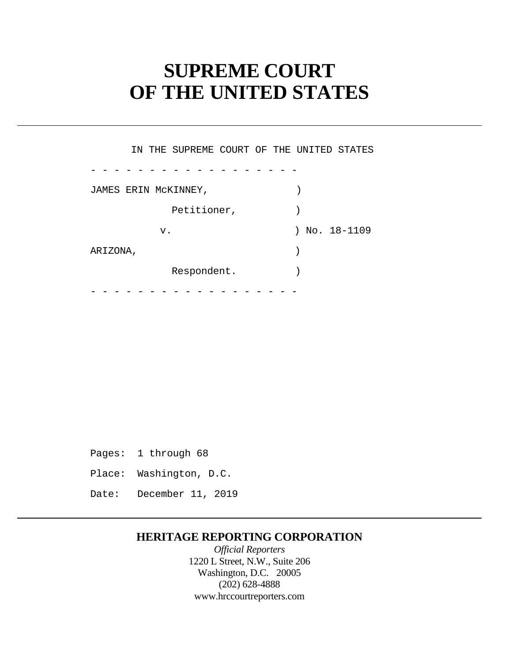# **SUPREME COURT OF THE UNITED STATES**

- - - - - - - - - - - - - - - - - - - - - - - - - - - - - - - - - - - - IN THE SUPREME COURT OF THE UNITED STATES JAMES ERIN MCKINNEY, Petitioner,  $)$ v. ) No. 18-1109 ARIZONA, ) Respondent.

Pages: 1 through 68 Place: Washington, D.C. Date: December 11, 2019

## **HERITAGE REPORTING CORPORATION**

*Official Reporters*  1220 L Street, N.W., Suite 206 Washington, D.C. 20005 (202) 628-4888 <www.hrccourtreporters.com>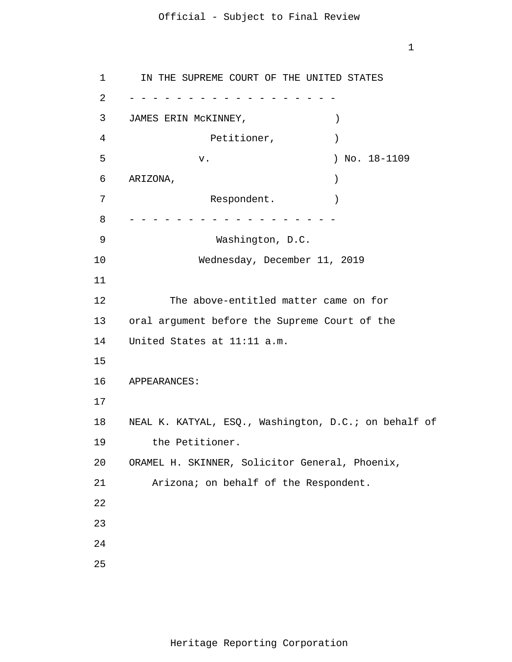1

1 2 3 4 5 6 7 8 9 10 11 12 13 14 15 16 17 18 19 20 21 22 23 24 25 - - - - - - - - - - - - - - - - - - - - - - - - - - - - - - - - - - - - IN THE SUPREME COURT OF THE UNITED STATES JAMES ERIN McKINNEY, ) Petitioner, (1992) v. ) No. 18-1109 ARIZONA, ) Respondent. Washington, D.C. Wednesday, December 11, 2019 The above-entitled matter came on for oral argument before the Supreme Court of the United States at 11:11 a.m. APPEARANCES: NEAL K. KATYAL, ESQ., Washington, D.C.; on behalf of the Petitioner. ORAMEL H. SKINNER, Solicitor General, Phoenix, Arizona; on behalf of the Respondent.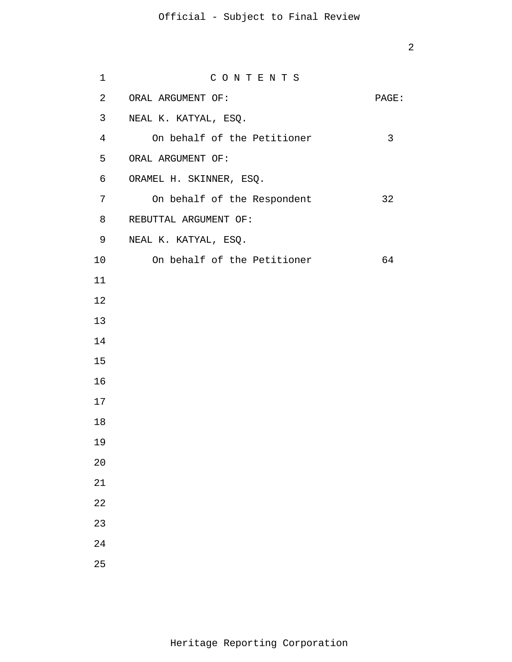| 1              | CONTENTS                    |       |
|----------------|-----------------------------|-------|
| $\overline{a}$ | ORAL ARGUMENT OF:           | PAGE: |
| 3              | NEAL K. KATYAL, ESQ.        |       |
| $\overline{4}$ | On behalf of the Petitioner | 3     |
| 5              | ORAL ARGUMENT OF:           |       |
| 6              | ORAMEL H. SKINNER, ESQ.     |       |
| 7              | On behalf of the Respondent | 32    |
| 8              | REBUTTAL ARGUMENT OF:       |       |
| 9              | NEAL K. KATYAL, ESQ.        |       |
| 10             | On behalf of the Petitioner | 64    |
| 11             |                             |       |
| 12             |                             |       |
| 13             |                             |       |
| 14             |                             |       |
| 15             |                             |       |
| 16             |                             |       |
| 17             |                             |       |
| 18             |                             |       |
| 19             |                             |       |
| 20             |                             |       |
| 21             |                             |       |
| 22             |                             |       |
| 23             |                             |       |
| 24             |                             |       |
| 25             |                             |       |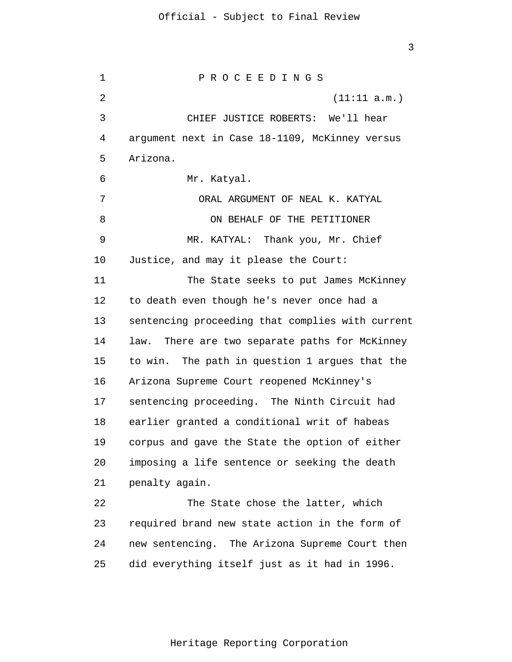1  $\overline{2}$ 3 4 5 6 7 8 9 10 11 12 13 14 15 16 17 18 19 20 21 22 23 24 25 P R O C E E D I N G S (11:11 a.m.) CHIEF JUSTICE ROBERTS: We'll hear argument next in Case 18-1109, McKinney versus Arizona. Mr. Katyal. ORAL ARGUMENT OF NEAL K. KATYAL ON BEHALF OF THE PETITIONER MR. KATYAL: Thank you, Mr. Chief Justice, and may it please the Court: The State seeks to put James McKinney to death even though he's never once had a sentencing proceeding that complies with current law. There are two separate paths for McKinney to win. The path in question 1 argues that the Arizona Supreme Court reopened McKinney's sentencing proceeding. The Ninth Circuit had earlier granted a conditional writ of habeas corpus and gave the State the option of either imposing a life sentence or seeking the death penalty again. The State chose the latter, which required brand new state action in the form of new sentencing. The Arizona Supreme Court then did everything itself just as it had in 1996.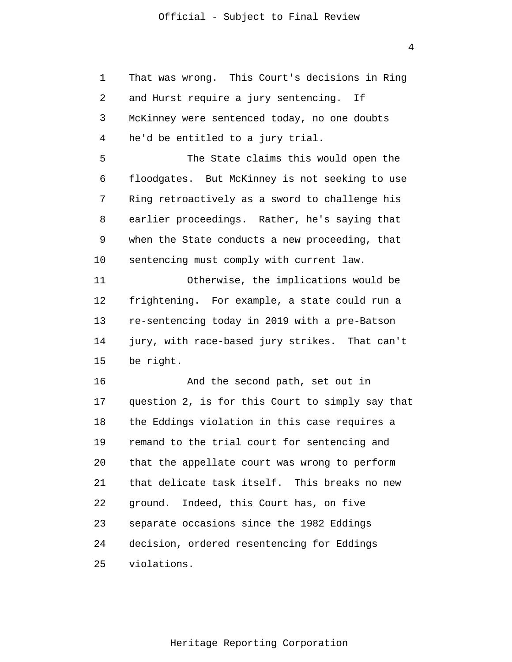That was wrong. This Court's decisions in Ring

2 3 4 5 6 7 8 9 10 11 12 13 14 15 16 17 18 19 20 21 22 23 24 and Hurst require a jury sentencing. If McKinney were sentenced today, no one doubts he'd be entitled to a jury trial. The State claims this would open the floodgates. But McKinney is not seeking to use Ring retroactively as a sword to challenge his earlier proceedings. Rather, he's saying that when the State conducts a new proceeding, that sentencing must comply with current law. Otherwise, the implications would be frightening. For example, a state could run a re-sentencing today in 2019 with a pre-Batson jury, with race-based jury strikes. That can't be right. And the second path, set out in question 2, is for this Court to simply say that the Eddings violation in this case requires a remand to the trial court for sentencing and that the appellate court was wrong to perform that delicate task itself. This breaks no new ground. Indeed, this Court has, on five separate occasions since the 1982 Eddings decision, ordered resentencing for Eddings

25 violations.

1

Heritage Reporting Corporation

4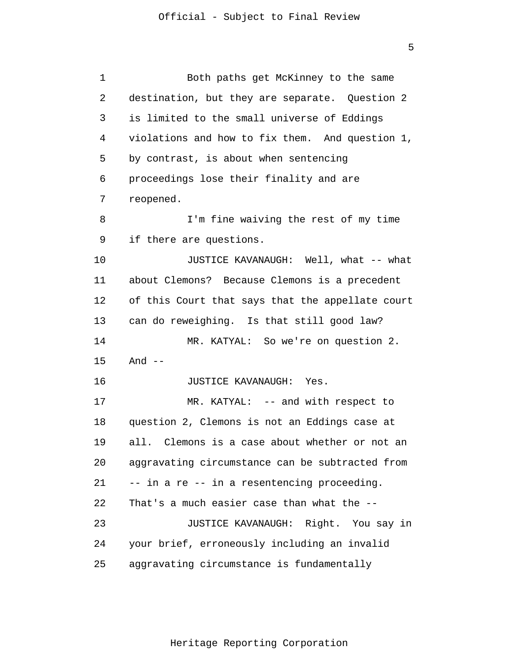| 1  | Both paths get McKinney to the same              |
|----|--------------------------------------------------|
| 2  | destination, but they are separate. Question 2   |
| 3  | is limited to the small universe of Eddings      |
| 4  | violations and how to fix them. And question 1,  |
| 5  | by contrast, is about when sentencing            |
| 6  | proceedings lose their finality and are          |
| 7  | reopened.                                        |
| 8  | I'm fine waiving the rest of my time             |
| 9  | if there are questions.                          |
| 10 | JUSTICE KAVANAUGH: Well, what -- what            |
| 11 | about Clemons? Because Clemons is a precedent    |
| 12 | of this Court that says that the appellate court |
| 13 | can do reweighing. Is that still good law?       |
| 14 | MR. KATYAL: So we're on question 2.              |
| 15 | And $--$                                         |
| 16 | JUSTICE KAVANAUGH: Yes.                          |
| 17 | MR. KATYAL: -- and with respect to               |
| 18 | question 2, Clemons is not an Eddings case at    |
| 19 | all. Clemons is a case about whether or not an   |
| 20 | aggravating circumstance can be subtracted from  |
| 21 | -- in a re -- in a resentencing proceeding.      |
| 22 | That's a much easier case than what the --       |
| 23 | JUSTICE KAVANAUGH: Right. You say in             |
| 24 | your brief, erroneously including an invalid     |
| 25 | aggravating circumstance is fundamentally        |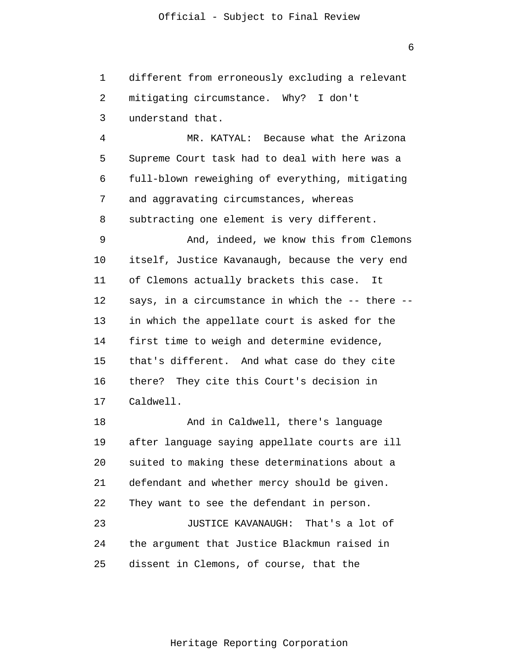1  $\overline{2}$ 3 different from erroneously excluding a relevant mitigating circumstance. Why? I don't understand that.

4 5 6 7 8 9 10 11 MR. KATYAL: Because what the Arizona Supreme Court task had to deal with here was a full-blown reweighing of everything, mitigating and aggravating circumstances, whereas subtracting one element is very different. And, indeed, we know this from Clemons itself, Justice Kavanaugh, because the very end of Clemons actually brackets this case. It

12 13 14 15 16 17 says, in a circumstance in which the -- there -in which the appellate court is asked for the first time to weigh and determine evidence, that's different. And what case do they cite there? They cite this Court's decision in Caldwell.

18 19 20 21 22 23 24 25 And in Caldwell, there's language after language saying appellate courts are ill suited to making these determinations about a defendant and whether mercy should be given. They want to see the defendant in person. JUSTICE KAVANAUGH: That's a lot of the argument that Justice Blackmun raised in dissent in Clemons, of course, that the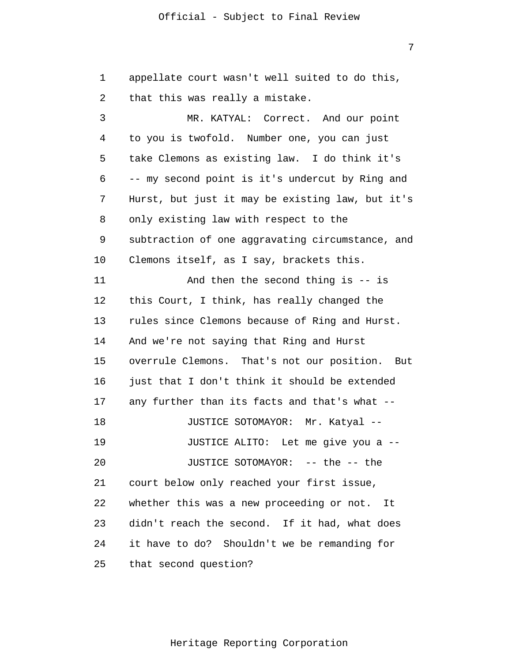7

1 2 3 4 5 6 7 8 9 10 11 12 13 14 15 16 17 18 19 20 21 22 23 24 25 appellate court wasn't well suited to do this, that this was really a mistake. MR. KATYAL: Correct. And our point to you is twofold. Number one, you can just take Clemons as existing law. I do think it's -- my second point is it's undercut by Ring and Hurst, but just it may be existing law, but it's only existing law with respect to the subtraction of one aggravating circumstance, and Clemons itself, as I say, brackets this. And then the second thing is -- is this Court, I think, has really changed the rules since Clemons because of Ring and Hurst. And we're not saying that Ring and Hurst overrule Clemons. That's not our position. But just that I don't think it should be extended any further than its facts and that's what -- JUSTICE SOTOMAYOR: Mr. Katyal -- JUSTICE ALITO: Let me give you a -- JUSTICE SOTOMAYOR: -- the -- the court below only reached your first issue, whether this was a new proceeding or not. It didn't reach the second. If it had, what does it have to do? Shouldn't we be remanding for that second question?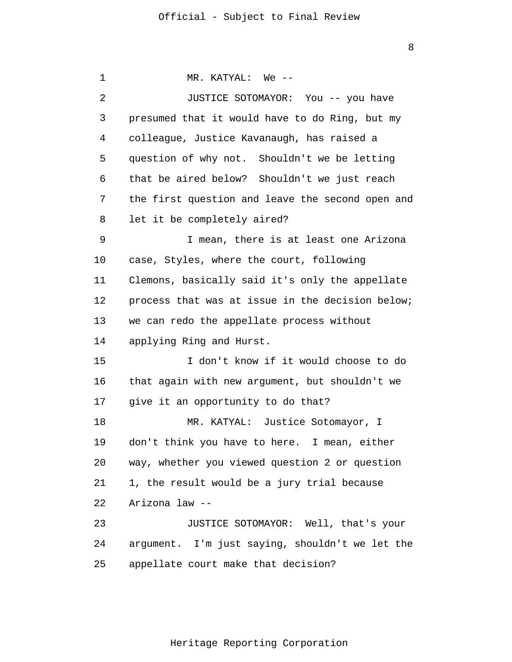1  $\overline{2}$ 3 4 5 6 7 8 9 10 11 12 13 14 15 16 17 18 19 20 21 22 23 24 25 MR. KATYAL: We -- JUSTICE SOTOMAYOR: You -- you have presumed that it would have to do Ring, but my colleague, Justice Kavanaugh, has raised a question of why not. Shouldn't we be letting that be aired below? Shouldn't we just reach the first question and leave the second open and let it be completely aired? I mean, there is at least one Arizona case, Styles, where the court, following Clemons, basically said it's only the appellate process that was at issue in the decision below; we can redo the appellate process without applying Ring and Hurst. I don't know if it would choose to do that again with new argument, but shouldn't we give it an opportunity to do that? MR. KATYAL: Justice Sotomayor, I don't think you have to here. I mean, either way, whether you viewed question 2 or question 1, the result would be a jury trial because Arizona law -- JUSTICE SOTOMAYOR: Well, that's your argument. I'm just saying, shouldn't we let the appellate court make that decision?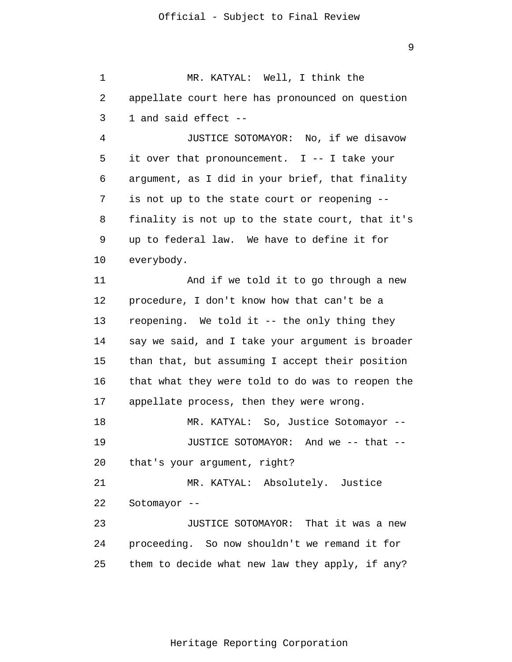1 2 3 4 5 6 7 8 9 10 11 12 13 14 15 16 17 18 19 20 21 22 23 24 25 MR. KATYAL: Well, I think the appellate court here has pronounced on question 1 and said effect -- JUSTICE SOTOMAYOR: No, if we disavow it over that pronouncement. I -- I take your argument, as I did in your brief, that finality is not up to the state court or reopening - finality is not up to the state court, that it's up to federal law. We have to define it for everybody. And if we told it to go through a new procedure, I don't know how that can't be a reopening. We told it -- the only thing they say we said, and I take your argument is broader than that, but assuming I accept their position that what they were told to do was to reopen the appellate process, then they were wrong. MR. KATYAL: So, Justice Sotomayor -- JUSTICE SOTOMAYOR: And we -- that - that's your argument, right? MR. KATYAL: Absolutely. Justice Sotomayor -- JUSTICE SOTOMAYOR: That it was a new proceeding. So now shouldn't we remand it for them to decide what new law they apply, if any?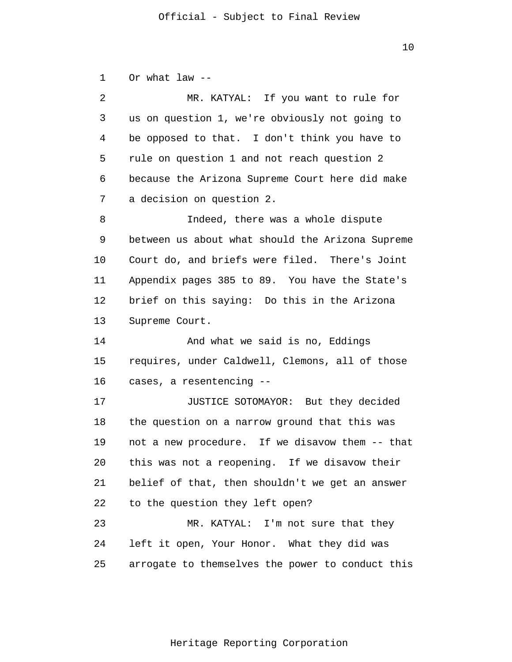1 Or what law --

| 2  | MR. KATYAL: If you want to rule for              |
|----|--------------------------------------------------|
| 3  | us on question 1, we're obviously not going to   |
| 4  | be opposed to that. I don't think you have to    |
| 5  | rule on question 1 and not reach question 2      |
| 6  | because the Arizona Supreme Court here did make  |
| 7  | a decision on question 2.                        |
| 8  | Indeed, there was a whole dispute                |
| 9  | between us about what should the Arizona Supreme |
| 10 | Court do, and briefs were filed. There's Joint   |
| 11 | Appendix pages 385 to 89. You have the State's   |
| 12 | brief on this saying: Do this in the Arizona     |
| 13 | Supreme Court.                                   |
| 14 | And what we said is no, Eddings                  |
| 15 | requires, under Caldwell, Clemons, all of those  |
| 16 | cases, a resentencing --                         |
| 17 | JUSTICE SOTOMAYOR: But they decided              |
| 18 | the question on a narrow ground that this was    |
| 19 | not a new procedure. If we disavow them -- that  |
| 20 | this was not a reopening. If we disavow their    |
| 21 | belief of that, then shouldn't we get an answer  |
| 22 | to the question they left open?                  |
| 23 | MR. KATYAL: I'm not sure that they               |
| 24 | left it open, Your Honor. What they did was      |
| 25 | arrogate to themselves the power to conduct this |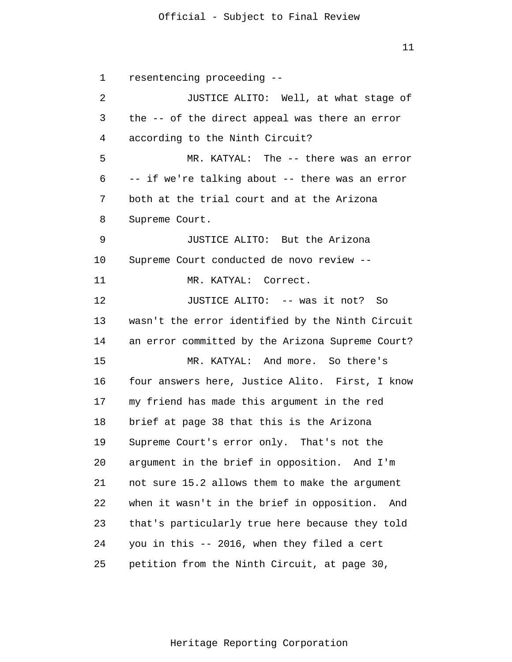11

1  $\overline{2}$ 3 4 5 6 7 8 9 10 11 12 13 14 15 16 17 18 19 20 21 22 23 24 25 resentencing proceeding -- JUSTICE ALITO: Well, at what stage of the -- of the direct appeal was there an error according to the Ninth Circuit? MR. KATYAL: The -- there was an error -- if we're talking about -- there was an error both at the trial court and at the Arizona Supreme Court. JUSTICE ALITO: But the Arizona Supreme Court conducted de novo review -- MR. KATYAL: Correct. JUSTICE ALITO: -- was it not? So wasn't the error identified by the Ninth Circuit an error committed by the Arizona Supreme Court? MR. KATYAL: And more. So there's four answers here, Justice Alito. First, I know my friend has made this argument in the red brief at page 38 that this is the Arizona Supreme Court's error only. That's not the argument in the brief in opposition. And I'm not sure 15.2 allows them to make the argument when it wasn't in the brief in opposition. And that's particularly true here because they told you in this -- 2016, when they filed a cert petition from the Ninth Circuit, at page 30,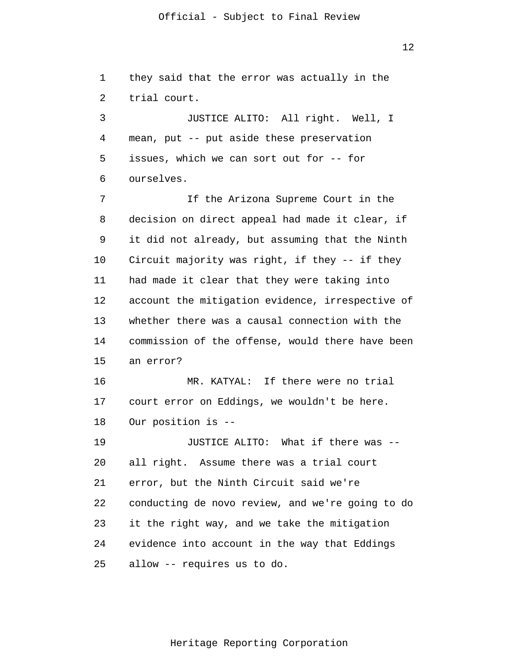12

1  $\overline{2}$ 3 4 5 6 7 8 9 10 11 12 13 14 15 16 17 18 19 20 21 22 23 24 25 they said that the error was actually in the trial court. JUSTICE ALITO: All right. Well, I mean, put -- put aside these preservation issues, which we can sort out for -- for ourselves. If the Arizona Supreme Court in the decision on direct appeal had made it clear, if it did not already, but assuming that the Ninth Circuit majority was right, if they -- if they had made it clear that they were taking into account the mitigation evidence, irrespective of whether there was a causal connection with the commission of the offense, would there have been an error? MR. KATYAL: If there were no trial court error on Eddings, we wouldn't be here. Our position is -- JUSTICE ALITO: What if there was - all right. Assume there was a trial court error, but the Ninth Circuit said we're conducting de novo review, and we're going to do it the right way, and we take the mitigation evidence into account in the way that Eddings allow -- requires us to do.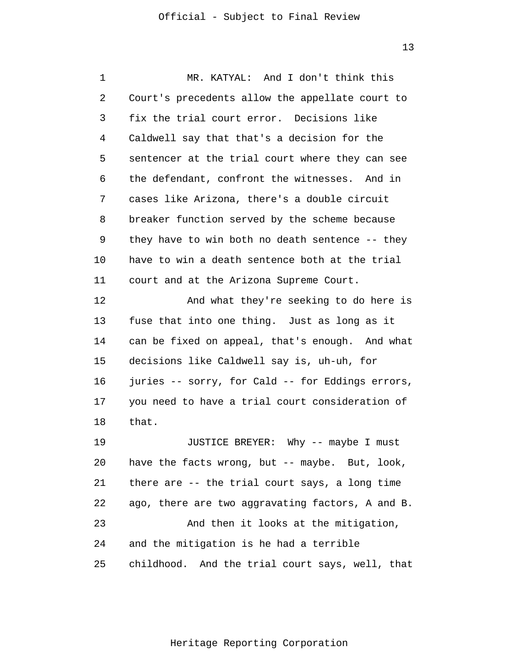1 2 3 4 5 6 7 8 9 10 11 12 13 14 15 16 17 18 19 20 21 22 23 24 25 MR. KATYAL: And I don't think this Court's precedents allow the appellate court to fix the trial court error. Decisions like Caldwell say that that's a decision for the sentencer at the trial court where they can see the defendant, confront the witnesses. And in cases like Arizona, there's a double circuit breaker function served by the scheme because they have to win both no death sentence -- they have to win a death sentence both at the trial court and at the Arizona Supreme Court. And what they're seeking to do here is fuse that into one thing. Just as long as it can be fixed on appeal, that's enough. And what decisions like Caldwell say is, uh-uh, for juries -- sorry, for Cald -- for Eddings errors, you need to have a trial court consideration of that. JUSTICE BREYER: Why -- maybe I must have the facts wrong, but -- maybe. But, look, there are -- the trial court says, a long time ago, there are two aggravating factors, A and B. And then it looks at the mitigation, and the mitigation is he had a terrible childhood. And the trial court says, well, that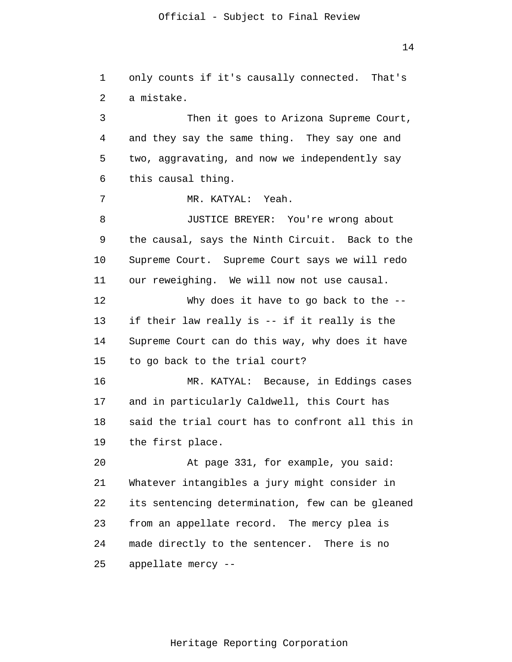14

1  $\overline{2}$ 3 4 5 6 7 8 9 10 11 12 13 14 15 16 17 18 19 20 21 22 23 24 25 only counts if it's causally connected. That's a mistake. Then it goes to Arizona Supreme Court, and they say the same thing. They say one and two, aggravating, and now we independently say this causal thing. MR. KATYAL: Yeah. JUSTICE BREYER: You're wrong about the causal, says the Ninth Circuit. Back to the Supreme Court. Supreme Court says we will redo our reweighing. We will now not use causal. Why does it have to go back to the -if their law really is -- if it really is the Supreme Court can do this way, why does it have to go back to the trial court? MR. KATYAL: Because, in Eddings cases and in particularly Caldwell, this Court has said the trial court has to confront all this in the first place. At page 331, for example, you said: Whatever intangibles a jury might consider in its sentencing determination, few can be gleaned from an appellate record. The mercy plea is made directly to the sentencer. There is no appellate mercy --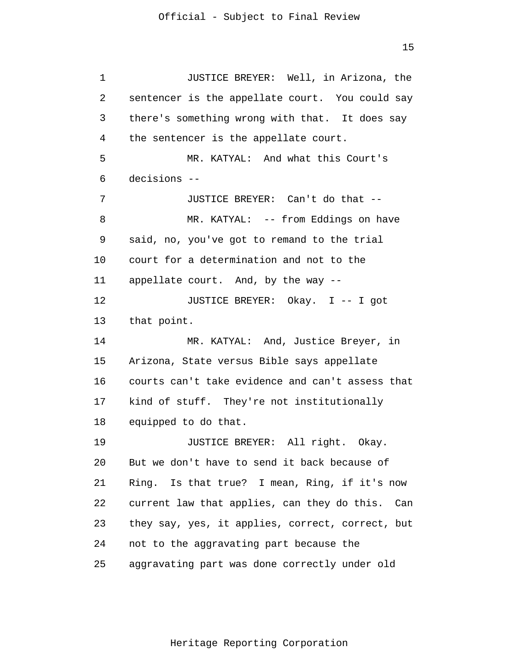1 2 3 4 5 6 7 8 9 10 11 12 13 14 15 16 17 18 19 20 21 22 23 24 25 JUSTICE BREYER: Well, in Arizona, the sentencer is the appellate court. You could say there's something wrong with that. It does say the sentencer is the appellate court. MR. KATYAL: And what this Court's decisions -- JUSTICE BREYER: Can't do that -- MR. KATYAL: -- from Eddings on have said, no, you've got to remand to the trial court for a determination and not to the appellate court. And, by the way -- JUSTICE BREYER: Okay. I -- I got that point. MR. KATYAL: And, Justice Breyer, in Arizona, State versus Bible says appellate courts can't take evidence and can't assess that kind of stuff. They're not institutionally equipped to do that. JUSTICE BREYER: All right. Okay. But we don't have to send it back because of Ring. Is that true? I mean, Ring, if it's now current law that applies, can they do this. Can they say, yes, it applies, correct, correct, but not to the aggravating part because the aggravating part was done correctly under old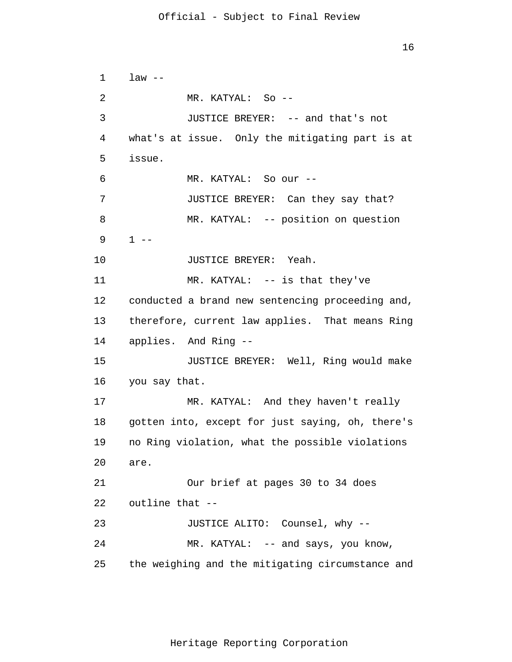```
1 
 \overline{2}3 
 4 
 5 
 6 
 7 
 8 
 9 
10 
11 
12 
13 
14 
15 
16 
17 
18 
19 
20 
21 
22 
23 
24 
25 
      law --MR. KATYAL: So --
                JUSTICE BREYER: -- and that's not 
      what's at issue. Only the mitigating part is at 
      issue. 
                MR. KATYAL: So our --
                JUSTICE BREYER: Can they say that? 
                MR. KATYAL: -- position on question 
      1 - -JUSTICE BREYER: Yeah. 
                MR. KATYAL: -- is that they've 
      conducted a brand new sentencing proceeding and, 
      therefore, current law applies. That means Ring 
      applies. And Ring --
                JUSTICE BREYER: Well, Ring would make 
      you say that. 
                MR. KATYAL: And they haven't really 
      gotten into, except for just saying, oh, there's 
      no Ring violation, what the possible violations 
      are. 
                Our brief at pages 30 to 34 does 
      outline that --
                JUSTICE ALITO: Counsel, why --
                MR. KATYAL: -- and says, you know,
      the weighing and the mitigating circumstance and
```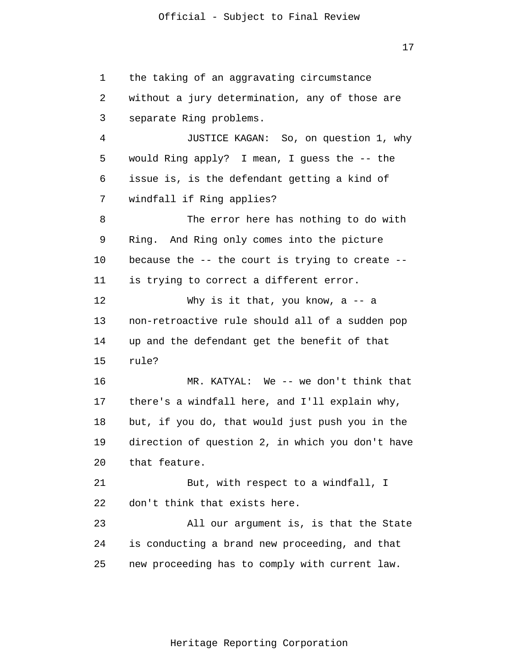17

1 2 3 4 5 6 7 8 9 10 11 12 13 14 15 16 17 18 19 20 21 22 23 24 25 the taking of an aggravating circumstance without a jury determination, any of those are separate Ring problems. JUSTICE KAGAN: So, on question 1, why would Ring apply? I mean, I guess the -- the issue is, is the defendant getting a kind of windfall if Ring applies? The error here has nothing to do with Ring. And Ring only comes into the picture because the  $-$ - the court is trying to create  $-$ is trying to correct a different error. Why is it that, you know, a -- a non-retroactive rule should all of a sudden pop up and the defendant get the benefit of that rule? MR. KATYAL: We -- we don't think that there's a windfall here, and I'll explain why, but, if you do, that would just push you in the direction of question 2, in which you don't have that feature. But, with respect to a windfall, I don't think that exists here. All our argument is, is that the State is conducting a brand new proceeding, and that new proceeding has to comply with current law.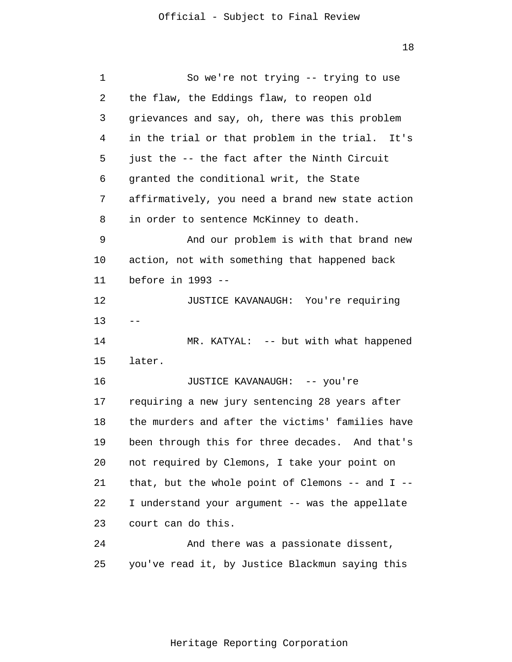| 1  | So we're not trying -- trying to use                 |
|----|------------------------------------------------------|
| 2  | the flaw, the Eddings flaw, to reopen old            |
| 3  | grievances and say, oh, there was this problem       |
| 4  | in the trial or that problem in the trial. It's      |
| 5  | just the -- the fact after the Ninth Circuit         |
| 6  | granted the conditional writ, the State              |
| 7  | affirmatively, you need a brand new state action     |
| 8  | in order to sentence McKinney to death.              |
| 9  | And our problem is with that brand new               |
| 10 | action, not with something that happened back        |
| 11 | before in 1993 --                                    |
| 12 | JUSTICE KAVANAUGH: You're requiring                  |
| 13 |                                                      |
| 14 | MR. KATYAL: -- but with what happened                |
| 15 | later.                                               |
| 16 | JUSTICE KAVANAUGH: -- you're                         |
| 17 | requiring a new jury sentencing 28 years after       |
| 18 | the murders and after the victims' families have     |
| 19 | been through this for three decades. And that's      |
| 20 | not required by Clemons, I take your point on        |
| 21 | that, but the whole point of Clemons $--$ and I $--$ |
| 22 | I understand your argument -- was the appellate      |
| 23 | court can do this.                                   |
| 24 | And there was a passionate dissent,                  |
| 25 | you've read it, by Justice Blackmun saying this      |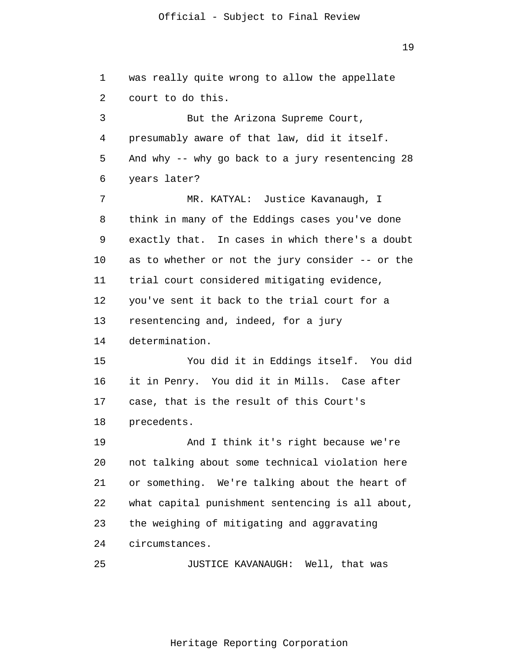19

1  $\overline{2}$ 3 4 5 6 7 8 9 10 11 12 13 14 15 16 17 18 19 20 21 22 23 24 25 was really quite wrong to allow the appellate court to do this. But the Arizona Supreme Court, presumably aware of that law, did it itself. And why -- why go back to a jury resentencing 28 years later? MR. KATYAL: Justice Kavanaugh, I think in many of the Eddings cases you've done exactly that. In cases in which there's a doubt as to whether or not the jury consider -- or the trial court considered mitigating evidence, you've sent it back to the trial court for a resentencing and, indeed, for a jury determination. You did it in Eddings itself. You did it in Penry. You did it in Mills. Case after case, that is the result of this Court's precedents. And I think it's right because we're not talking about some technical violation here or something. We're talking about the heart of what capital punishment sentencing is all about, the weighing of mitigating and aggravating circumstances. JUSTICE KAVANAUGH: Well, that was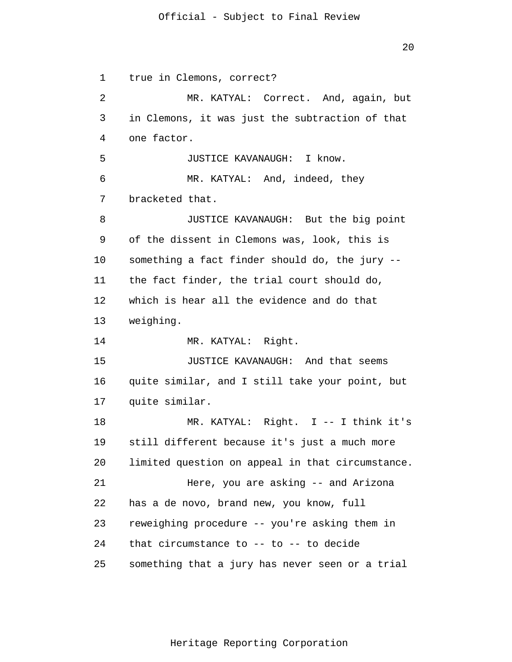20

1  $\overline{2}$ 3 4 5 6 7 8 9 10 11 12 13 14 15 16 17 18 19 20 21 22 23 24 25 true in Clemons, correct? MR. KATYAL: Correct. And, again, but in Clemons, it was just the subtraction of that one factor. JUSTICE KAVANAUGH: I know. MR. KATYAL: And, indeed, they bracketed that. JUSTICE KAVANAUGH: But the big point of the dissent in Clemons was, look, this is something a fact finder should do, the jury - the fact finder, the trial court should do, which is hear all the evidence and do that weighing. MR. KATYAL: Right. JUSTICE KAVANAUGH: And that seems quite similar, and I still take your point, but quite similar. MR. KATYAL: Right. I -- I think it's still different because it's just a much more limited question on appeal in that circumstance. Here, you are asking -- and Arizona has a de novo, brand new, you know, full reweighing procedure -- you're asking them in that circumstance to -- to -- to decide something that a jury has never seen or a trial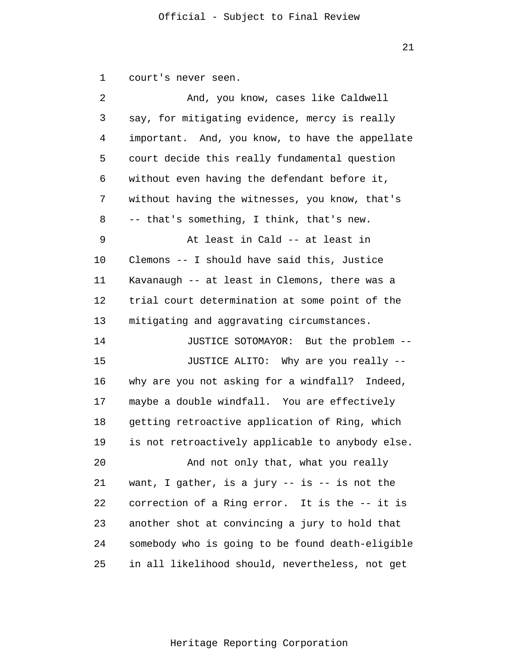1 court's never seen.

| 2  | And, you know, cases like Caldwell               |
|----|--------------------------------------------------|
| 3  | say, for mitigating evidence, mercy is really    |
| 4  | important. And, you know, to have the appellate  |
| 5  | court decide this really fundamental question    |
| 6  | without even having the defendant before it,     |
| 7  | without having the witnesses, you know, that's   |
| 8  | -- that's something, I think, that's new.        |
| 9  | At least in Cald -- at least in                  |
| 10 | Clemons -- I should have said this, Justice      |
| 11 | Kavanaugh -- at least in Clemons, there was a    |
| 12 | trial court determination at some point of the   |
| 13 | mitigating and aggravating circumstances.        |
| 14 | JUSTICE SOTOMAYOR: But the problem --            |
| 15 | JUSTICE ALITO: Why are you really --             |
| 16 | why are you not asking for a windfall? Indeed,   |
| 17 | maybe a double windfall. You are effectively     |
| 18 | getting retroactive application of Ring, which   |
| 19 | is not retroactively applicable to anybody else. |
| 20 | And not only that, what you really               |
| 21 | want, I gather, is a jury -- is -- is not the    |
| 22 | correction of a Ring error. It is the -- it is   |
| 23 | another shot at convincing a jury to hold that   |
| 24 | somebody who is going to be found death-eligible |
| 25 | in all likelihood should, nevertheless, not get  |

21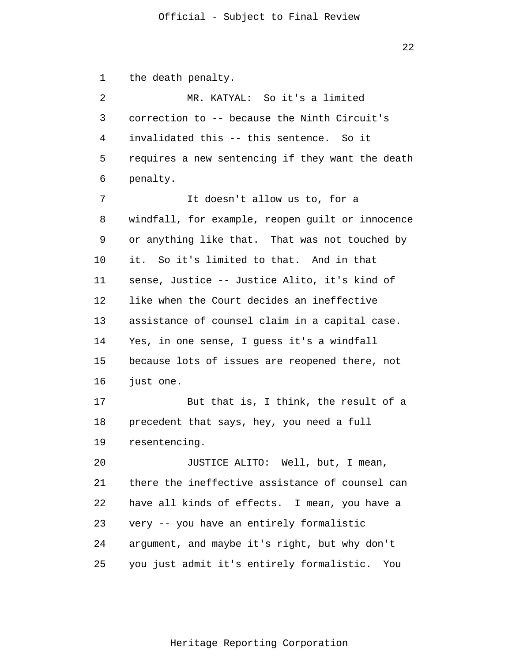22

1  $\overline{2}$ 3 4 5 6 7 8 9 10 11 12 13 14 15 16 17 18 19 20 21 22 23 24 25 the death penalty. MR. KATYAL: So it's a limited correction to -- because the Ninth Circuit's invalidated this -- this sentence. So it requires a new sentencing if they want the death penalty. It doesn't allow us to, for a windfall, for example, reopen guilt or innocence or anything like that. That was not touched by it. So it's limited to that. And in that sense, Justice -- Justice Alito, it's kind of like when the Court decides an ineffective assistance of counsel claim in a capital case. Yes, in one sense, I guess it's a windfall because lots of issues are reopened there, not just one. But that is, I think, the result of a precedent that says, hey, you need a full resentencing. JUSTICE ALITO: Well, but, I mean, there the ineffective assistance of counsel can have all kinds of effects. I mean, you have a very -- you have an entirely formalistic argument, and maybe it's right, but why don't you just admit it's entirely formalistic. You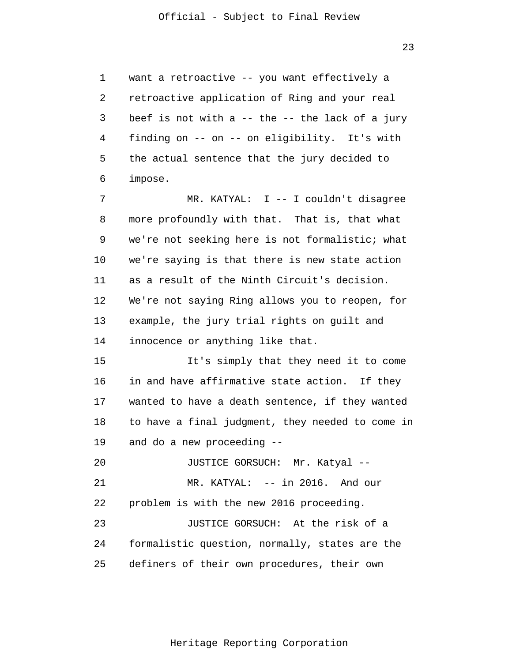1 2 3 4 5 6 want a retroactive -- you want effectively a retroactive application of Ring and your real beef is not with a  $-$  the  $-$  the lack of a jury finding on -- on -- on eligibility. It's with the actual sentence that the jury decided to impose.

7 8 9 10 11 12 13 14 MR. KATYAL: I -- I couldn't disagree more profoundly with that. That is, that what we're not seeking here is not formalistic; what we're saying is that there is new state action as a result of the Ninth Circuit's decision. We're not saying Ring allows you to reopen, for example, the jury trial rights on guilt and innocence or anything like that.

15 16 17 18 19 It's simply that they need it to come in and have affirmative state action. If they wanted to have a death sentence, if they wanted to have a final judgment, they needed to come in and do a new proceeding --

20 21 22 23 24 JUSTICE GORSUCH: Mr. Katyal -- MR. KATYAL: -- in 2016. And our problem is with the new 2016 proceeding. JUSTICE GORSUCH: At the risk of a formalistic question, normally, states are the

25 definers of their own procedures, their own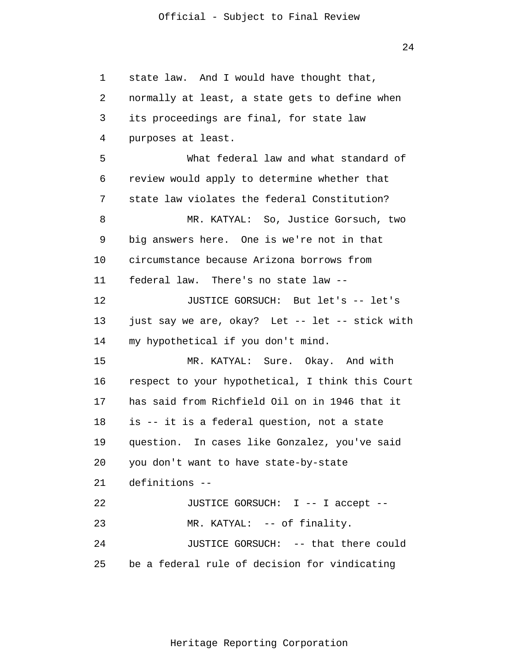24

1 2 3 4 5 6 7 8 9 10 11 12 13 14 15 16 17 18 19 20 21 22 23 24 25 state law. And I would have thought that, normally at least, a state gets to define when its proceedings are final, for state law purposes at least. What federal law and what standard of review would apply to determine whether that state law violates the federal Constitution? MR. KATYAL: So, Justice Gorsuch, two big answers here. One is we're not in that circumstance because Arizona borrows from federal law. There's no state law -- JUSTICE GORSUCH: But let's -- let's just say we are, okay? Let -- let -- stick with my hypothetical if you don't mind. MR. KATYAL: Sure. Okay. And with respect to your hypothetical, I think this Court has said from Richfield Oil on in 1946 that it is -- it is a federal question, not a state question. In cases like Gonzalez, you've said you don't want to have state-by-state definitions -- JUSTICE GORSUCH: I -- I accept -- MR. KATYAL: -- of finality. JUSTICE GORSUCH: -- that there could be a federal rule of decision for vindicating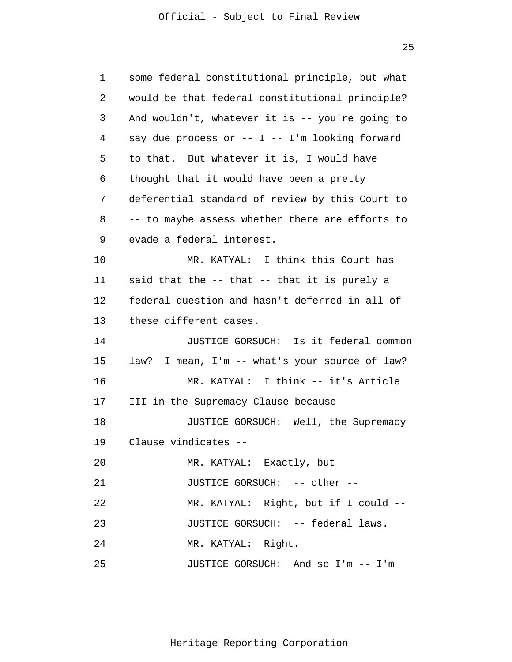25

| 1  | some federal constitutional principle, but what     |
|----|-----------------------------------------------------|
| 2  | would be that federal constitutional principle?     |
| 3  | And wouldn't, whatever it is -- you're going to     |
| 4  | say due process or -- $I$ -- $I'$ m looking forward |
| 5  | to that. But whatever it is, I would have           |
| 6  | thought that it would have been a pretty            |
| 7  | deferential standard of review by this Court to     |
| 8  | -- to maybe assess whether there are efforts to     |
| 9  | evade a federal interest.                           |
| 10 | MR. KATYAL: I think this Court has                  |
| 11 | said that the -- that -- that it is purely a        |
| 12 | federal question and hasn't deferred in all of      |
| 13 | these different cases.                              |
| 14 | JUSTICE GORSUCH: Is it federal common               |
| 15 | law? I mean, I'm -- what's your source of law?      |
| 16 | MR. KATYAL: I think -- it's Article                 |
| 17 | III in the Supremacy Clause because --              |
| 18 | JUSTICE GORSUCH: Well, the Supremacy                |
| 19 | Clause vindicates --                                |
| 20 | MR. KATYAL: Exactly, but --                         |
| 21 | JUSTICE GORSUCH: -- other --                        |
| 22 | MR. KATYAL: Right, but if I could --                |
| 23 | JUSTICE GORSUCH: -- federal laws.                   |
| 24 | MR. KATYAL: Right.                                  |
| 25 | JUSTICE GORSUCH: And so I'm -- I'm                  |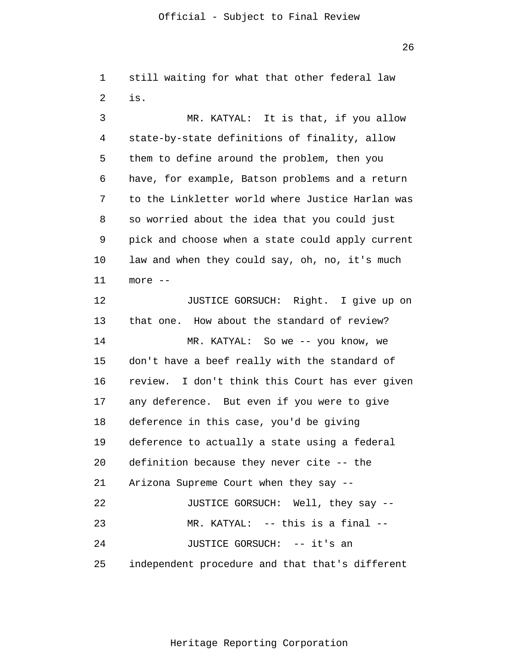1  $\overline{2}$ 3 4 still waiting for what that other federal law is. MR. KATYAL: It is that, if you allow state-by-state definitions of finality, allow

5 6 7 8 9 10 11 them to define around the problem, then you have, for example, Batson problems and a return to the Linkletter world where Justice Harlan was so worried about the idea that you could just pick and choose when a state could apply current law and when they could say, oh, no, it's much more --

12 13 14 15 16 17 18 19 20 21 22 23 24 25 JUSTICE GORSUCH: Right. I give up on that one. How about the standard of review? MR. KATYAL: So we -- you know, we don't have a beef really with the standard of review. I don't think this Court has ever given any deference. But even if you were to give deference in this case, you'd be giving deference to actually a state using a federal definition because they never cite -- the Arizona Supreme Court when they say -- JUSTICE GORSUCH: Well, they say -- MR. KATYAL: -- this is a final -- JUSTICE GORSUCH: -- it's an independent procedure and that that's different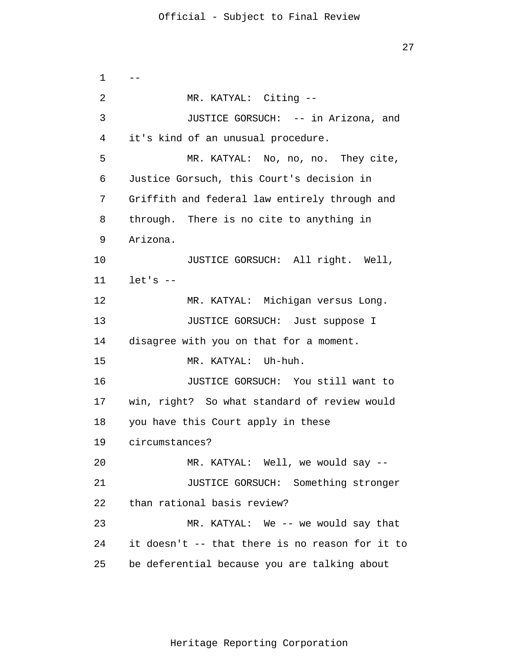1 2 3 4 5 6 7 8 9 10 11 12 13 14 15 16 17 18 19 20 21 22 23 24 25  $-$ MR. KATYAL: Citing -- JUSTICE GORSUCH: -- in Arizona, and it's kind of an unusual procedure. MR. KATYAL: No, no, no. They cite, Justice Gorsuch, this Court's decision in Griffith and federal law entirely through and through. There is no cite to anything in Arizona. JUSTICE GORSUCH: All right. Well,  $let's --$ MR. KATYAL: Michigan versus Long. JUSTICE GORSUCH: Just suppose I disagree with you on that for a moment. MR. KATYAL: Uh-huh. JUSTICE GORSUCH: You still want to win, right? So what standard of review would you have this Court apply in these circumstances? MR. KATYAL: Well, we would say -- JUSTICE GORSUCH: Something stronger than rational basis review? MR. KATYAL: We -- we would say that it doesn't -- that there is no reason for it to be deferential because you are talking about

27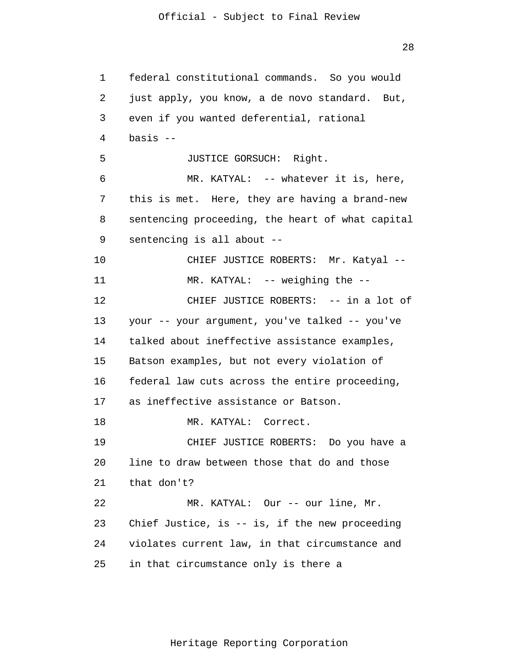28

1 2 3 4 5 6 7 8 9 10 11 12 13 14 15 16 17 18 19 20 21 22 23 24 25 federal constitutional commands. So you would just apply, you know, a de novo standard. But, even if you wanted deferential, rational basis -- JUSTICE GORSUCH: Right. MR. KATYAL: -- whatever it is, here, this is met. Here, they are having a brand-new sentencing proceeding, the heart of what capital sentencing is all about -- CHIEF JUSTICE ROBERTS: Mr. Katyal --MR. KATYAL: -- weighing the --CHIEF JUSTICE ROBERTS: -- in a lot of your -- your argument, you've talked -- you've talked about ineffective assistance examples, Batson examples, but not every violation of federal law cuts across the entire proceeding, as ineffective assistance or Batson. MR. KATYAL: Correct. CHIEF JUSTICE ROBERTS: Do you have a line to draw between those that do and those that don't? MR. KATYAL: Our -- our line, Mr. Chief Justice, is -- is, if the new proceeding violates current law, in that circumstance and in that circumstance only is there a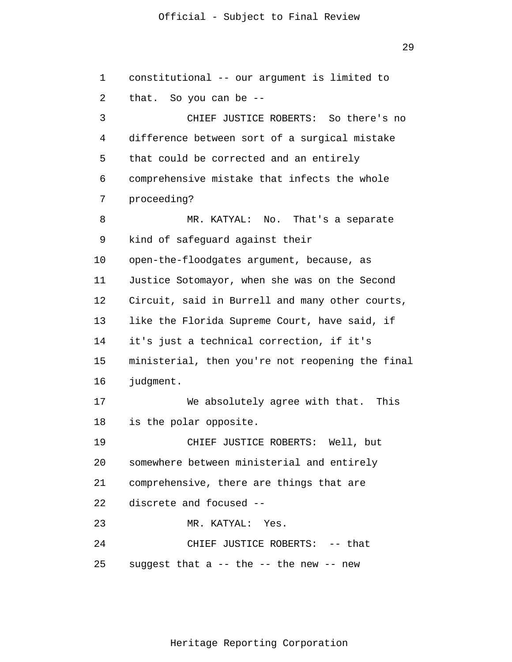29

1  $\overline{2}$ 3 4 5 6 7 8 9 10 11 12 13 14 15 16 17 18 19 20 21 22 23 24 25 constitutional -- our argument is limited to that. So you can be -- CHIEF JUSTICE ROBERTS: So there's no difference between sort of a surgical mistake that could be corrected and an entirely comprehensive mistake that infects the whole proceeding? MR. KATYAL: No. That's a separate kind of safeguard against their open-the-floodgates argument, because, as Justice Sotomayor, when she was on the Second Circuit, said in Burrell and many other courts, like the Florida Supreme Court, have said, if it's just a technical correction, if it's ministerial, then you're not reopening the final judgment. We absolutely agree with that. This is the polar opposite. CHIEF JUSTICE ROBERTS: Well, but somewhere between ministerial and entirely comprehensive, there are things that are discrete and focused -- MR. KATYAL: Yes. CHIEF JUSTICE ROBERTS: -- that suggest that a -- the -- the new -- new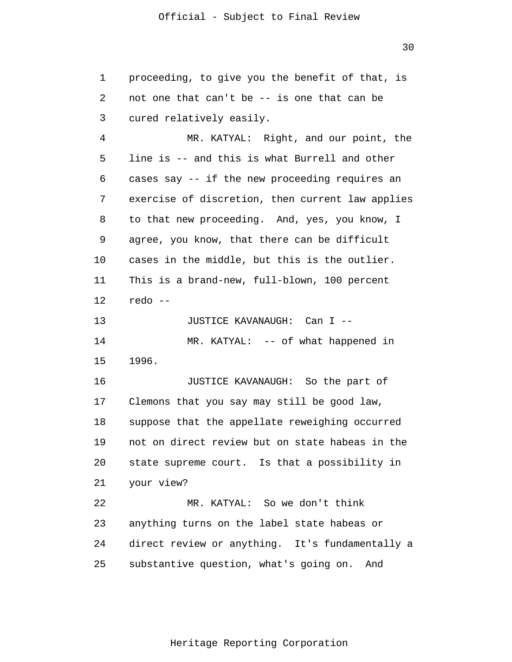1  $\overline{2}$ 3 4 5 6 7 8 9 10 11 12 13 14 15 16 17 18 19 20 21 22 23 24 25 proceeding, to give you the benefit of that, is not one that can't be -- is one that can be cured relatively easily. MR. KATYAL: Right, and our point, the line is -- and this is what Burrell and other cases say -- if the new proceeding requires an exercise of discretion, then current law applies to that new proceeding. And, yes, you know, I agree, you know, that there can be difficult cases in the middle, but this is the outlier. This is a brand-new, full-blown, 100 percent redo -- JUSTICE KAVANAUGH: Can I -- MR. KATYAL: -- of what happened in 1996. JUSTICE KAVANAUGH: So the part of Clemons that you say may still be good law, suppose that the appellate reweighing occurred not on direct review but on state habeas in the state supreme court. Is that a possibility in your view? MR. KATYAL: So we don't think anything turns on the label state habeas or direct review or anything. It's fundamentally a substantive question, what's going on. And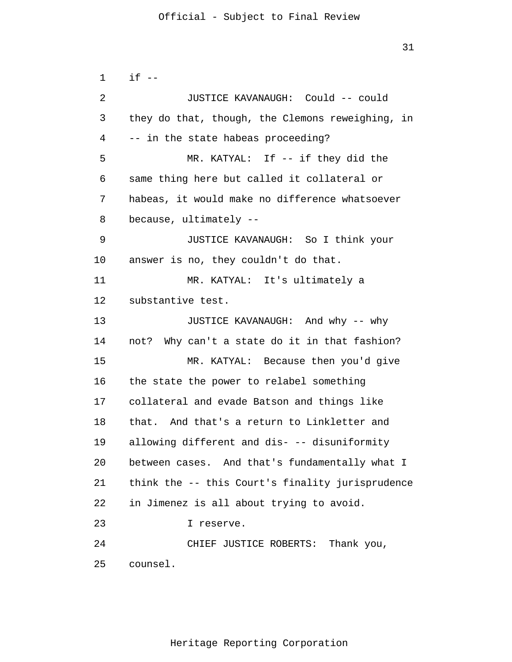```
1 
 \overline{2}3 
 4 
 5 
 6 
 7 
 8 
 9 
10 
11 
12 
13 
14 
15 
16 
17 
18 
19 
20 
21 
22 
23 
24 
25 
      if --JUSTICE KAVANAUGH: Could -- could 
      they do that, though, the Clemons reweighing, in 
      -- in the state habeas proceeding? 
                MR. KATYAL: If -- if they did the 
      same thing here but called it collateral or 
      habeas, it would make no difference whatsoever 
      because, ultimately --
                JUSTICE KAVANAUGH: So I think your 
      answer is no, they couldn't do that. 
                MR. KATYAL: It's ultimately a 
      substantive test. 
                JUSTICE KAVANAUGH: And why -- why 
      not? Why can't a state do it in that fashion? 
                MR. KATYAL: Because then you'd give 
      the state the power to relabel something 
      collateral and evade Batson and things like 
      that. And that's a return to Linkletter and 
      allowing different and dis- -- disuniformity 
      between cases. And that's fundamentally what I 
      think the -- this Court's finality jurisprudence 
      in Jimenez is all about trying to avoid. 
                I reserve. 
                CHIEF JUSTICE ROBERTS: Thank you, 
      counsel.
```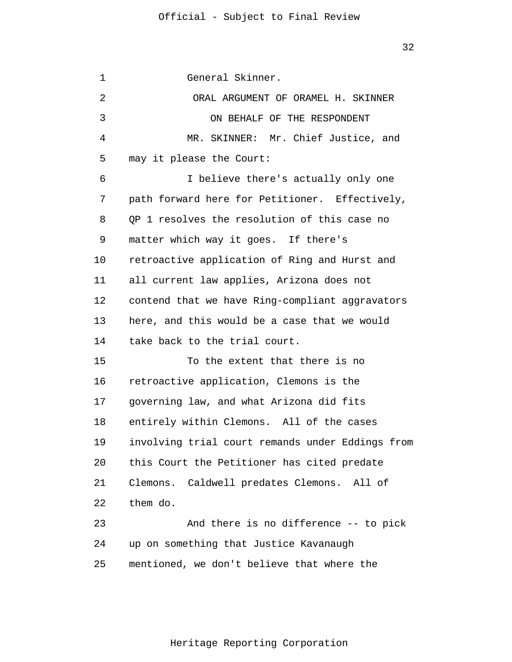1 2 3 4 5 6 7 8 9 10 11 12 13 14 15 16 17 18 19 20 21 22 23 24 25 General Skinner. ORAL ARGUMENT OF ORAMEL H. SKINNER ON BEHALF OF THE RESPONDENT MR. SKINNER: Mr. Chief Justice, and may it please the Court: I believe there's actually only one path forward here for Petitioner. Effectively, QP 1 resolves the resolution of this case no matter which way it goes. If there's retroactive application of Ring and Hurst and all current law applies, Arizona does not contend that we have Ring-compliant aggravators here, and this would be a case that we would take back to the trial court. To the extent that there is no retroactive application, Clemons is the governing law, and what Arizona did fits entirely within Clemons. All of the cases involving trial court remands under Eddings from this Court the Petitioner has cited predate Clemons. Caldwell predates Clemons. All of them do. And there is no difference -- to pick up on something that Justice Kavanaugh mentioned, we don't believe that where the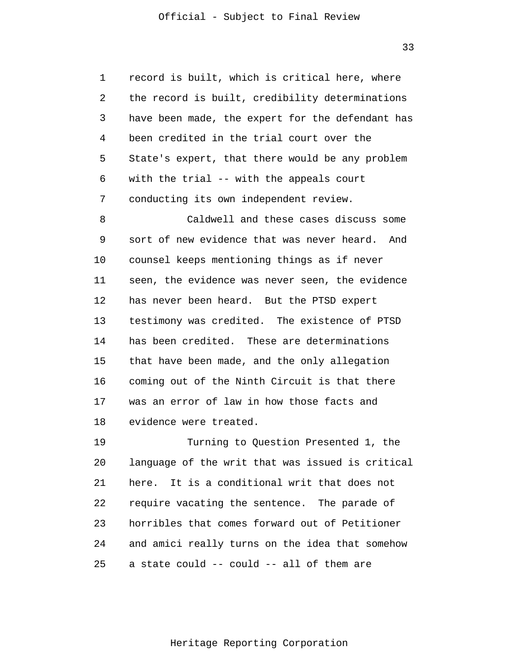1 2 3 4 5 6 7 record is built, which is critical here, where the record is built, credibility determinations have been made, the expert for the defendant has been credited in the trial court over the State's expert, that there would be any problem with the trial -- with the appeals court conducting its own independent review.

8 9 10 11 12 13 14 15 16 17 18 Caldwell and these cases discuss some sort of new evidence that was never heard. And counsel keeps mentioning things as if never seen, the evidence was never seen, the evidence has never been heard. But the PTSD expert testimony was credited. The existence of PTSD has been credited. These are determinations that have been made, and the only allegation coming out of the Ninth Circuit is that there was an error of law in how those facts and evidence were treated.

19 20 21 22 23 24 25 Turning to Question Presented 1, the language of the writ that was issued is critical here. It is a conditional writ that does not require vacating the sentence. The parade of horribles that comes forward out of Petitioner and amici really turns on the idea that somehow a state could -- could -- all of them are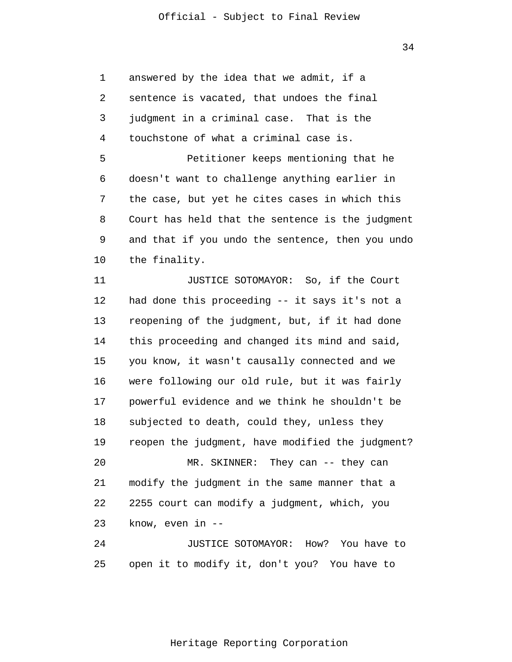1 2 3 4 5 6 7 8 9 10 11 12 13 14 15 16 17 18 19 20 21 22 23 24 25 answered by the idea that we admit, if a sentence is vacated, that undoes the final judgment in a criminal case. That is the touchstone of what a criminal case is. Petitioner keeps mentioning that he doesn't want to challenge anything earlier in the case, but yet he cites cases in which this Court has held that the sentence is the judgment and that if you undo the sentence, then you undo the finality. JUSTICE SOTOMAYOR: So, if the Court had done this proceeding -- it says it's not a reopening of the judgment, but, if it had done this proceeding and changed its mind and said, you know, it wasn't causally connected and we were following our old rule, but it was fairly powerful evidence and we think he shouldn't be subjected to death, could they, unless they reopen the judgment, have modified the judgment? MR. SKINNER: They can -- they can modify the judgment in the same manner that a 2255 court can modify a judgment, which, you know, even in -- JUSTICE SOTOMAYOR: How? You have to open it to modify it, don't you? You have to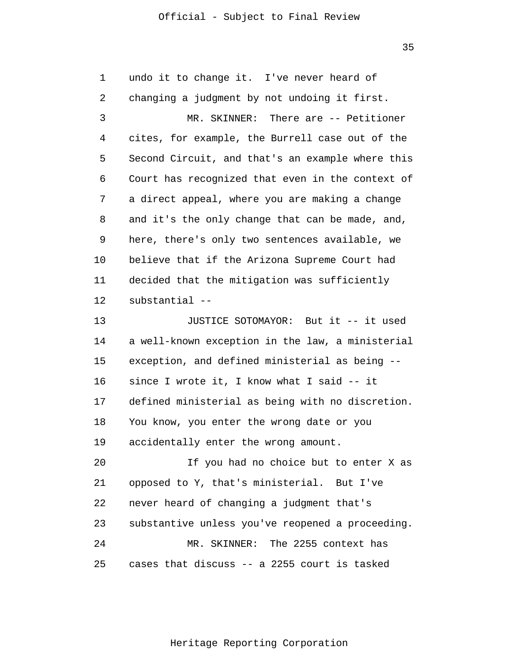35

1 2 3 4 5 6 7 8 9 10 11 12 13 14 15 16 17 18 19 20 21 22 23 24 25 undo it to change it. I've never heard of changing a judgment by not undoing it first. MR. SKINNER: There are -- Petitioner cites, for example, the Burrell case out of the Second Circuit, and that's an example where this Court has recognized that even in the context of a direct appeal, where you are making a change and it's the only change that can be made, and, here, there's only two sentences available, we believe that if the Arizona Supreme Court had decided that the mitigation was sufficiently substantial -- JUSTICE SOTOMAYOR: But it -- it used a well-known exception in the law, a ministerial exception, and defined ministerial as being - since I wrote it, I know what I said -- it defined ministerial as being with no discretion. You know, you enter the wrong date or you accidentally enter the wrong amount. If you had no choice but to enter X as opposed to Y, that's ministerial. But I've never heard of changing a judgment that's substantive unless you've reopened a proceeding. MR. SKINNER: The 2255 context has cases that discuss -- a 2255 court is tasked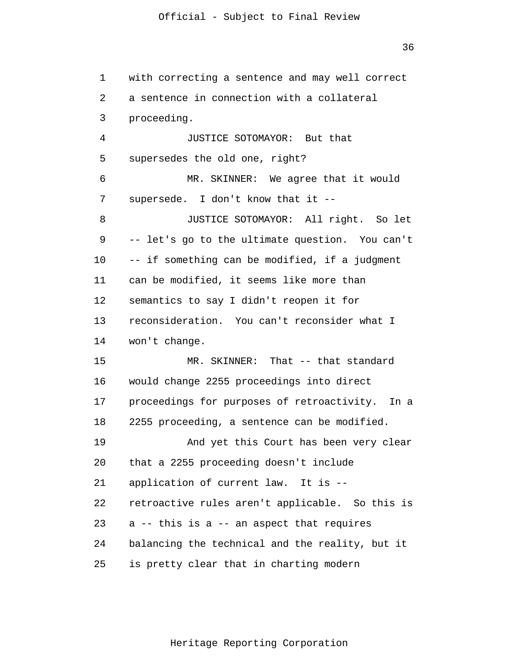36

1 2 3 4 5 6 7 8 9 10 11 12 13 14 15 16 17 18 19 20 21 22 23 24 25 with correcting a sentence and may well correct a sentence in connection with a collateral proceeding. JUSTICE SOTOMAYOR: But that supersedes the old one, right? MR. SKINNER: We agree that it would supersede. I don't know that it -- JUSTICE SOTOMAYOR: All right. So let -- let's go to the ultimate question. You can't -- if something can be modified, if a judgment can be modified, it seems like more than semantics to say I didn't reopen it for reconsideration. You can't reconsider what I won't change. MR. SKINNER: That -- that standard would change 2255 proceedings into direct proceedings for purposes of retroactivity. In a 2255 proceeding, a sentence can be modified. And yet this Court has been very clear that a 2255 proceeding doesn't include application of current law. It is - retroactive rules aren't applicable. So this is a -- this is a -- an aspect that requires balancing the technical and the reality, but it is pretty clear that in charting modern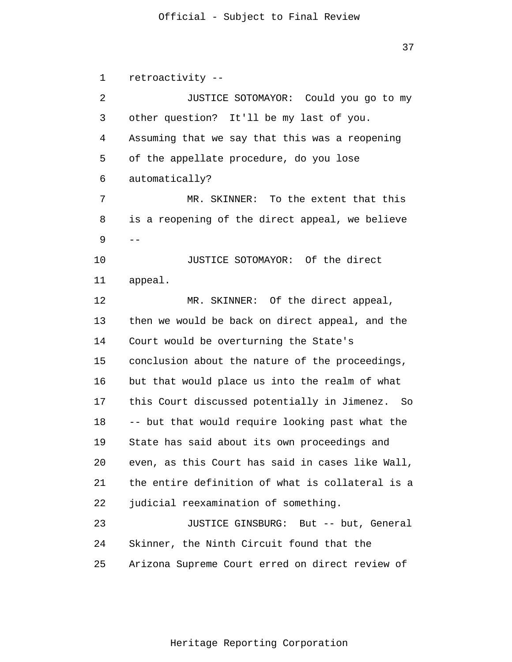37

1  $\overline{2}$ 3 4 5 6 7 8 9 10 11 12 13 14 15 16 17 18 19 20 21 22 23 24 25  $$ retroactivity -- JUSTICE SOTOMAYOR: Could you go to my other question? It'll be my last of you. Assuming that we say that this was a reopening of the appellate procedure, do you lose automatically? MR. SKINNER: To the extent that this is a reopening of the direct appeal, we believe JUSTICE SOTOMAYOR: Of the direct appeal. MR. SKINNER: Of the direct appeal, then we would be back on direct appeal, and the Court would be overturning the State's conclusion about the nature of the proceedings, but that would place us into the realm of what this Court discussed potentially in Jimenez. So -- but that would require looking past what the State has said about its own proceedings and even, as this Court has said in cases like Wall, the entire definition of what is collateral is a judicial reexamination of something. JUSTICE GINSBURG: But -- but, General Skinner, the Ninth Circuit found that the Arizona Supreme Court erred on direct review of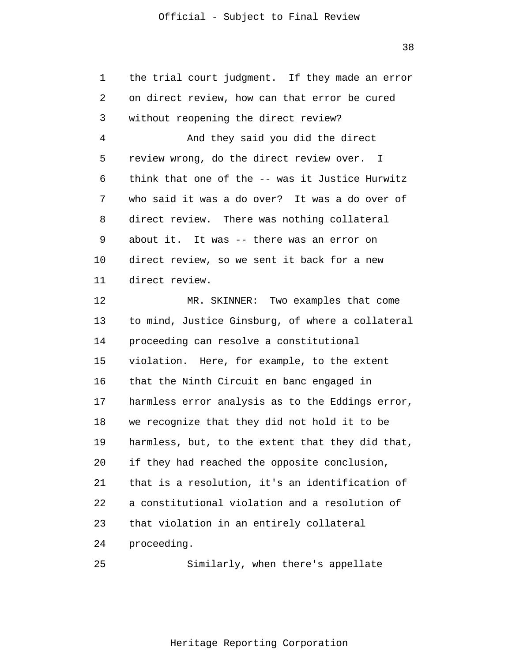38

| 1  | the trial court judgment. If they made an error  |
|----|--------------------------------------------------|
| 2  | on direct review, how can that error be cured    |
| 3  | without reopening the direct review?             |
| 4  | And they said you did the direct                 |
| 5  | review wrong, do the direct review over. I       |
| 6  | think that one of the -- was it Justice Hurwitz  |
| 7  | who said it was a do over? It was a do over of   |
| 8  | direct review. There was nothing collateral      |
| 9  | about it. It was -- there was an error on        |
| 10 | direct review, so we sent it back for a new      |
| 11 | direct review.                                   |
| 12 | MR. SKINNER: Two examples that come              |
| 13 | to mind, Justice Ginsburg, of where a collateral |
| 14 | proceeding can resolve a constitutional          |
| 15 | violation. Here, for example, to the extent      |
| 16 | that the Ninth Circuit en banc engaged in        |
| 17 | harmless error analysis as to the Eddings error, |
| 18 | we recognize that they did not hold it to be     |
| 19 | harmless, but, to the extent that they did that, |
| 20 | if they had reached the opposite conclusion,     |
| 21 | that is a resolution, it's an identification of  |
| 22 | a constitutional violation and a resolution of   |
| 23 | that violation in an entirely collateral         |
| 24 | proceeding.                                      |

25 Similarly, when there's appellate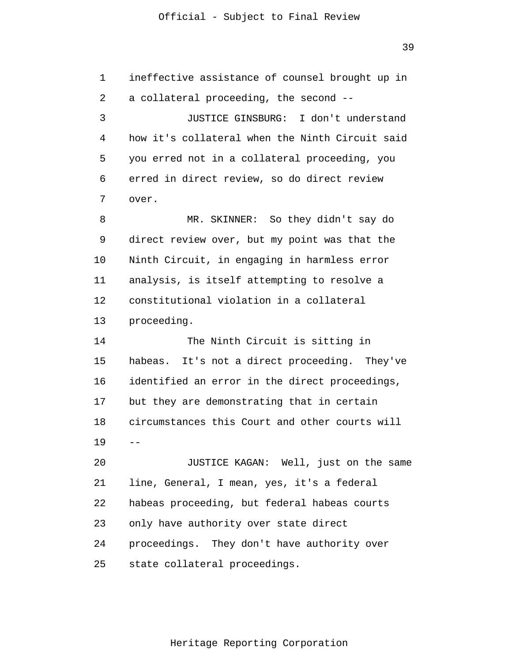39

1 2 3 4 5 6 7 8 9 10 11 12 13 14 15 16 17 18 19 20 21 22 23 24 25 - ineffective assistance of counsel brought up in a collateral proceeding, the second -- JUSTICE GINSBURG: I don't understand how it's collateral when the Ninth Circuit said you erred not in a collateral proceeding, you erred in direct review, so do direct review over. MR. SKINNER: So they didn't say do direct review over, but my point was that the Ninth Circuit, in engaging in harmless error analysis, is itself attempting to resolve a constitutional violation in a collateral proceeding. The Ninth Circuit is sitting in habeas. It's not a direct proceeding. They've identified an error in the direct proceedings, but they are demonstrating that in certain circumstances this Court and other courts will JUSTICE KAGAN: Well, just on the same line, General, I mean, yes, it's a federal habeas proceeding, but federal habeas courts only have authority over state direct proceedings. They don't have authority over state collateral proceedings.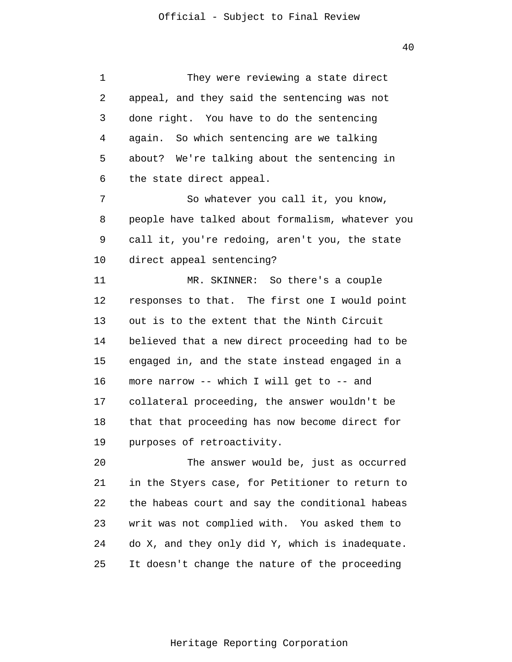1 2 3 4 5 6 7 8 9 10 11 12 13 14 15 16 17 18 19 20 21 22 23 24 25 They were reviewing a state direct appeal, and they said the sentencing was not done right. You have to do the sentencing again. So which sentencing are we talking about? We're talking about the sentencing in the state direct appeal. So whatever you call it, you know, people have talked about formalism, whatever you call it, you're redoing, aren't you, the state direct appeal sentencing? MR. SKINNER: So there's a couple responses to that. The first one I would point out is to the extent that the Ninth Circuit believed that a new direct proceeding had to be engaged in, and the state instead engaged in a more narrow -- which I will get to -- and collateral proceeding, the answer wouldn't be that that proceeding has now become direct for purposes of retroactivity. The answer would be, just as occurred in the Styers case, for Petitioner to return to the habeas court and say the conditional habeas writ was not complied with. You asked them to do X, and they only did Y, which is inadequate. It doesn't change the nature of the proceeding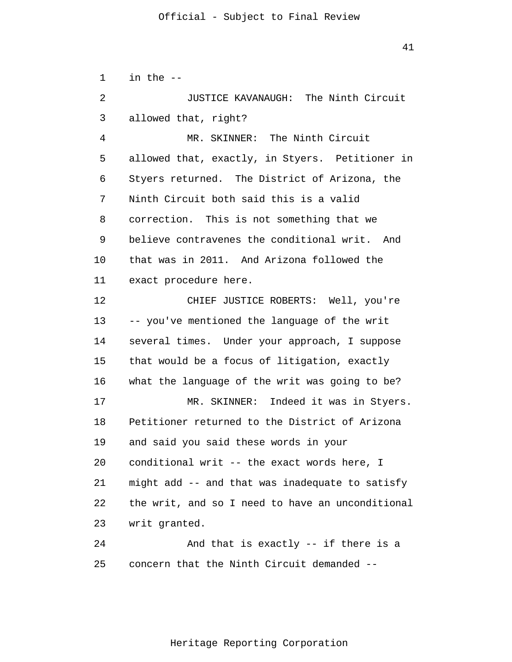1  $\overline{2}$ 3 4 5 6 7 8 9 10 11 12 13 14 15 16 17 18 19 20 21 22 23 24 25 in the -- JUSTICE KAVANAUGH: The Ninth Circuit allowed that, right? MR. SKINNER: The Ninth Circuit allowed that, exactly, in Styers. Petitioner in Styers returned. The District of Arizona, the Ninth Circuit both said this is a valid correction. This is not something that we believe contravenes the conditional writ. And that was in 2011. And Arizona followed the exact procedure here. CHIEF JUSTICE ROBERTS: Well, you're -- you've mentioned the language of the writ several times. Under your approach, I suppose that would be a focus of litigation, exactly what the language of the writ was going to be? MR. SKINNER: Indeed it was in Styers. Petitioner returned to the District of Arizona and said you said these words in your conditional writ -- the exact words here, I might add -- and that was inadequate to satisfy the writ, and so I need to have an unconditional writ granted. And that is exactly -- if there is a concern that the Ninth Circuit demanded --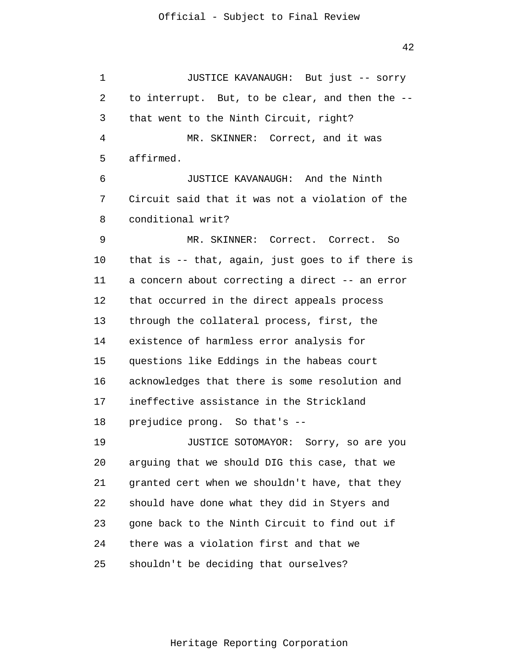1 2 3 4 5 6 7 8 9 10 11 12 13 14 15 16 17 18 19 20 21 22 23 24 25 JUSTICE KAVANAUGH: But just -- sorry to interrupt. But, to be clear, and then the -that went to the Ninth Circuit, right? MR. SKINNER: Correct, and it was affirmed. JUSTICE KAVANAUGH: And the Ninth Circuit said that it was not a violation of the conditional writ? MR. SKINNER: Correct. Correct. So that is -- that, again, just goes to if there is a concern about correcting a direct -- an error that occurred in the direct appeals process through the collateral process, first, the existence of harmless error analysis for questions like Eddings in the habeas court acknowledges that there is some resolution and ineffective assistance in the Strickland prejudice prong. So that's -- JUSTICE SOTOMAYOR: Sorry, so are you arguing that we should DIG this case, that we granted cert when we shouldn't have, that they should have done what they did in Styers and gone back to the Ninth Circuit to find out if there was a violation first and that we shouldn't be deciding that ourselves?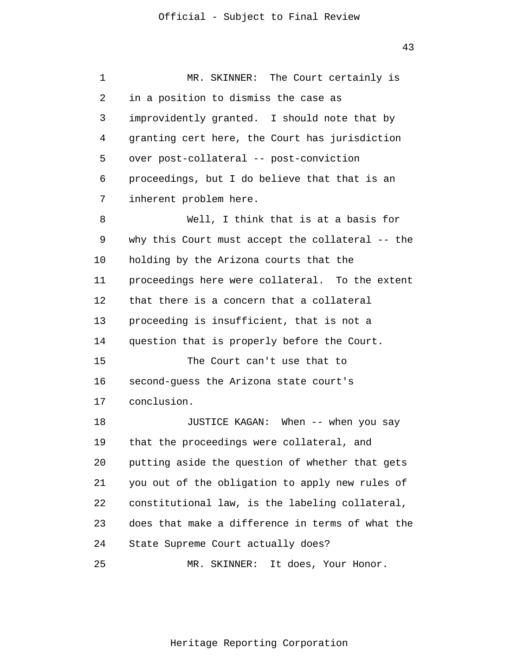1 2 3 4 5 6 7 8 9 10 11 12 13 14 15 16 17 18 19 20 21 22 23 24 25 MR. SKINNER: The Court certainly is in a position to dismiss the case as improvidently granted. I should note that by granting cert here, the Court has jurisdiction over post-collateral -- post-conviction proceedings, but I do believe that that is an inherent problem here. Well, I think that is at a basis for why this Court must accept the collateral -- the holding by the Arizona courts that the proceedings here were collateral. To the extent that there is a concern that a collateral proceeding is insufficient, that is not a question that is properly before the Court. The Court can't use that to second-guess the Arizona state court's conclusion. JUSTICE KAGAN: When -- when you say that the proceedings were collateral, and putting aside the question of whether that gets you out of the obligation to apply new rules of constitutional law, is the labeling collateral, does that make a difference in terms of what the State Supreme Court actually does? MR. SKINNER: It does, Your Honor.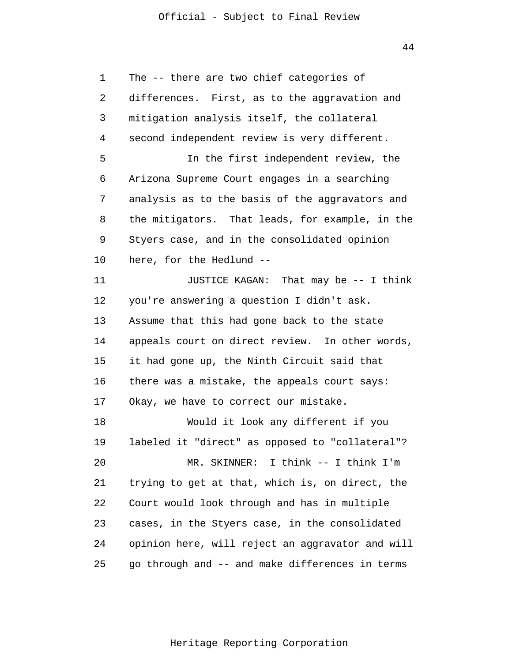44

1 2 3 4 5 6 7 8 9 10 11 12 13 14 15 16 17 18 19 20 21 22 23 24 25 The -- there are two chief categories of differences. First, as to the aggravation and mitigation analysis itself, the collateral second independent review is very different. In the first independent review, the Arizona Supreme Court engages in a searching analysis as to the basis of the aggravators and the mitigators. That leads, for example, in the Styers case, and in the consolidated opinion here, for the Hedlund -- JUSTICE KAGAN: That may be -- I think you're answering a question I didn't ask. Assume that this had gone back to the state appeals court on direct review. In other words, it had gone up, the Ninth Circuit said that there was a mistake, the appeals court says: Okay, we have to correct our mistake. Would it look any different if you labeled it "direct" as opposed to "collateral"? MR. SKINNER: I think -- I think I'm trying to get at that, which is, on direct, the Court would look through and has in multiple cases, in the Styers case, in the consolidated opinion here, will reject an aggravator and will go through and -- and make differences in terms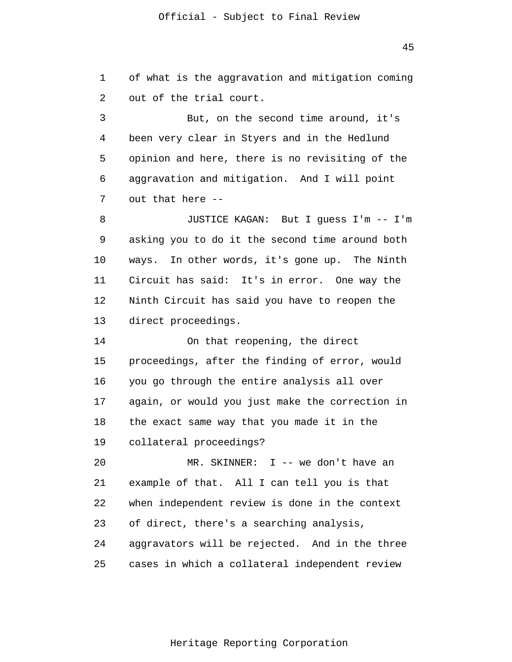1  $\overline{2}$ of what is the aggravation and mitigation coming out of the trial court.

3 4 5 6 7 But, on the second time around, it's been very clear in Styers and in the Hedlund opinion and here, there is no revisiting of the aggravation and mitigation. And I will point out that here --

8 9 10 11 12 13 JUSTICE KAGAN: But I guess I'm -- I'm asking you to do it the second time around both ways. In other words, it's gone up. The Ninth Circuit has said: It's in error. One way the Ninth Circuit has said you have to reopen the direct proceedings.

14 15 16 17 18 19 On that reopening, the direct proceedings, after the finding of error, would you go through the entire analysis all over again, or would you just make the correction in the exact same way that you made it in the collateral proceedings?

20 21 22 23 24 25 MR. SKINNER: I -- we don't have an example of that. All I can tell you is that when independent review is done in the context of direct, there's a searching analysis, aggravators will be rejected. And in the three cases in which a collateral independent review

45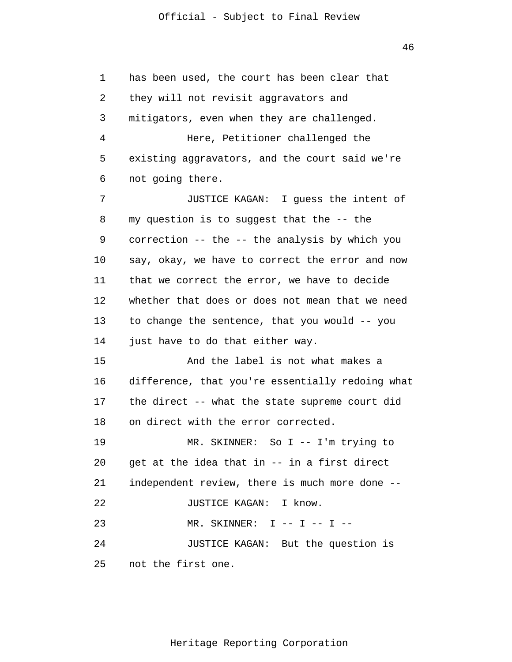46

1  $\overline{2}$ 3 4 5 6 7 8 9 10 11 12 13 14 15 16 17 18 19 20 21 22 23 24 25 has been used, the court has been clear that they will not revisit aggravators and mitigators, even when they are challenged. Here, Petitioner challenged the existing aggravators, and the court said we're not going there. JUSTICE KAGAN: I guess the intent of my question is to suggest that the -- the correction -- the -- the analysis by which you say, okay, we have to correct the error and now that we correct the error, we have to decide whether that does or does not mean that we need to change the sentence, that you would -- you just have to do that either way. And the label is not what makes a difference, that you're essentially redoing what the direct -- what the state supreme court did on direct with the error corrected. MR. SKINNER: So I -- I'm trying to get at the idea that in -- in a first direct independent review, there is much more done -- JUSTICE KAGAN: I know.  $MR.$  SKINNER: I -- I -- I --JUSTICE KAGAN: But the question is not the first one.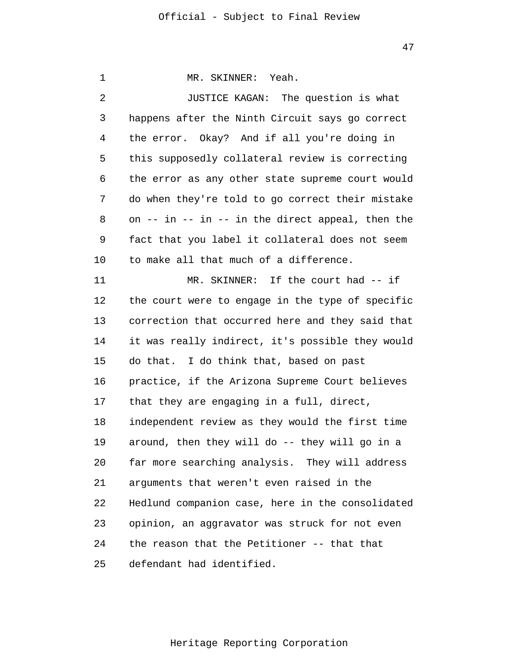| 1  | MR. SKINNER: Yeah.                                     |
|----|--------------------------------------------------------|
| 2  | JUSTICE KAGAN: The question is what                    |
| 3  | happens after the Ninth Circuit says go correct        |
| 4  | the error. Okay? And if all you're doing in            |
| 5  | this supposedly collateral review is correcting        |
| 6  | the error as any other state supreme court would       |
| 7  | do when they're told to go correct their mistake       |
| 8  | on $--$ in $--$ in $--$ in the direct appeal, then the |
| 9  | fact that you label it collateral does not seem        |
| 10 | to make all that much of a difference.                 |
| 11 | MR. SKINNER: If the court had -- if                    |
| 12 | the court were to engage in the type of specific       |
| 13 | correction that occurred here and they said that       |
| 14 | it was really indirect, it's possible they would       |
| 15 | do that. I do think that, based on past                |
| 16 | practice, if the Arizona Supreme Court believes        |
| 17 | that they are engaging in a full, direct,              |
| 18 | independent review as they would the first time        |
| 19 | around, then they will do -- they will go in a         |
| 20 | far more searching analysis. They will address         |
| 21 | arguments that weren't even raised in the              |
| 22 | Hedlund companion case, here in the consolidated       |
| 23 | opinion, an aggravator was struck for not even         |
| 24 | the reason that the Petitioner -- that that            |
| 25 | defendant had identified.                              |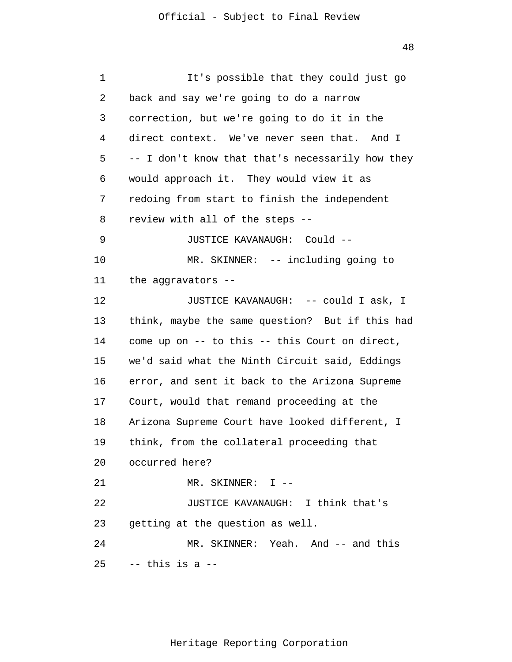| 1  | It's possible that they could just go            |
|----|--------------------------------------------------|
| 2  | back and say we're going to do a narrow          |
| 3  | correction, but we're going to do it in the      |
| 4  | direct context. We've never seen that. And I     |
| 5  | -- I don't know that that's necessarily how they |
| 6  | would approach it. They would view it as         |
| 7  | redoing from start to finish the independent     |
| 8  | review with all of the steps --                  |
| 9  | JUSTICE KAVANAUGH: Could --                      |
| 10 | MR. SKINNER: -- including going to               |
| 11 | the aggravators --                               |
| 12 | JUSTICE KAVANAUGH: -- could I ask, I             |
| 13 | think, maybe the same question? But if this had  |
| 14 | come up on -- to this -- this Court on direct,   |
| 15 | we'd said what the Ninth Circuit said, Eddings   |
| 16 | error, and sent it back to the Arizona Supreme   |
| 17 | Court, would that remand proceeding at the       |
| 18 | Arizona Supreme Court have looked different, I   |
| 19 | think, from the collateral proceeding that       |
|    | 20 occurred here?                                |
| 21 | MR. SKINNER: I --                                |
| 22 | JUSTICE KAVANAUGH: I think that's                |
| 23 | getting at the question as well.                 |
| 24 | MR. SKINNER: Yeah. And -- and this               |
| 25 | -- this is a --                                  |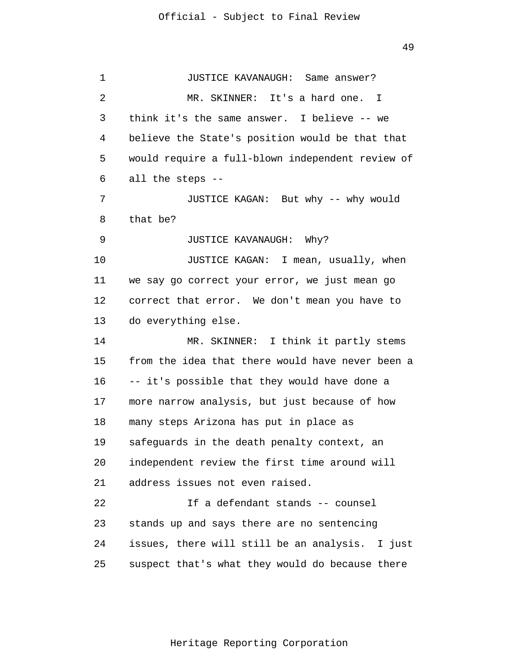1 2 3 4 5 6 7 8 9 10 11 12 13 14 15 16 17 18 19 20 21 22 23 24 25 JUSTICE KAVANAUGH: Same answer? MR. SKINNER: It's a hard one. I think it's the same answer. I believe -- we believe the State's position would be that that would require a full-blown independent review of all the steps -- JUSTICE KAGAN: But why -- why would that be? JUSTICE KAVANAUGH: Why? JUSTICE KAGAN: I mean, usually, when we say go correct your error, we just mean go correct that error. We don't mean you have to do everything else. MR. SKINNER: I think it partly stems from the idea that there would have never been a -- it's possible that they would have done a more narrow analysis, but just because of how many steps Arizona has put in place as safeguards in the death penalty context, an independent review the first time around will address issues not even raised. If a defendant stands -- counsel stands up and says there are no sentencing issues, there will still be an analysis. I just suspect that's what they would do because there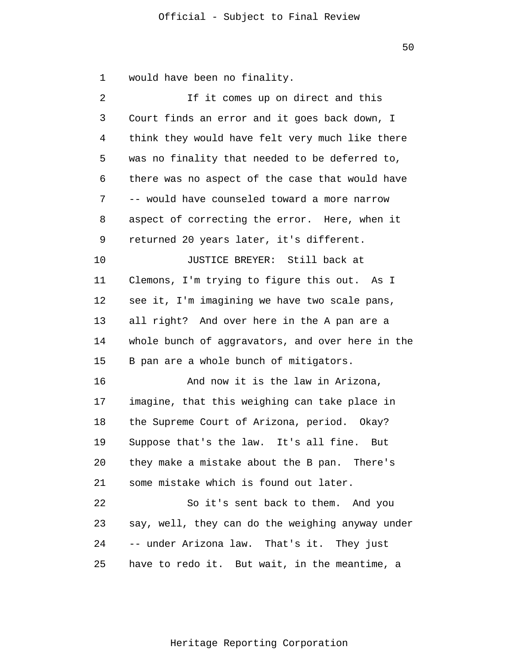$\overline{2}$ 3 4 If it comes up on direct and this Court finds an error and it goes back down, I think they would have felt very much like there

would have been no finality.

1

5

6 7 8 9 there was no aspect of the case that would have -- would have counseled toward a more narrow aspect of correcting the error. Here, when it returned 20 years later, it's different.

was no finality that needed to be deferred to,

10 11 12 13 14 15 JUSTICE BREYER: Still back at Clemons, I'm trying to figure this out. As I see it, I'm imagining we have two scale pans, all right? And over here in the A pan are a whole bunch of aggravators, and over here in the B pan are a whole bunch of mitigators.

16 17 18 19 20 21 And now it is the law in Arizona, imagine, that this weighing can take place in the Supreme Court of Arizona, period. Okay? Suppose that's the law. It's all fine. But they make a mistake about the B pan. There's some mistake which is found out later.

22 23 24 25 So it's sent back to them. And you say, well, they can do the weighing anyway under -- under Arizona law. That's it. They just have to redo it. But wait, in the meantime, a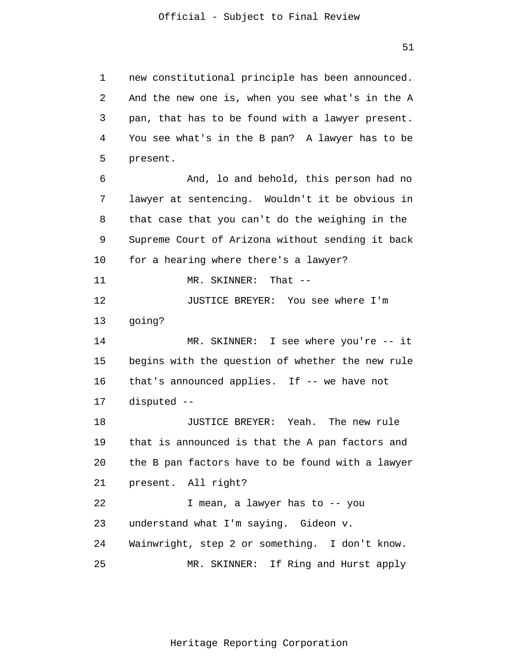1 2 3 4 5 6 7 8 9 10 11 12 13 14 15 16 17 18 19 20 21 22 23 24 25 new constitutional principle has been announced. And the new one is, when you see what's in the A pan, that has to be found with a lawyer present. You see what's in the B pan? A lawyer has to be present. And, lo and behold, this person had no lawyer at sentencing. Wouldn't it be obvious in that case that you can't do the weighing in the Supreme Court of Arizona without sending it back for a hearing where there's a lawyer? MR. SKINNER: That -- JUSTICE BREYER: You see where I'm going? MR. SKINNER: I see where you're -- it begins with the question of whether the new rule that's announced applies. If -- we have not disputed -- JUSTICE BREYER: Yeah. The new rule that is announced is that the A pan factors and the B pan factors have to be found with a lawyer present. All right? I mean, a lawyer has to -- you understand what I'm saying. Gideon v. Wainwright, step 2 or something. I don't know. MR. SKINNER: If Ring and Hurst apply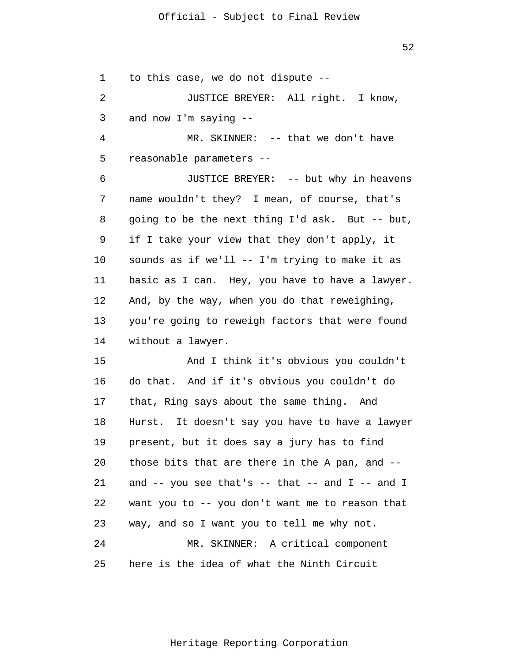52

1 to this case, we do not dispute --

 $\overline{2}$ 3 JUSTICE BREYER: All right. I know, and now I'm saying --

4 5 MR. SKINNER: -- that we don't have reasonable parameters --

6 7 8 9 10 11 12 13 14 JUSTICE BREYER: -- but why in heavens name wouldn't they? I mean, of course, that's going to be the next thing I'd ask. But -- but, if I take your view that they don't apply, it sounds as if we'll -- I'm trying to make it as basic as I can. Hey, you have to have a lawyer. And, by the way, when you do that reweighing, you're going to reweigh factors that were found without a lawyer.

15 16 17 18 19 20 21 22 23 24 25 And I think it's obvious you couldn't do that. And if it's obvious you couldn't do that, Ring says about the same thing. And Hurst. It doesn't say you have to have a lawyer present, but it does say a jury has to find those bits that are there in the A pan, and - and  $-$  you see that's  $-$  that  $-$  and  $I$   $-$  and  $I$ want you to -- you don't want me to reason that way, and so I want you to tell me why not. MR. SKINNER: A critical component here is the idea of what the Ninth Circuit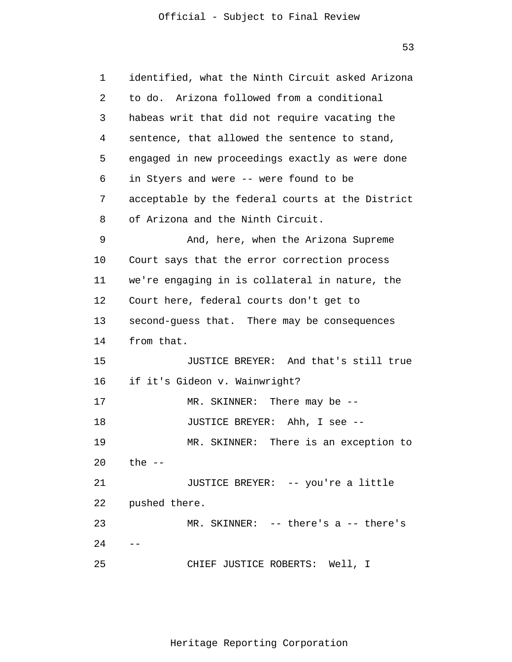| 1  | identified, what the Ninth Circuit asked Arizona |  |  |
|----|--------------------------------------------------|--|--|
| 2  | to do. Arizona followed from a conditional       |  |  |
| 3  | habeas writ that did not require vacating the    |  |  |
| 4  | sentence, that allowed the sentence to stand,    |  |  |
| 5  | engaged in new proceedings exactly as were done  |  |  |
| 6  | in Styers and were -- were found to be           |  |  |
| 7  | acceptable by the federal courts at the District |  |  |
| 8  | of Arizona and the Ninth Circuit.                |  |  |
| 9  | And, here, when the Arizona Supreme              |  |  |
| 10 | Court says that the error correction process     |  |  |
| 11 | we're engaging in is collateral in nature, the   |  |  |
| 12 | Court here, federal courts don't get to          |  |  |
| 13 | second-guess that. There may be consequences     |  |  |
| 14 | from that.                                       |  |  |
| 15 | JUSTICE BREYER: And that's still true            |  |  |
| 16 | if it's Gideon v. Wainwright?                    |  |  |
| 17 | MR. SKINNER: There may be $-$ -                  |  |  |
| 18 | JUSTICE BREYER: Ahh, I see --                    |  |  |
| 19 | MR. SKINNER: There is an exception to            |  |  |
| 20 | the --                                           |  |  |
| 21 | JUSTICE BREYER: -- you're a little               |  |  |
| 22 | pushed there.                                    |  |  |
| 23 | MR. SKINNER: -- there's a -- there's             |  |  |
| 24 |                                                  |  |  |
| 25 | CHIEF JUSTICE ROBERTS: Well, I                   |  |  |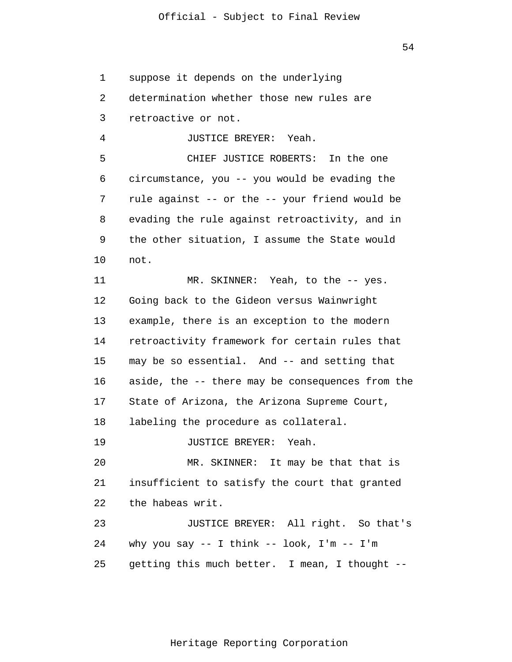1  $\overline{2}$ 3 4 5 6 7 8 9 10 11 12 13 14 15 16 17 18 19 20 21 22 23 24 25 suppose it depends on the underlying determination whether those new rules are retroactive or not. JUSTICE BREYER: Yeah. CHIEF JUSTICE ROBERTS: In the one circumstance, you -- you would be evading the rule against -- or the -- your friend would be evading the rule against retroactivity, and in the other situation, I assume the State would not. MR. SKINNER: Yeah, to the -- yes. Going back to the Gideon versus Wainwright example, there is an exception to the modern retroactivity framework for certain rules that may be so essential. And -- and setting that aside, the -- there may be consequences from the State of Arizona, the Arizona Supreme Court, labeling the procedure as collateral. JUSTICE BREYER: Yeah. MR. SKINNER: It may be that that is insufficient to satisfy the court that granted the habeas writ. JUSTICE BREYER: All right. So that's why you say  $--$  I think  $--$  look, I'm  $--$  I'm getting this much better. I mean, I thought --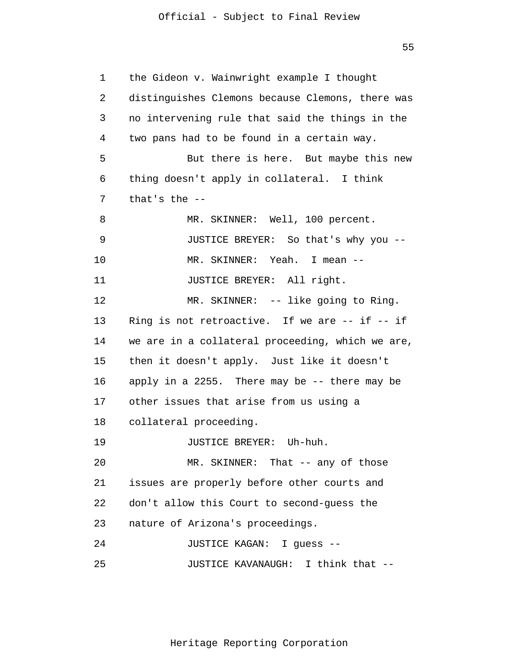55

1  $\overline{2}$ 3 4 5 6 7 8 9 10 11 12 13 14 15 16 17 18 19 20 21 22 23 24 25 the Gideon v. Wainwright example I thought distinguishes Clemons because Clemons, there was no intervening rule that said the things in the two pans had to be found in a certain way. But there is here. But maybe this new thing doesn't apply in collateral. I think that's the -- MR. SKINNER: Well, 100 percent. JUSTICE BREYER: So that's why you -- MR. SKINNER: Yeah. I mean -- JUSTICE BREYER: All right. MR. SKINNER: -- like going to Ring. Ring is not retroactive. If we are -- if -- if we are in a collateral proceeding, which we are, then it doesn't apply. Just like it doesn't apply in a 2255. There may be -- there may be other issues that arise from us using a collateral proceeding. JUSTICE BREYER: Uh-huh. MR. SKINNER: That -- any of those issues are properly before other courts and don't allow this Court to second-guess the nature of Arizona's proceedings. JUSTICE KAGAN: I guess -- JUSTICE KAVANAUGH: I think that --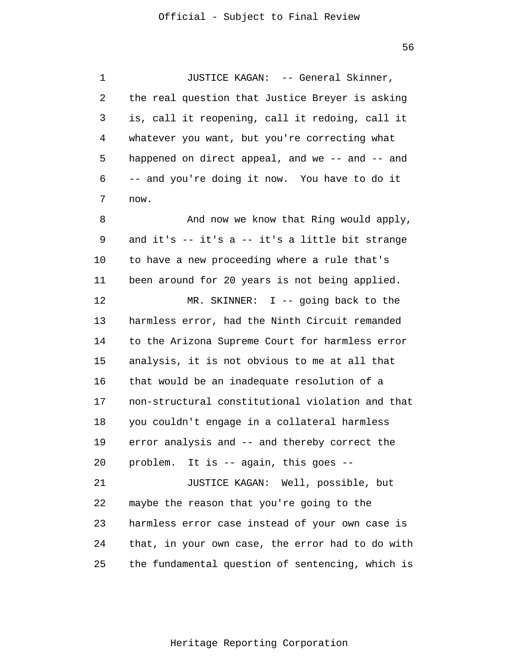1 2 3 4 5 6 7 8 9 10 11 12 13 14 15 16 17 18 19 20 21 22 23 24 25 JUSTICE KAGAN: -- General Skinner, the real question that Justice Breyer is asking is, call it reopening, call it redoing, call it whatever you want, but you're correcting what happened on direct appeal, and we -- and -- and -- and you're doing it now. You have to do it now. And now we know that Ring would apply, and it's -- it's a -- it's a little bit strange to have a new proceeding where a rule that's been around for 20 years is not being applied. MR. SKINNER: I -- going back to the harmless error, had the Ninth Circuit remanded to the Arizona Supreme Court for harmless error analysis, it is not obvious to me at all that that would be an inadequate resolution of a non-structural constitutional violation and that you couldn't engage in a collateral harmless error analysis and -- and thereby correct the problem. It is -- again, this goes -- JUSTICE KAGAN: Well, possible, but maybe the reason that you're going to the harmless error case instead of your own case is that, in your own case, the error had to do with the fundamental question of sentencing, which is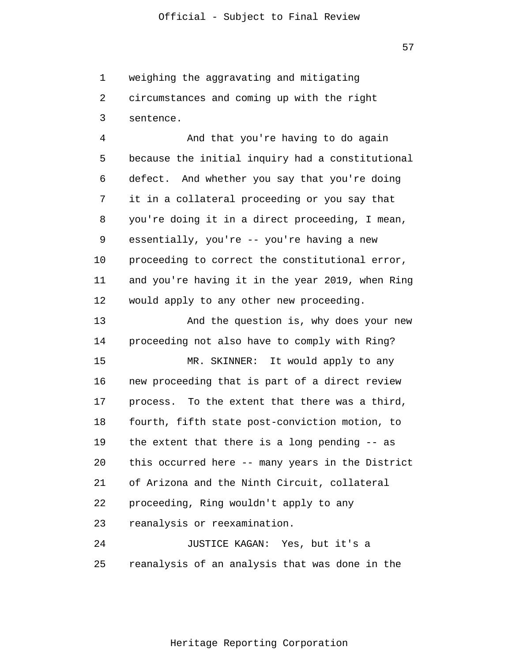1  $\overline{2}$ 3 weighing the aggravating and mitigating circumstances and coming up with the right sentence.

4 5 6 7 8 9 10 11 12 And that you're having to do again because the initial inquiry had a constitutional defect. And whether you say that you're doing it in a collateral proceeding or you say that you're doing it in a direct proceeding, I mean, essentially, you're -- you're having a new proceeding to correct the constitutional error, and you're having it in the year 2019, when Ring would apply to any other new proceeding.

13 14 And the question is, why does your new proceeding not also have to comply with Ring?

15 16 17 18 19 20 21 22 23 MR. SKINNER: It would apply to any new proceeding that is part of a direct review process. To the extent that there was a third, fourth, fifth state post-conviction motion, to the extent that there is a long pending -- as this occurred here -- many years in the District of Arizona and the Ninth Circuit, collateral proceeding, Ring wouldn't apply to any reanalysis or reexamination.

24 25 JUSTICE KAGAN: Yes, but it's a reanalysis of an analysis that was done in the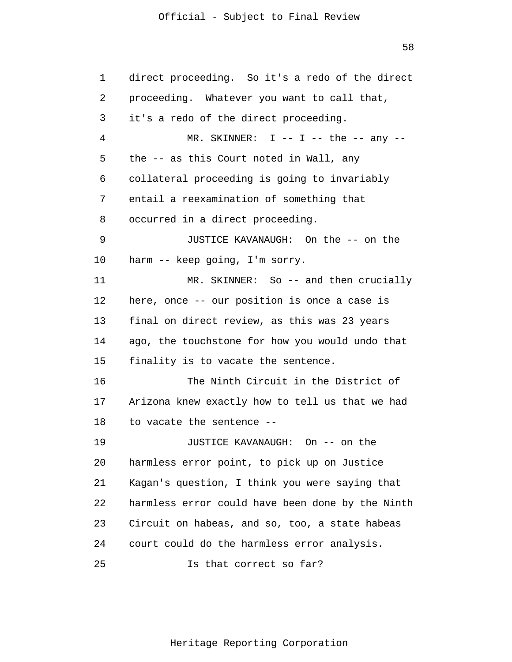58

| 1  | direct proceeding. So it's a redo of the direct  |
|----|--------------------------------------------------|
| 2  | proceeding. Whatever you want to call that,      |
| 3  | it's a redo of the direct proceeding.            |
| 4  | MR. SKINNER: $I$ -- $I$ -- the -- any --         |
| 5  | the -- as this Court noted in Wall, any          |
| 6  | collateral proceeding is going to invariably     |
| 7  | entail a reexamination of something that         |
| 8  | occurred in a direct proceeding.                 |
| 9  | JUSTICE KAVANAUGH: On the -- on the              |
| 10 | harm -- keep going, I'm sorry.                   |
| 11 | MR. SKINNER: So -- and then crucially            |
| 12 | here, once -- our position is once a case is     |
| 13 | final on direct review, as this was 23 years     |
| 14 | ago, the touchstone for how you would undo that  |
| 15 | finality is to vacate the sentence.              |
| 16 | The Ninth Circuit in the District of             |
| 17 | Arizona knew exactly how to tell us that we had  |
| 18 | to vacate the sentence --                        |
| 19 | JUSTICE KAVANAUGH: On -- on the                  |
| 20 | harmless error point, to pick up on Justice      |
| 21 | Kagan's question, I think you were saying that   |
| 22 | harmless error could have been done by the Ninth |
| 23 | Circuit on habeas, and so, too, a state habeas   |
| 24 | court could do the harmless error analysis.      |
| 25 | Is that correct so far?                          |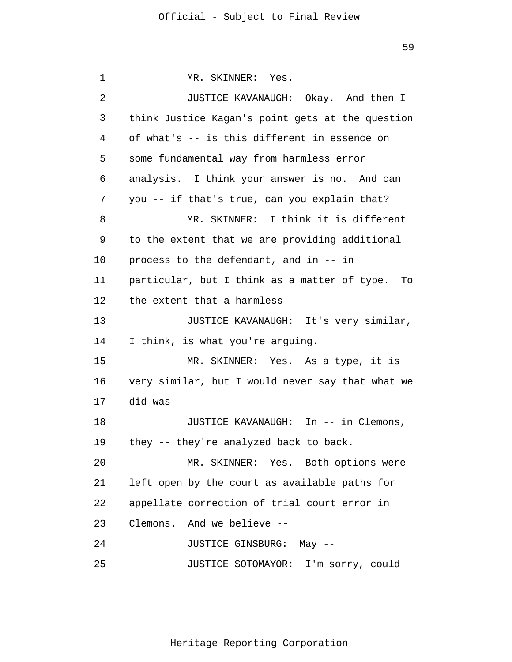1 2 3 4 5 6 7 8 9 10 11 12 13 14 15 16 17 18 19 20 21 22 23 24 25 MR. SKINNER: Yes. JUSTICE KAVANAUGH: Okay. And then I think Justice Kagan's point gets at the question of what's -- is this different in essence on some fundamental way from harmless error analysis. I think your answer is no. And can you -- if that's true, can you explain that? MR. SKINNER: I think it is different to the extent that we are providing additional process to the defendant, and in -- in particular, but I think as a matter of type. To the extent that a harmless -- JUSTICE KAVANAUGH: It's very similar, I think, is what you're arguing. MR. SKINNER: Yes. As a type, it is very similar, but I would never say that what we did was -- JUSTICE KAVANAUGH: In -- in Clemons, they -- they're analyzed back to back. MR. SKINNER: Yes. Both options were left open by the court as available paths for appellate correction of trial court error in Clemons. And we believe -- JUSTICE GINSBURG: May -- JUSTICE SOTOMAYOR: I'm sorry, could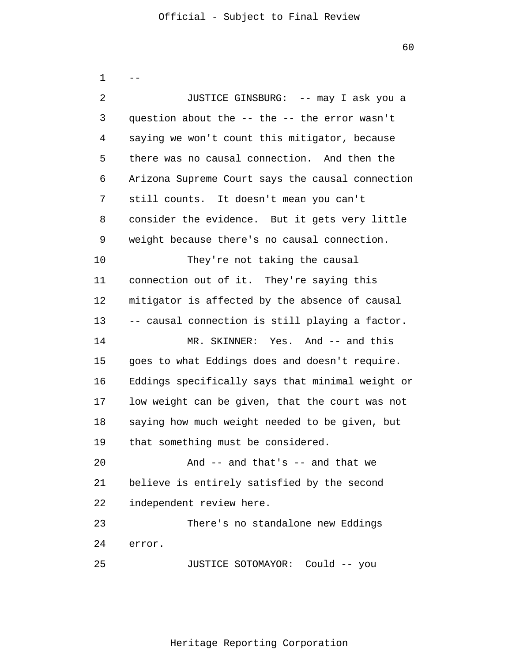1  $\overline{2}$ 3 4 5 6 7 8 9 10 11 12 13 14 15 16 17 18 19 20 21 22 23 24 25 -- JUSTICE GINSBURG: -- may I ask you a question about the -- the -- the error wasn't saying we won't count this mitigator, because there was no causal connection. And then the Arizona Supreme Court says the causal connection still counts. It doesn't mean you can't consider the evidence. But it gets very little weight because there's no causal connection. They're not taking the causal connection out of it. They're saying this mitigator is affected by the absence of causal -- causal connection is still playing a factor. MR. SKINNER: Yes. And -- and this goes to what Eddings does and doesn't require. Eddings specifically says that minimal weight or low weight can be given, that the court was not saying how much weight needed to be given, but that something must be considered. And -- and that's -- and that we believe is entirely satisfied by the second independent review here. There's no standalone new Eddings error. JUSTICE SOTOMAYOR: Could -- you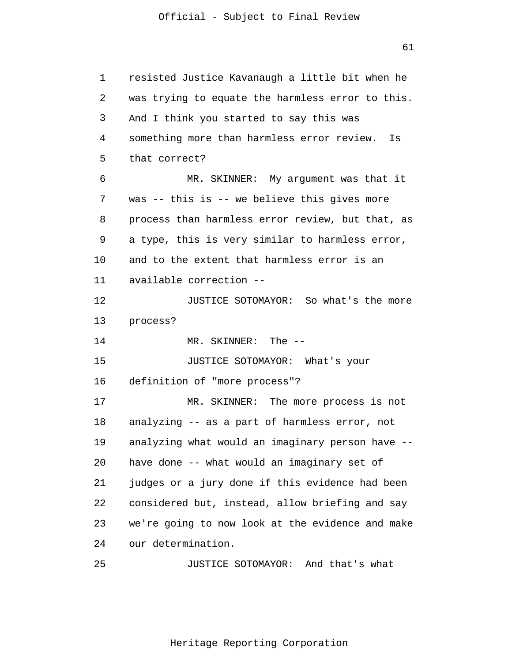1 2 3 4 5 6 7 8 9 10 11 12 13 14 15 16 17 18 19 20 21 22 23 24 25 resisted Justice Kavanaugh a little bit when he was trying to equate the harmless error to this. And I think you started to say this was something more than harmless error review. Is that correct? MR. SKINNER: My argument was that it was -- this is -- we believe this gives more process than harmless error review, but that, as a type, this is very similar to harmless error, and to the extent that harmless error is an available correction -- JUSTICE SOTOMAYOR: So what's the more process? MR. SKINNER: The -- JUSTICE SOTOMAYOR: What's your definition of "more process"? MR. SKINNER: The more process is not analyzing -- as a part of harmless error, not analyzing what would an imaginary person have - have done -- what would an imaginary set of judges or a jury done if this evidence had been considered but, instead, allow briefing and say we're going to now look at the evidence and make our determination. JUSTICE SOTOMAYOR: And that's what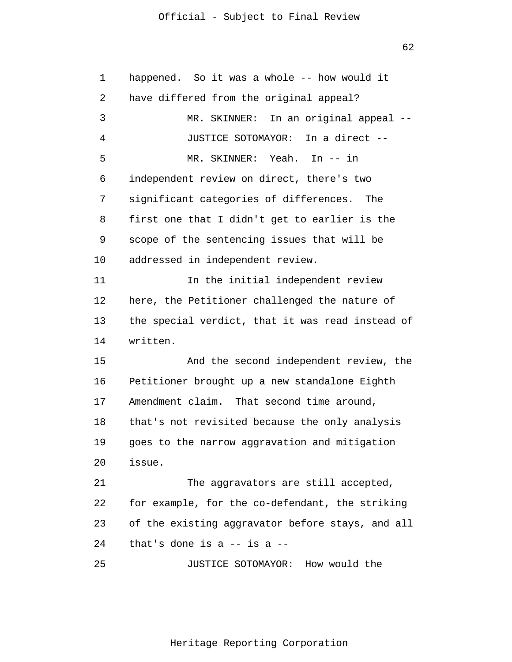62

| 1  | happened. So it was a whole -- how would it      |  |  |
|----|--------------------------------------------------|--|--|
| 2  | have differed from the original appeal?          |  |  |
| 3  | MR. SKINNER: In an original appeal --            |  |  |
| 4  | JUSTICE SOTOMAYOR: In a direct --                |  |  |
| 5  | MR. SKINNER: Yeah. In -- in                      |  |  |
| 6  | independent review on direct, there's two        |  |  |
| 7  | significant categories of differences. The       |  |  |
| 8  | first one that I didn't get to earlier is the    |  |  |
| 9  | scope of the sentencing issues that will be      |  |  |
| 10 | addressed in independent review.                 |  |  |
| 11 | In the initial independent review                |  |  |
| 12 | here, the Petitioner challenged the nature of    |  |  |
| 13 | the special verdict, that it was read instead of |  |  |
| 14 | written.                                         |  |  |
| 15 | And the second independent review, the           |  |  |
| 16 | Petitioner brought up a new standalone Eighth    |  |  |
| 17 | Amendment claim. That second time around,        |  |  |
| 18 | that's not revisited because the only analysis   |  |  |
| 19 | goes to the narrow aggravation and mitigation    |  |  |
| 20 | issue.                                           |  |  |
| 21 | The aggravators are still accepted,              |  |  |
| 22 | for example, for the co-defendant, the striking  |  |  |
| 23 | of the existing aggravator before stays, and all |  |  |
| 24 | that's done is a $-$ is a $-$                    |  |  |
| 25 | JUSTICE SOTOMAYOR: How would the                 |  |  |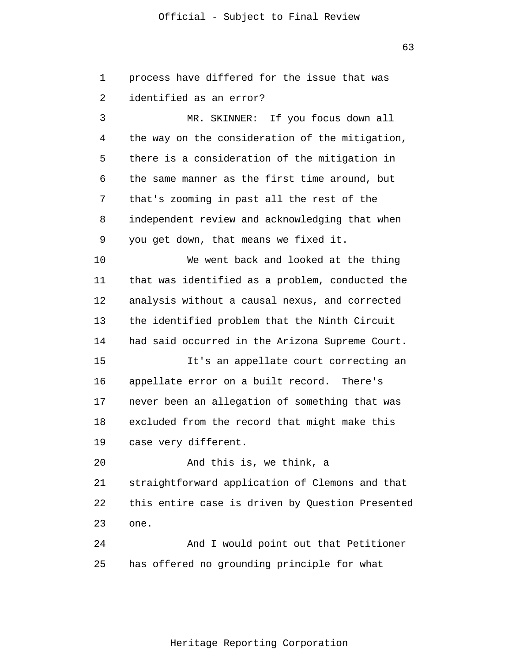1 2 process have differed for the issue that was identified as an error?

3 4 5 6 7 8 9 MR. SKINNER: If you focus down all the way on the consideration of the mitigation, there is a consideration of the mitigation in the same manner as the first time around, but that's zooming in past all the rest of the independent review and acknowledging that when you get down, that means we fixed it.

10 11 12 13 14 15 16 17 We went back and looked at the thing that was identified as a problem, conducted the analysis without a causal nexus, and corrected the identified problem that the Ninth Circuit had said occurred in the Arizona Supreme Court. It's an appellate court correcting an appellate error on a built record. There's never been an allegation of something that was

18 19 excluded from the record that might make this case very different.

20 21 22 23 And this is, we think, a straightforward application of Clemons and that this entire case is driven by Question Presented one.

24 25 And I would point out that Petitioner has offered no grounding principle for what

63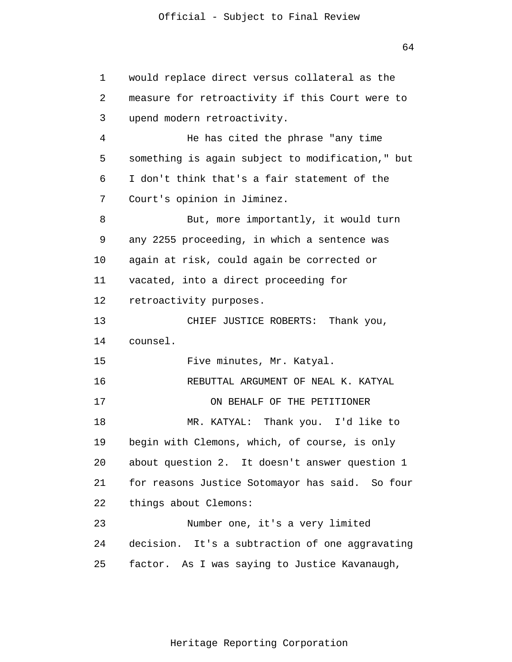64

1  $\overline{2}$ 3 4 5 6 7 8 9 10 11 12 13 14 15 16 17 18 19 20 21 22 23 24 25 would replace direct versus collateral as the measure for retroactivity if this Court were to upend modern retroactivity. He has cited the phrase "any time something is again subject to modification," but I don't think that's a fair statement of the Court's opinion in Jiminez. But, more importantly, it would turn any 2255 proceeding, in which a sentence was again at risk, could again be corrected or vacated, into a direct proceeding for retroactivity purposes. CHIEF JUSTICE ROBERTS: Thank you, counsel. Five minutes, Mr. Katyal. REBUTTAL ARGUMENT OF NEAL K. KATYAL ON BEHALF OF THE PETITIONER MR. KATYAL: Thank you. I'd like to begin with Clemons, which, of course, is only about question 2. It doesn't answer question 1 for reasons Justice Sotomayor has said. So four things about Clemons: Number one, it's a very limited decision. It's a subtraction of one aggravating factor. As I was saying to Justice Kavanaugh,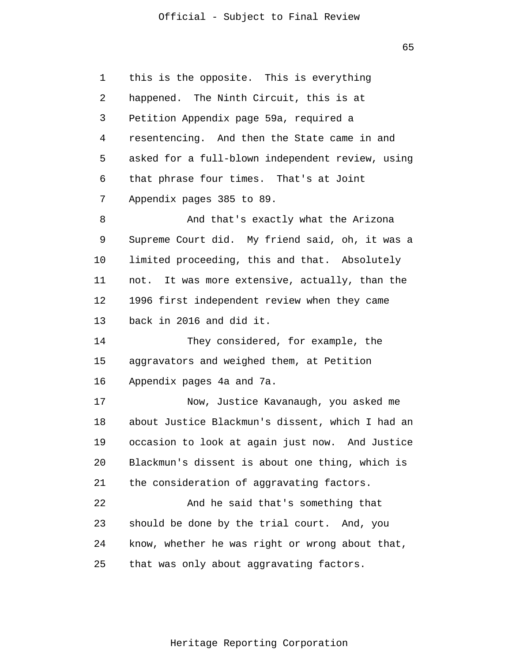65

1  $\overline{2}$ 3 4 5 6 7 8 9 10 11 12 13 14 15 16 17 18 19 20 21 22 23 24 25 this is the opposite. This is everything happened. The Ninth Circuit, this is at Petition Appendix page 59a, required a resentencing. And then the State came in and asked for a full-blown independent review, using that phrase four times. That's at Joint Appendix pages 385 to 89. And that's exactly what the Arizona Supreme Court did. My friend said, oh, it was a limited proceeding, this and that. Absolutely not. It was more extensive, actually, than the 1996 first independent review when they came back in 2016 and did it. They considered, for example, the aggravators and weighed them, at Petition Appendix pages 4a and 7a. Now, Justice Kavanaugh, you asked me about Justice Blackmun's dissent, which I had an occasion to look at again just now. And Justice Blackmun's dissent is about one thing, which is the consideration of aggravating factors. And he said that's something that should be done by the trial court. And, you know, whether he was right or wrong about that, that was only about aggravating factors.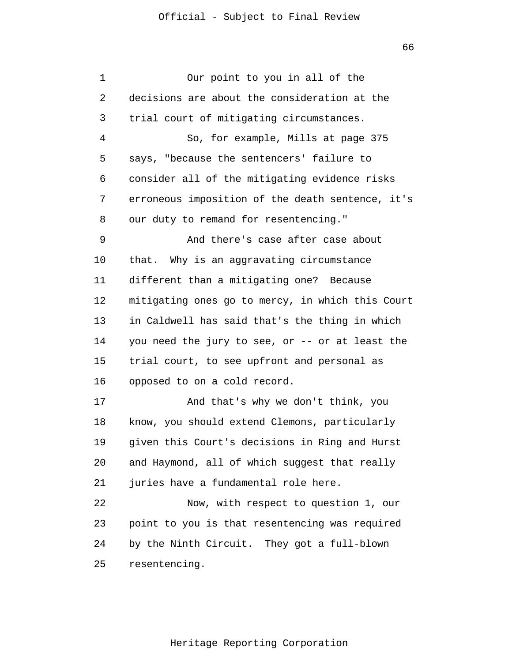| 1  | Our point to you in all of the                   |
|----|--------------------------------------------------|
| 2  | decisions are about the consideration at the     |
| 3  | trial court of mitigating circumstances.         |
| 4  | So, for example, Mills at page 375               |
| 5  | says, "because the sentencers' failure to        |
| 6  | consider all of the mitigating evidence risks    |
| 7  | erroneous imposition of the death sentence, it's |
| 8  | our duty to remand for resentencing."            |
| 9  | And there's case after case about                |
| 10 | that. Why is an aggravating circumstance         |
| 11 | different than a mitigating one? Because         |
| 12 | mitigating ones go to mercy, in which this Court |
| 13 | in Caldwell has said that's the thing in which   |
| 14 | you need the jury to see, or -- or at least the  |
| 15 | trial court, to see upfront and personal as      |
| 16 | opposed to on a cold record.                     |
| 17 | And that's why we don't think, you               |
| 18 | know, you should extend Clemons, particularly    |
| 19 | given this Court's decisions in Ring and Hurst   |
| 20 | and Haymond, all of which suggest that really    |
| 21 | juries have a fundamental role here.             |
| 22 | Now, with respect to question 1, our             |
| 23 | point to you is that resentencing was required   |
| 24 | by the Ninth Circuit. They got a full-blown      |
| 25 | resentencing.                                    |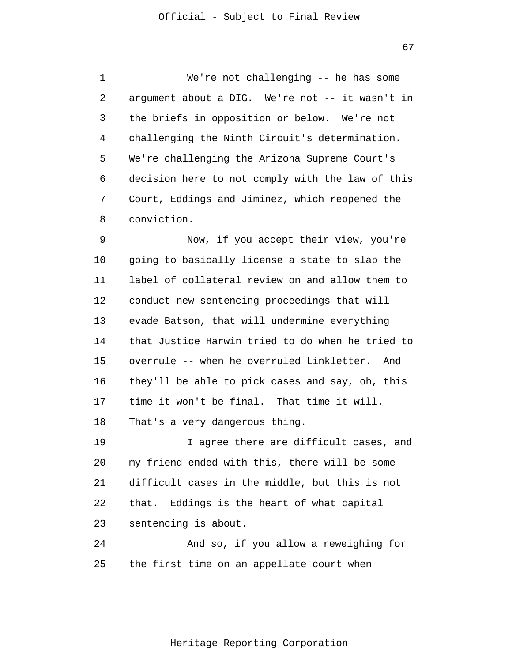1 2 3 4 5 6 7 8 We're not challenging -- he has some argument about a DIG. We're not -- it wasn't in the briefs in opposition or below. We're not challenging the Ninth Circuit's determination. We're challenging the Arizona Supreme Court's decision here to not comply with the law of this Court, Eddings and Jiminez, which reopened the conviction.

9 10 11 12 13 14 15 16 17 18 Now, if you accept their view, you're going to basically license a state to slap the label of collateral review on and allow them to conduct new sentencing proceedings that will evade Batson, that will undermine everything that Justice Harwin tried to do when he tried to overrule -- when he overruled Linkletter. And they'll be able to pick cases and say, oh, this time it won't be final. That time it will. That's a very dangerous thing.

19 20 21 22 23 I agree there are difficult cases, and my friend ended with this, there will be some difficult cases in the middle, but this is not that. Eddings is the heart of what capital sentencing is about.

24 25 And so, if you allow a reweighing for the first time on an appellate court when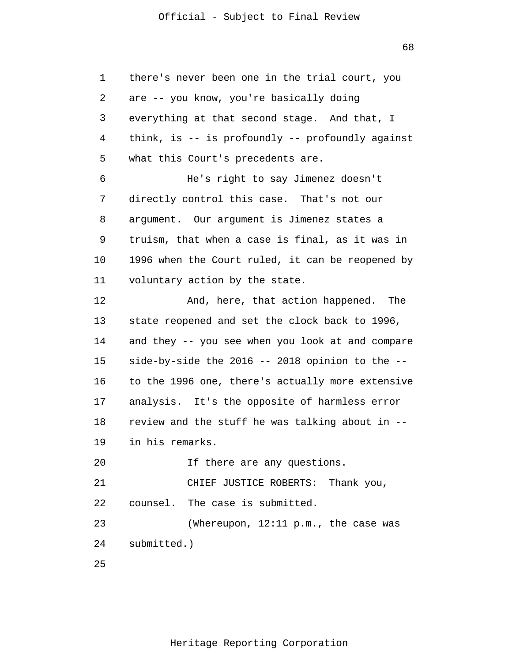1 2 3 4 5 6 7 8 9 10 11 12 13 14 15 16 17 18 19 20 21 22 23 24 25 there's never been one in the trial court, you are -- you know, you're basically doing everything at that second stage. And that, I think, is -- is profoundly -- profoundly against what this Court's precedents are. He's right to say Jimenez doesn't directly control this case. That's not our argument. Our argument is Jimenez states a truism, that when a case is final, as it was in 1996 when the Court ruled, it can be reopened by voluntary action by the state. And, here, that action happened. The state reopened and set the clock back to 1996, and they -- you see when you look at and compare side-by-side the 2016 -- 2018 opinion to the - to the 1996 one, there's actually more extensive analysis. It's the opposite of harmless error review and the stuff he was talking about in - in his remarks. If there are any questions. CHIEF JUSTICE ROBERTS: Thank you, counsel. The case is submitted. (Whereupon, 12:11 p.m., the case was submitted.)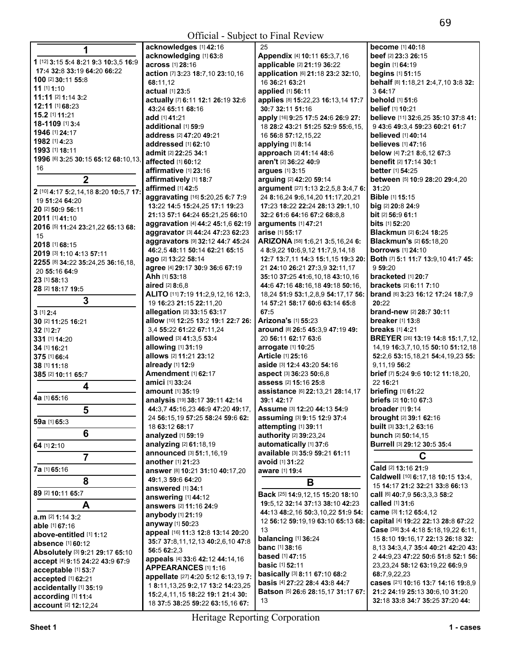| 1                                     | acknowledges [1] 42:16                 | 25                                                                                        | <b>become</b> [1] 40:18                                                   |
|---------------------------------------|----------------------------------------|-------------------------------------------------------------------------------------------|---------------------------------------------------------------------------|
|                                       | acknowledging [1] 63:8                 | Appendix [4] 10:11 65:3,7,16                                                              | beef [2] 23:3 26:15                                                       |
| 1 [12] 3:15 5:4 8:21 9:3 10:3,5 16:9  | across [1] 28:16                       | applicable [2] 21:19 36:22                                                                | begin [1] 64:19                                                           |
| 17:4 32:8 33:19 64:20 66:22           | action [7] 3:23 18:7,10 23:10,16       | application [6] 21:18 23:2 32:10,                                                         | begins [1] 51:15                                                          |
| 100 [2] 30:11 55:8                    | 68:11.12                               | 16 36:21 63:21                                                                            | behalf [8] 1:18,21 2:4,7,10 3:8 32:                                       |
| $11$ [1] $1:10$                       | actual [1] 23:5                        | applied [1] 56:11                                                                         | 3 64:17                                                                   |
| 11:11 [2] 1:14 3:2                    | actually [7] 6:11 12:1 26:19 32:6      | applies [8] 15:22,23 16:13,14 17:7                                                        | behold [1] 51:6                                                           |
| 12:11 [1] 68:23                       | 43:24 65:11 68:16                      | 30:7 32:11 51:16                                                                          | belief [1] 10:21                                                          |
| 15.2 [1] 11:21                        | add [1] 41:21                          | apply [16] 9:25 17:5 24:6 26:9 27:                                                        | believe [11] 32:6,25 35:10 37:8 41:                                       |
| 18-1109 [1] 3:4                       | additional [1] 59:9                    | 18 28:2 43:21 51:25 52:9 55:6,15,                                                         | 9 43:6 49:3,4 59:23 60:21 61:7                                            |
| 1946 [1] 24:17                        | address [2] 47:20 49:21                | 16 56:8 57:12,15,22                                                                       | <b>believed</b> [1] 40:14                                                 |
| 1982 [1] 4:23                         | addressed [1] 62:10                    | applying [1] 8:14                                                                         | <b>believes</b> [1] 47:16                                                 |
| 1993 [1] 18:11                        | admit [2] 22:25 34:1                   | approach [2] 41:14 48:6                                                                   | below [4] 7:21 8:6,12 67:3                                                |
| 1996 [6] 3:25 30:15 65:12 68:10,13,   | affected [1] 60:12                     | aren't [2] 36:22 40:9                                                                     | benefit [2] 17:14 30:1                                                    |
| 16                                    | affirmative [1] 23:16                  | arques [1] 3:15                                                                           | <b>better</b> [1] 54:25                                                   |
| $\mathbf 2$                           | affirmatively [1] 18:7                 | arguing [2] 42:20 59:14                                                                   | between [5] 10:9 28:20 29:4,20                                            |
|                                       | affirmed [1] 42:5                      | argument [27] 1:13 2:2,5,8 3:4,7 6:                                                       | 31:20                                                                     |
| 2 [10] 4:17 5:2,14,18 8:20 10:5,7 17: | aggravating [16] 5:20,25 6:7 7:9       | 24 8:16,24 9:6,14,20 11:17,20,21                                                          | <b>Bible</b> [1] 15:15                                                    |
| 19 51:24 64:20                        | 13:22 14:5 15:24,25 17:1 19:23         | 17:23 18:22 22:24 28:13 29:1,10                                                           | big $[2]$ 20:8 24:9                                                       |
| 20 [2] 50:9 56:11                     | 21:13 57:1 64:24 65:21,25 66:10        | 32:2 61:6 64:16 67:2 68:8,8                                                               | <b>bit</b> [2] <b>56:9 61:1</b>                                           |
| 2011 [1] 41:10                        | aggravation [4] 44:2 45:1,6 62:19      | arguments [1] 47:21                                                                       | <b>bits</b> [1] <b>52:20</b>                                              |
| 2016 [5] 11:24 23:21,22 65:13 68:     | aggravator [3] 44:24 47:23 62:23       | arise [1] 55:17                                                                           | <b>Blackmun [2] 6:24 18:25</b>                                            |
| 15                                    | aggravators [9] 32:12 44:7 45:24       | ARIZONA [58] 1:6,21 3:5,16,24 6:                                                          | <b>Blackmun's [2] 65:18.20</b>                                            |
| 2018 [1] 68:15                        | 46:2.5 48:11 50:14 62:21 65:15         | 4 8:9,22 10:6,9,12 11:7,9,14,18                                                           | <b>borrows</b> [1] 24:10                                                  |
| 2019 [3] 1:10 4:13 57:11              | ago [2] 13:22 58:14                    | 12:7 13:7,11 14:3 15:1,15 19:3 20:                                                        | Both [7] 5:1 11:7 13:9,10 41:7 45:                                        |
| 2255 [8] 34:22 35:24,25 36:16,18,     | agree [4] 29:17 30:9 36:6 67:19        | 21 24:10 26:21 27:3,9 32:11,17                                                            | 9 59:20                                                                   |
| 20 55:16 64:9                         | <b>Ahh</b> [1] 53:18                   | 35:10 37:25 41:6,10,18 43:10,16                                                           | bracketed [1] 20:7                                                        |
| 23 [1] 58:13                          | aired [2] 8:6.8                        | 44:6 47:16 48:16,18 49:18 50:16,                                                          | <b>brackets</b> [2] 6:11 7:10                                             |
| 28 [2] 18:17 19:5                     | ALITO [11] 7:19 11:2,9,12,16 12:3,     | 18,24 51:9 53:1,2,8,9 54:17,17 56:                                                        | brand [6] 3:23 16:12 17:24 18:7,9                                         |
| 3                                     | 19 16:23 21:15 22:11,20                | 14 57:21 58:17 60:6 63:14 65:8                                                            | 20:22                                                                     |
| 3 [1] 2:4                             | allegation [2] 33:15 63:17             | 67:5                                                                                      | brand-new [2] 28:7 30:11                                                  |
| 30 [2] 11:25 16:21                    | allow [10] 12:25 13:2 19:1 22:7 26:    | Arizona's [1] 55:23                                                                       | <b>breaker</b> [1] <b>13:8</b>                                            |
| 32 [1] 2:7                            | 3.4 55:22 61:22 67:11.24               | around [8] 26:5 45:3,9 47:19 49:                                                          | <b>breaks</b> [1] 4:21                                                    |
| 331 [1] 14:20                         | allowed [3] 41:3,5 53:4                | 20 56:11 62:17 63:6                                                                       | BREYER [26] 13:19 14:8 15:1,7,12,                                         |
| 34 [1] 16:21                          | allowing [1] 31:19                     | arrogate [1] 10:25                                                                        | 14, 19 16: 3, 7, 10, 15 50: 10 51: 12, 18                                 |
| 375 [1] 66:4                          | allows [2] 11:21 23:12                 | Article [1] 25:16                                                                         | 52:2,6 53:15,18,21 54:4,19,23 55:                                         |
| 38 [1] 11:18                          | already [1] 12:9                       | aside [3] 12:4 43:20 54:16                                                                | 9,11,19 56:2                                                              |
| 385 [2] 10:11 65:7                    | <b>Amendment</b> [1] 62:17             | aspect [3] 36:23 50:6,8                                                                   | brief [7] 5:24 9:6 10:12 11:18,20,                                        |
|                                       | amici [1] 33:24                        | assess [2] 15:16 25:8                                                                     | 22 16:21                                                                  |
| 4                                     | <b>amount</b> [1] 35:19                | assistance [6] 22:13,21 28:14,17                                                          | briefing [1] 61:22                                                        |
| 4a [1] 65:16                          | analysis [19] 38:17 39:11 42:14        | 39:1 42:17                                                                                | briefs [2] 10:10 67:3                                                     |
| 5                                     | 44:3,7 45:16,23 46:9 47:20 49:17,      | Assume [3] 12:20 44:13 54:9                                                               | broader [1] 9:14                                                          |
|                                       | 24 56:15,19 57:25 58:24 59:6 62:       | assuming [3] 9:15 12:9 37:4                                                               | brought [2] 39:1 62:16                                                    |
| <b>59a</b> [1] 65:3                   | 18 63:12 68:17                         | attempting [1] 39:11                                                                      | built [3] 33:1,2 63:16                                                    |
| 6                                     | analyzed [1] 59:19                     | authority [2] 39:23,24                                                                    | bunch [2] 50:14,15                                                        |
| 64 [1] 2:10                           | analyzing [2] 61:18,19                 | automatically [1] 37:6                                                                    | Burrell [3] 29:12 30:5 35:4                                               |
| 7                                     | announced [3] 51:1,16,19               | available [3] 35:9 59:21 61:11                                                            | C                                                                         |
|                                       | another [1] 21:23                      | avoid [1] 31:22                                                                           |                                                                           |
| <b>7a</b> [1] 65:16                   | answer [8] 10:21 31:10 40:17,20        | aware [1] 19:4                                                                            | Cald [2] 13:16 21:9                                                       |
| 8                                     | 49:1,3 59:6 64:20                      | В                                                                                         | Caldwell [10] 6:17,18 10:15 13:4,                                         |
| 89 [2] 10:11 65:7                     | answered [1] 34:1                      |                                                                                           | 15 14:17 21:2 32:21 33:8 66:13<br>call [6] 40:7.9 56:3.3.3 58:2           |
|                                       | answering [1] 44:12                    | <b>Back</b> [25] <b>14:</b> 9,12,15 <b>15:20 18:10</b><br>19:5.12 32:14 37:13 38:10 42:23 | called [1] 31:6                                                           |
| A                                     | answers [2] 11:16 24:9                 | 44:13 48:2,16 50:3,10,22 51:9 54:                                                         | came [3] 1:12 65:4,12                                                     |
| $a.m$ [2] 1:14 3:2                    | anybody [1] 21:19                      | 12 56:12 59:19,19 63:10 65:13 68:                                                         |                                                                           |
| able [1] 67:16                        | anyway [1] 50:23                       | 13                                                                                        | capital [4] 19:22 22:13 28:8 67:22<br>Case [39] 3:4 4:18 5:18,19,22 6:11, |
| above-entitled [1] 1:12               | appeal [16] 11:3 12:8 13:14 20:20      |                                                                                           |                                                                           |
| <b>absence</b> [1] 60:12              | 35:7 37:8,11,12,13 40:2,6,10 47:8      | balancing [1] 36:24<br>banc [1] 38:16                                                     | 15 8:10 19:16,17 22:13 26:18 32:                                          |
| Absolutely [3] 9:21 29:17 65:10       | 56:5 62:2.3                            |                                                                                           | 8,13 34:3,4,7 35:4 40:21 42:20 43:                                        |
| accept [4] 9:15 24:22 43:9 67:9       | appeals [4] 33:6 42:12 44:14,16        | <b>based</b> [1] 47:15<br><b>basic</b> [1] 52:11                                          | 2 44:9,23 47:22 50:6 51:8 52:1 56:                                        |
| acceptable [1] 53:7                   | <b>APPEARANCES [1] 1:16</b>            | basically [3] 8:11 67:10 68:2                                                             | 23, 23, 24 58: 12 63: 19, 22 66: 9, 9<br>68:7,9,22,23                     |
| accepted [1] 62:21                    | appellate [27] 4:20 5:12 6:13,19 7:    | basis [4] 27:22 28:4 43:8 44:7                                                            |                                                                           |
| accidentally [1] 35:19                | 18:11, 13, 25 9: 2, 17 13: 214: 23, 25 | Batson [5] 26:6 28:15,17 31:17 67:                                                        | cases [21] 10:16 13:7 14:16 19:8,9<br>21:2 24:19 25:13 30:6,10 31:20      |
| according [1] 11:4                    | 15:2,4,11,15 18:22 19:1 21:4 30:       |                                                                                           | 32:18 33:8 34:7 35:25 37:20 44:                                           |
| account [2] 12:12,24                  | 18 37:5 38:25 59:22 63:15,16 67:       | 13                                                                                        |                                                                           |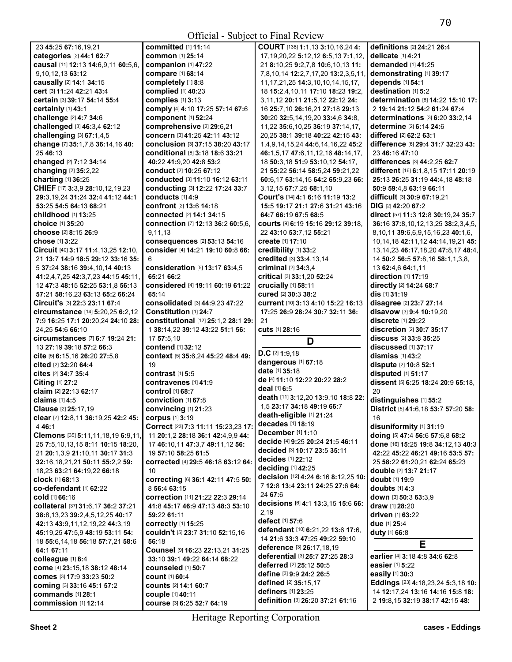| 23 45:25 67:16,19,21                                              | <b>committed</b> [1] 11:14                                 | COURT [138] 1:1,13 3:10,16,24 4:                                   | definitions [2] 24:21 26:4                                           |
|-------------------------------------------------------------------|------------------------------------------------------------|--------------------------------------------------------------------|----------------------------------------------------------------------|
| categories [2] 44:1 62:7                                          | <b>common</b> [1] 25:14                                    | 17, 19, 20, 22 5: 12, 12 6: 5, 13 7: 1, 12,                        | delicate [1] 4:21                                                    |
| causal [11] 12:13 14:6,9,11 60:5,6,                               | companion [1] 47:22                                        | 21 8:10,25 9:2,7,8 10:6,10,13 11:                                  | demanded [1] 41:25                                                   |
| 9,10,12,13 63:12                                                  | compare [1] 68:14                                          | 7,8,10,14 12:2,7,17,20 13:2,3,5,11,                                | demonstrating [1] 39:17                                              |
| causally [2] 14:1 34:15                                           | completely [1] 8:8                                         | 11, 17, 21, 25 14: 3, 10, 10, 14, 15, 17,                          | depends [1] 54:1                                                     |
| cert [3] 11:24 42:21 43:4                                         | complied [1] 40:23                                         | 18 15:2,4,10,11 17:10 18:23 19:2,                                  | destination [1] 5:2                                                  |
| certain [3] 39:17 54:14 55:4                                      | complies [1] 3:13                                          | 3,11,12 20:11 21:5,12 22:12 24:                                    | determination [8] 14:22 15:10 17:                                    |
| certainly [1] 43:1                                                | comply [4] 4:10 17:25 57:14 67:6                           | 16 25:7,10 26:16,21 27:18 29:13                                    | 2 19:14 21:12 54:2 61:24 67:4                                        |
| challenge [2] 4:7 34:6                                            | component [1] 52:24                                        | 30:20 32:5,14,19,20 33:4,6 34:8,                                   | determinations [3] 6:20 33:2,14                                      |
| challenged [3] 46:3,4 62:12                                       | comprehensive [2] 29:6,21                                  | 11,22 35:6,10,25 36:19 37:14,17,                                   | determine [2] 6:14 24:6                                              |
| challenging [3] 67:1,4,5                                          | concern [3] 41:25 42:11 43:12                              | 20,25 38:1 39:18 40:22 42:15 43:                                   | differed [2] 62:2 63:1                                               |
| change [7] 35:1,7,8 36:14,16 40:                                  | conclusion [3] 37:15 38:20 43:17                           | 1,4,9,14,15,24 44:6,14,16,22 45:2                                  | difference [6] 29:4 31:7 32:23 43:                                   |
| 25 46:13                                                          | <b>conditional</b> [8] 3:18 18:6 33:21                     | 46:1,5,17 47:6,11,12,16 48:14,17,                                  | 23 46:16 47:10                                                       |
| changed [2] 7:12 34:14                                            | 40:22 41:9,20 42:8 53:2                                    | 18 50:3,18 51:9 53:10,12 54:17,                                    | differences [3] 44:2,25 62:7                                         |
| changing [2] 35:2,22                                              | conduct [2] 10:25 67:12<br>conducted [3] 11:10 16:12 63:11 | 21 55:22 56:14 58:5,24 59:21,22                                    | different [16] 6:1,8,15 17:11 20:19                                  |
| charting [1] 36:25<br>CHIEF [17] 3:3,9 28:10,12,19,23             | conducting [3] 12:22 17:24 33:7                            | 60:6,17 63:14,15 64:2 65:9,23 66:<br>3, 12, 15 67: 7, 25 68: 1, 10 | 25:13 26:25 31:19 44:4,18 48:18<br>50:9 59:4,8 63:19 66:11           |
| 29:3, 19, 24 31: 24 32: 4 41: 12 44: 1                            | conducts [1] 4:9                                           | Court's [14] 4:1 6:16 11:19 13:2                                   | difficult [3] 30:9 67:19,21                                          |
| 53:25 54:5 64:13 68:21                                            | confront [2] 13:6 14:18                                    | 15:5 19:17 21:1 27:6 31:21 43:16                                   | DIG [2] 42:20 67:2                                                   |
| childhood [1] 13:25                                               | connected [2] 14:1 34:15                                   | 64:7 66:19 67:5 68:5                                               | direct [57] 11:3 12:8 30:19,24 35:7                                  |
| choice [1] 35:20                                                  | connection [7] 12:13 36:2 60:5,6,                          | courts [9] 6:19 15:16 29:12 39:18,                                 | 36:16 37:8,10,12,13,25 38:2,3,4,5,                                   |
| choose [2] 8:15 26:9                                              | 9,11,13                                                    | 22 43:10 53:7,12 55:21                                             | 8,10,11 39:6,6,9,15,16,23 40:1,6,                                    |
| <b>chose</b> [1] 3:22                                             | consequences [2] 53:13 54:16                               | create [1] 17:10                                                   | 10,14,18 42:11,12 44:14,19,21 45:                                    |
| Circuit [40] 3:17 11:4, 13, 25 12:10,                             | consider [4] 14:21 19:10 60:8 66:                          | credibility [1] 33:2                                               | 13, 14, 23 46: 17, 18, 20 47: 8, 17 48: 4,                           |
| 21 13:7 14:9 18:5 29:12 33:16 35:                                 | 6                                                          | credited [3] 33:4,13,14                                            | 14 50:2 56:5 57:8,16 58:1,1,3,8,                                     |
| 5 37:24 38:16 39:4,10,14 40:13                                    | consideration [5] 13:17 63:4,5                             | criminal [2] 34:3.4                                                | 13 62:4,6 64:1,11                                                    |
| 41:2,4,7,25 42:3,7,23 44:15 45:11,                                | 65:21 66:2                                                 | critical [3] 33:1,20 52:24                                         | direction [1] 17:19                                                  |
| 12 47:3 48:15 52:25 53:1.8 56:13                                  | considered [4] 19:11 60:19 61:22                           | crucially [1] 58:11                                                | directly [2] 14:24 68:7                                              |
| 57:21 58:16,23 63:13 65:2 66:24                                   | 65:14                                                      | cured [2] 30:3 38:2                                                | dis [1] 31:19                                                        |
| Circuit's [3] 22:3 23:11 67:4                                     | consolidated [3] 44:9,23 47:22                             | current [10] 3:13 4:10 15:22 16:13                                 | disagree [2] 23:7 27:14                                              |
| circumstance [14] 5:20,25 6:2,12                                  | Constitution [1] 24:7                                      | 17:25 26:9 28:24 30:7 32:11 36:                                    | disavow [3] 9:4 10:19,20                                             |
| 7:9 16:25 17:1 20:20,24 24:10 28:                                 | constitutional [12] 25:1,2 28:1 29:                        | 21                                                                 | discrete [1] 29:22                                                   |
|                                                                   |                                                            |                                                                    |                                                                      |
| 24,25 54:6 66:10                                                  | 1 38:14,22 39:12 43:22 51:1 56:                            | cuts [1] 28:16                                                     | discretion [2] 30:7 35:17                                            |
| circumstances [7] 6:7 19:24 21:                                   | 17 57:5,10                                                 |                                                                    | discuss [2] 33:8 35:25                                               |
| 13 27:19 39:18 57:2 66:3                                          | contend [1] 32:12                                          | D                                                                  | discussed [1] 37:17                                                  |
| cite [5] 6:15,16 26:20 27:5,8                                     | context [5] 35:6,24 45:22 48:4 49:                         | $D.C$ [2] 1:9,18                                                   | dismiss $[1]$ 43:2                                                   |
| cited [2] 32:20 64:4                                              | 19                                                         | dangerous [1] 67:18                                                | dispute [2] 10:8 52:1                                                |
| cites [2] 34:7 35:4                                               | contrast $[1]$ 5:5                                         | date [1] 35:18                                                     | disputed [1] 51:17                                                   |
| Citing [1] 27:2                                                   | contravenes [1] 41:9                                       | de [4] 11:10 12:22 20:22 28:2                                      | dissent [5] 6:25 18:24 20:9 65:18.                                   |
| claim [2] 22:13 62:17                                             | control [1] 68:7                                           | deal [1] 6:5                                                       | 20                                                                   |
| claims [1] 4:5                                                    | conviction [1] 67:8                                        | death [11] 3:12,20 13:9,10 18:8 22:                                | distinguishes [1] 55:2                                               |
| Clause [2] 25:17,19                                               | convincing [1] 21:23                                       | 1,5 23:17 34:18 49:19 66:7                                         | District [5] 41:6,18 53:7 57:20 58:                                  |
| clear [7] 12:8,11 36:19,25 42:2 45: corpus [1] 3:19               |                                                            | death-eligible [1] 21:24                                           | 16                                                                   |
| 446:1                                                             | Correct [23] 7:3 11:11 15:23,23 17:                        | decades [1] 18:19                                                  | disuniformity [1] 31:19                                              |
| Clemons [35] 5:11,11,18,19 6:9,11,                                | 11 20:1,2 28:18 36:1 42:4,9,9 44:                          | December [1] 1:10                                                  | doing [5] 47:4 56:6 57:6,8 68:2                                      |
| 25 7:5, 10, 13, 15 8: 11 10: 15 18: 20,                           | 17 46:10,11 47:3,7 49:11,12 56:                            | decide [4] 9:25 20:24 21:5 46:11                                   | done [16] 15:25 19:8 34:12,13 40:3                                   |
| 21 20:1,3,9 21:10,11 30:17 31:3                                   | 19 57:10 58:25 61:5                                        | decided [3] 10:17 23:5 35:11                                       | 42:22 45:22 46:21 49:16 53:5 57:                                     |
| 32:16,18,21,21 50:11 55:2,2 59:                                   | corrected [4] 29:5 46:18 63:12 64:                         | decides [1] 22:12                                                  | 25 58:22 61:20,21 62:24 65:23                                        |
| 18,23 63:21 64:19,22 66:18                                        | 10                                                         | deciding [1] 42:25                                                 | double [2] 13:7 21:17                                                |
| clock [1] 68:13                                                   | correcting [6] 36:1 42:11 47:5 50:                         | decision [12] 4:24 6:16 8:12,25 10:                                | doubt [1] 19:9                                                       |
| co-defendant [1] 62:22                                            | 8 56:4 63:15                                               | 7 12:8 13:4 23:11 24:25 27:6 64:<br>24 67:6                        | doubts $[1]$ 4:3                                                     |
| cold [1] 66:16                                                    | correction [11] 21:22 22:3 29:14                           |                                                                    | down [3] 50:3 63:3,9                                                 |
| collateral [37] 31:6.17 36:2 37:21                                | 41:8 45:17 46:9 47:13 48:3 53:10                           | decisions [6] 4:1 13:3,15 15:6 66:<br>2,19                         | <b>draw</b> [1] <b>28:20</b>                                         |
| 38:8, 13, 23 39:2, 4, 5, 12, 25 40:17                             | 59:22 61:11                                                | defect [1] 57:6                                                    | <b>driven</b> [1] <b>63:</b> 22                                      |
| 42:13 43:9,11,12,19,22 44:3,19                                    | correctly [1] 15:25                                        | defendant [10] 6:21,22 13:6 17:6,                                  | due [1] 25:4                                                         |
| 45:19,25 47:5,9 48:19 53:11 54:                                   | couldn't [5] 23:7 31:10 52:15,16                           | 14 21:6 33:3 47:25 49:22 59:10                                     | <b>duty</b> [1] 66:8                                                 |
| 18 55:6, 14, 18 56: 18 57: 7, 21 58: 6                            | 56:18                                                      | deference [3] 26:17,18,19                                          | E                                                                    |
| 64:1 67:11                                                        | Counsel [9] 16:23 22:13,21 31:25                           | deferential [3] 25:7 27:25 28:3                                    | earlier [4] 3:18 4:8 34:6 62:8                                       |
| colleague [1] 8:4                                                 | 33:10 39:1 49:22 64:14 68:22<br>counseled [1] 50:7         | deferred [2] 25:12 50:5                                            | easier [1] 5:22                                                      |
| come [4] 23:15,18 38:12 48:14<br><b>comes</b> [3] 17:9 33:23 50:2 | <b>count</b> [1] 60:4                                      | define [3] 9:9 24:2 26:5                                           | easily [1] 30:3                                                      |
| <b>coming [3] 33:16 45:1 57:2</b>                                 | <b>counts [2] 14:1 60:7</b>                                | defined [2] 35:15.17                                               | Eddings [23] 4:18,23,24 5:3,18 10:                                   |
| commands [1] 28:1                                                 | couple [1] 40:11                                           | definers [1] 23:25<br>definition [3] 26:20 37:21 61:16             | 14 12:17,24 13:16 14:16 15:8 18:<br>2 19:8, 15 32:19 38:17 42:15 48: |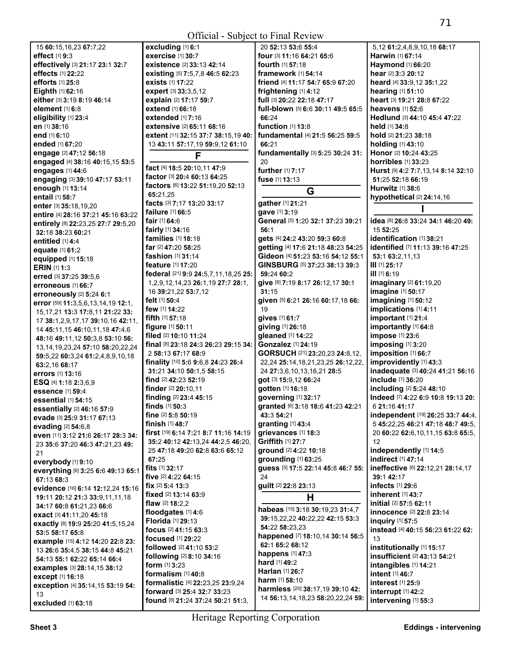| 15 60:15,16,23 67:7,22                   | excluding [1] 6:1                          | 20 52:13 53:6 55:4                           | 5,12 61:2,4,8,9,10,18 68:17          |
|------------------------------------------|--------------------------------------------|----------------------------------------------|--------------------------------------|
| effect [1] 9:3                           | exercise [1] 30:7                          | four [3] 11:16 64:21 65:6                    | Harwin [1] 67:14                     |
| effectively [3] 21:17 23:1 32:7          | existence [2] 33:13 42:14                  | fourth [1] 57:18                             | Haymond [1] 66:20                    |
|                                          |                                            |                                              |                                      |
| effects [1] 22:22                        | existing [5] 7:5,7,8 46:5 62:23            | <b>framework</b> [1] <b>54:14</b>            | hear [2] 3:3 20:12                   |
| <b>efforts</b> [1] 25:8                  | exists [1] 17:22                           | friend [4] 11:17 54:7 65:9 67:20             | heard [4] 33:9,12 35:1,22            |
| <b>Eighth</b> $[1]$ 62:16                | expert [3] 33:3,5,12                       | frightening [1] 4:12                         | hearing [1] 51:10                    |
| either [3] 3:19 8:19 46:14               | explain [2] 17:17 59:7                     | full [3] 20:22 22:18 47:17                   | heart [3] 19:21 28:8 67:22           |
| element [1] 6:8                          | extend [1] 66:18                           | full-blown [5] 6:6 30:11 49:5 65:5           | <b>heavens</b> [1] <b>52:</b> 6      |
|                                          |                                            |                                              |                                      |
| eligibility [1] 23:4                     | <b>extended</b> [1] 7:16                   | 66:24                                        | Hedlund [3] 44:10 45:4 47:22         |
| en [1] 38:16                             | <b>extensive</b> [2] <b>65:11 68:1</b> 6   | function [1] 13:8                            | held [1] 34:8                        |
| end [1] 6:10                             | extent [11] 32:15 37:7 38:15,19 40:        | fundamental [4] 21:5 56:25 59:5              | hold [2] 21:23 38:18                 |
|                                          |                                            | 66:21                                        |                                      |
| ended [1] 67:20                          | 13 43:11 57:17,19 59:9,12 61:10            |                                              | <b>holding</b> [1] 43:10             |
| engage [2] 47:12 56:18                   | F                                          | fundamentally [3] 5:25 30:24 31:             | Honor [2] 10:24 43:25                |
| engaged [4] 38:16 40:15,15 53:5          |                                            | 20                                           | horribles [1] 33:23                  |
| engages [1] 44:6                         | fact [4] 18:5 20:10,11 47:9                | further [1] 7:17                             | Hurst [9] 4:2 7:7,13,14 8:14 32:10   |
|                                          | factor [3] 20:4 60:13 64:25                |                                              |                                      |
| engaging [3] 39:10 47:17 53:11           | factors [6] 13:22 51:19,20 52:13           | fuse [1] 13:13                               | 51:25 52:18 66:19                    |
| enough [1] 13:14                         |                                            | G                                            | <b>Hurwitz</b> [1] 38:6              |
| entail [1] 58:7                          | 65:21,25                                   |                                              | hypothetical [2] 24:14,16            |
| enter [3] 35:18,19,20                    | facts [3] 7:17 13:20 33:17                 | gather [1] 21:21                             |                                      |
| entire [4] 28:16 37:21 45:16 63:22       | <b>failure</b> [1] 66:5                    | gave [1] 3:19                                |                                      |
|                                          | fair [1] 64:6                              | General [5] 1:20 32:1 37:23 39:21            | idea [6] 26:8 33:24 34:1 46:20 49:   |
| entirely [8] 22:23,25 27:7 29:5,20       |                                            |                                              |                                      |
| 32:18 38:23 60:21                        | <b>fairly</b> $[1]$ 34:16                  | 56:1                                         | 15 52:25                             |
| entitled $[1]$ 4:4                       | families [1] 18:18                         | gets [4] 24:2 43:20 59:3 60:8                | identification [1] 38:21             |
|                                          | <b>far</b> [2] <b>47:20 58:25</b>          | getting [4] 17:6 21:18 48:23 54:25           | identified [7] 11:13 39:16 47:25     |
| equate [1] 61:2                          | <b>fashion</b> $[1]$ 31:14                 | Gideon [4] 51:23 53:16 54:12 55:1            | 53:1 63:2,11,13                      |
| equipped [1] 15:18                       |                                            |                                              |                                      |
| <b>ERIN</b> [1] 1:3                      | <b>feature</b> [1] <b>17:20</b>            | GINSBURG [5] 37:23 38:13 39:3                | $III$ [1] 25:17                      |
| erred [3] 37:25 39:5.6                   | federal [21] 9:9 24:5,7,11,18,25 25:       | 59:24 60:2                                   | ill [1] 6:19                         |
|                                          | 1, 2, 9, 12, 14, 23 26: 1, 19 27: 7 28: 1, | give [6] 7:19 8:17 26:12,17 30:1             | imaginary [2] 61:19,20               |
| erroneous [1] 66:7                       | 16 39:21,22 53:7,12                        | 31:15                                        | imagine [1] 50:17                    |
| erroneously [2] 5:24 6:1                 |                                            |                                              |                                      |
| error [59] 11:3,5,6,13,14,19 12:1,       | felt [1] 50:4                              | given [5] 6:21 26:16 60:17,18 66:            | imagining [1] 50:12                  |
| 15, 17, 21 13:3 17:8, 11 21:22 33:       | few [1] 14:22                              | 19                                           | implications [1] 4:11                |
|                                          | <b>fifth</b> $[1]$ 57:18                   | gives [1] 61:7                               | important [1] 21:4                   |
| 17 38:1,2,9,17,17 39:10,16 42:11,        | <b>figure</b> $[1]$ 50:11                  | giving [1] 26:18                             | importantly [1] 64:8                 |
| 14 45:11,15 46:10,11,18 47:4,6           |                                            |                                              |                                      |
| 48:16 49:11,12 50:3,8 53:10 56:          | <b>filed</b> [2] <b>10:10 11:24</b>        | gleaned [1] 14:22                            | impose [1] 23:6                      |
| 13, 14, 19, 23, 24 57: 10 58: 20, 22, 24 | final [8] 23:18 24:3 26:23 29:15 34:       | <b>Gonzalez</b> [1] 24:19                    | imposing [1] 3:20                    |
|                                          | 2 58:13 67:17 68:9                         | <b>GORSUCH</b> [21] <b>23:20,23 24:8,12,</b> | imposition [1] 66:7                  |
| 59:5,22 60:3,24 61:2,4,8,9,10,18         | finality [10] 5:6 9:6,8 24:23 26:4         | 22,24 25:14,18,21,23,25 26:12,22,            | improvidently [1] 43:3               |
| 63:2,16 68:17                            |                                            |                                              |                                      |
| errors [1] 13:16                         | 31:21 34:10 50:1.5 58:15                   | 24 27:3,6,10,13,16,21 28:5                   | inadequate [3] 40:24 41:21 56:16     |
| <b>ESQ</b> [4] 1:18 2:3,6,9              | find [2] 42:23 52:19                       | got [3] 15:9,12 66:24                        | include [1] 36:20                    |
|                                          | finder [2] 20:10.11                        | gotten [1] 16:18                             | including [2] 5:24 48:10             |
| essence [1] 59:4                         | finding [2] 23:4 45:15                     | governing [1] 32:17                          | Indeed [7] 4:22 6:9 10:8 19:13 20:   |
| essential [1] 54:15                      |                                            |                                              |                                      |
| essentially [2] 46:16 57:9               | finds $[1]$ 50:3                           | granted [6] 3:18 18:6 41:23 42:21            | 6 21:16 41:17                        |
| evade [3] 25:9 31:17 67:13               | fine [2] 5:8 50:19                         | 43:3 54:21                                   | independent [19] 26:25 33:7 44:4,    |
| evading [2] 54:6,8                       | finish [1] 48:7                            | granting [1] 43:4                            | 5 45:22,25 46:21 47:18 48:7 49:5,    |
|                                          | first [19] 6:14 7:21 8:7 11:16 14:19       | grievances [1] 18:3                          | 20 60:22 62:6,10,11,15 63:8 65:5,    |
| even [11] 3:12 21:6 26:17 28:3 34:       |                                            | Griffith [1] 27:7                            |                                      |
| 23 35:6 37:20 46:3 47:21,23 49:          | 35:2 40:12 42:13,24 44:2,5 46:20,          |                                              | 12                                   |
| 21                                       | 25 47:18 49:20 62:8 63:6 65:12             | ground [2] 4:22 10:18                        | independently [1] 14:5               |
| everybody [1] 9:10                       | 67:25                                      | grounding [1] 63:25                          | indirect [1] 47:14                   |
|                                          | fits $[1]$ 32:17                           | guess [5] 17:5 22:14 45:8 46:7 55:           | ineffective [6] 22:12,21 28:14,17    |
| everything [6] 3:25 6:6 49:13 65:1       | <b>five</b> $[2]$ 4:22 64:15               | 24                                           | 39:1 42:17                           |
| 67:13 68:3                               |                                            |                                              |                                      |
| evidence [16] 6:14 12:12,24 15:16        | <b>fix</b> $[2]$ 5:4 13:3                  | guilt [2] 22:8 23:13                         | infects [1] 29:6                     |
| 19:11 20:12 21:3 33:9,11,11,18           | fixed [2] 13:14 63:9                       | Н                                            | <b>inherent</b> [1] 43:7             |
|                                          | <b>flaw</b> $[2]$ <b>18:2.2</b>            |                                              | <b>initial</b> [2] <b>57:5 62:11</b> |
| 34:17 60:8 61:21,23 66:6                 | floodgates [1] 4:6                         | habeas [15] 3:18 30:19,23 31:4,7             | innocence [2] 22:8 23:14             |
| exact [3] 41:11,20 45:18                 |                                            | 39:15,22,22 40:22,22 42:15 53:3              |                                      |
| exactly [8] 19:9 25:20 41:5,15,24        | Florida [1] 29:13                          |                                              | inquiry [1] 57:5                     |
| 53:5 58:17 65:8                          | focus [2] 41:15 63:3                       | 54:22 58:23,23                               | instead [4] 40:15 56:23 61:22 62:    |
|                                          | focused [1] 29:22                          | happened [7] 18:10,14 30:14 56:5             | 13                                   |
| example [15] 4:12 14:20 22:8 23:         | followed [2] 41:10 53:2                    | 62:1 65:2 68:12                              | institutionally [1] 15:17            |
| 13 26:6 35:4,5 38:15 44:8 45:21          |                                            | happens [1] 47:3                             |                                      |
| 54:13 55:1 62:22 65:14 66:4              | following [2] 8:10 34:16                   | hard [1] 49:2                                | insufficient [2] 43:13 54:21         |
| examples [3] 28:14,15 38:12              | form $[1]$ 3:23                            |                                              | intangibles [1] 14:21                |
| except [1] 16:18                         | formalism [1] 40:8                         | Harlan [1] 26:7                              | intent [1] 46:7                      |
|                                          | formalistic [4] 22:23,25 23:9,24           | harm [1] 58:10                               | interest [1] 25:9                    |
| exception [4] 35:14,15 53:19 54:         | forward [3] 25:4 32:7 33:23                | harmless [20] 38:17,19 39:10 42:             | interrupt [1] 42:2                   |
| 13                                       |                                            | 14 56:13,14,18,23 58:20,22,24 59:            |                                      |
| excluded [1] 63:18                       | found [8] 21:24 37:24 50:21 51:3,          |                                              | intervening [1] 55:3                 |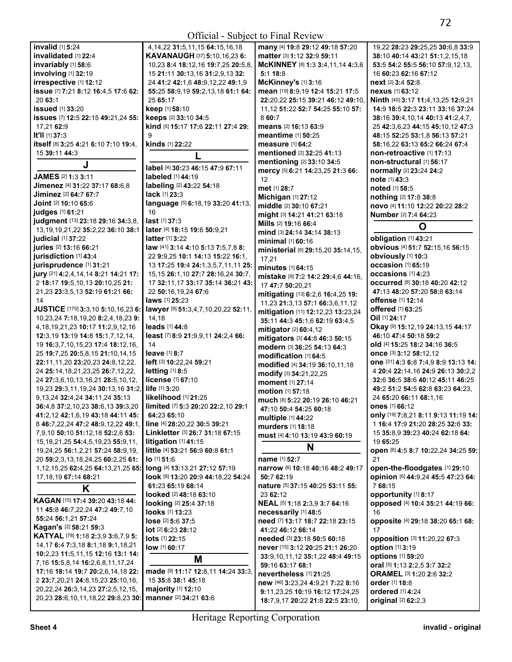|                                                                                  |                                             | UTIICIAI - SUDJECI IO FIIIAI NEVIEW |                                                                          |
|----------------------------------------------------------------------------------|---------------------------------------------|-------------------------------------|--------------------------------------------------------------------------|
| invalid [1] 5:24                                                                 | 4, 14, 22 31: 5, 11, 15 64: 15, 16, 18      | many [4] 19:8 29:12 49:18 57:20     | 19,22 28:23 29:25,25 30:6,8 33:9                                         |
| invalidated [1] 22:4                                                             | <b>KAVANAUGH [37] 5:10,16,23 6:</b>         | matter [3] 1:12 32:9 59:11          | 38:10 40:14 43:21 51:1,2,15,18                                           |
| invariably [1] 58:6                                                              | 10,23 8:4 18:12,16 19:7,25 20:5,8,          | McKINNEY [8] 1:3 3:4,11,14 4:3,6    | 53:5 54:2 55:5 56:10 57:9,12,13,                                         |
| involving [1] 32:19                                                              | 15 21:11 30:13,16 31:2,9,13 32:             | 5:118:8                             | 16 60:23 62:16 67:12                                                     |
| irrespective [1] 12:12                                                           | 24 41:2 42:1,6 48:9,12,22 49:1,9            | McKinney's [1] 3:16                 | next [2] 3:4 52:8                                                        |
|                                                                                  |                                             |                                     |                                                                          |
| issue [7] 7:21 8:12 16:4,5 17:6 62:                                              | 55:25 58:9,19 59:2,13,18 61:1 64:           | mean [19] 8:9,19 12:4 15:21 17:5    | <b>nexus</b> [1] 63:12                                                   |
| 2063:1                                                                           | 25 65:17                                    | 22:20,22 25:15 39:21 46:12 49:10,   | Ninth [40] 3:17 11:4,13,25 12:9,21                                       |
| <b>issued</b> [1] 33:20                                                          | <b>keep</b> [1] 58:10                       | 11, 12 51:22 52:7 54:25 55:10 57:   | 14:9 18:5 22:3 23:11 33:16 37:24                                         |
| issues [7] 12:5 22:15 49:21,24 55:                                               | keeps [2] 33:10 34:5                        | 860:7                               | 38:16 39:4,10,14 40:13 41:2,4,7,                                         |
| 17,21 62:9                                                                       | kind [5] 15:17 17:6 22:11 27:4 29:          | means [2] 16:13 63:9                | 25 42:3,6,23 44:15 45:10,12 47:3                                         |
| It'll [1] 37:3                                                                   | 9                                           | <b>meantime</b> [1] <b>50:25</b>    | 48:15 52:25 53:1,8 56:13 57:21                                           |
| itself [8] 3:25 4:21 6:10 7:10 19:4,                                             | kinds [1] 22:22                             | measure [1] 64:2                    | 58:16.22 63:13 65:2 66:24 67:4                                           |
| 15 39:11 44:3                                                                    |                                             | mentioned [2] 32:25 41:13           | non-retroactive [1] 17:13                                                |
|                                                                                  |                                             | mentioning [2] 33:10 34:5           | non-structural [1] 56:17                                                 |
| J                                                                                | label [4] 30:23 46:15 47:9 67:11            | mercy [5] 6:21 14:23,25 21:3 66:    | normally [2] 23:24 24:2                                                  |
| JAMES [2] 1:3 3:11                                                               | <b>labeled</b> [1] 44:19                    |                                     |                                                                          |
| Jimenez [4] 31:22 37:17 68:6,8                                                   | labeling [2] 43:22 54:18                    | 12                                  | note [1] 43:3                                                            |
| Jiminez [2] 64:7 67:7                                                            | lack [1] 23:3                               | met [1] 28:7                        | noted [1] 58:5                                                           |
|                                                                                  |                                             | Michigan [1] 27:12                  | nothing [2] 17:8 38:8                                                    |
| Joint [2] 10:10 65:6                                                             | language [5] 6:18,19 33:20 41:13,           | middle [2] 30:10 67:21              | novo [4] 11:10 12:22 20:22 28:2                                          |
| judges [1] 61:21                                                                 | 16                                          | might [3] 14:21 41:21 63:18         | Number [2] 7:4 64:23                                                     |
| judgment [13] 23:18 29:16 34:3,8,                                                | last [1] 37:3                               | Mills [2] 19:16 66:4                | O                                                                        |
| 13, 19, 19, 21, 22 35: 2, 22 36: 10 38: 1                                        | later [4] 18:15 19:6 50:9,21                | mind [3] 24:14 34:14 38:13          |                                                                          |
| judicial [1] 37:22                                                               | <b>latter</b> [1] 3:22                      | minimal [1] 60:16                   | obligation [1] 43:21                                                     |
| juries [2] 13:16 66:21                                                           | law [41] 3:14 4:10 5:13 7:5,7,8 8:          | ministerial [6] 29:15,20 35:14,15,  | obvious [4] 51:7 52:15,16 56:15                                          |
| jurisdiction [1] 43:4                                                            | 22 9:9,25 10:1 14:13 15:22 16:1,            |                                     | obviously [1] 10:3                                                       |
| jurisprudence [1] 31:21                                                          | 13 17:25 19:4 24:1,3,5,7,11,11 25:          | 17,21                               | occasion [1] 65:19                                                       |
| jury [21] 4:2,4,14,14 8:21 14:21 17:                                             | 15, 15 26: 1, 10 27: 7 28: 16, 24 30: 7,    | minutes [1] 64:15                   | occasions [1] 4:23                                                       |
|                                                                                  |                                             | mistake [9] 7:2 14:2 29:4,6 44:16,  |                                                                          |
| 2 18:17 19:5,10,13 20:10,25 21:                                                  | 17 32:11,17 33:17 35:14 36:21 43:           | 17 47:7 50:20,21                    | OCCUrred [8] 30:18 40:20 42:12                                           |
| 21,23 23:3,5,13 52:19 61:21 66:                                                  | 22 50:16,19,24 67:6                         | mitigating [13] 6:2,6 16:4,25 19:   | 47:13 48:20 57:20 58:8 63:14                                             |
| 14                                                                               | <b>laws</b> [1] <b>25:23</b>                | 11,23 21:3,13 57:1 66:3,6,11,12     | offense [1] 12:14                                                        |
| JUSTICE [170] 3:3,10 5:10,16,23 6:                                               | lawyer [9] 51:3,4,7,10,20,22 52:11,         | mitigation [11] 12:12,23 13:23,24   | offered [1] 63:25                                                        |
| 10,23,24 7:18,19,20 8:2,4,18,23 9:                                               | 14,18                                       | 35:11 44:3 45:1,6 62:19 63:4,5      | Oil [1] 24:17                                                            |
| 4, 18, 19, 21, 23 10: 17 11: 2, 9, 12, 16                                        | leads [1] 44:8                              | mitigator [2] 60:4,12               | Okay [9] 15:12, 19 24:13, 15 44:17                                       |
| 12:3,19 13:19 14:8 15:1,7,12,14,                                                 | least [7] 8:9 21:9,9,11 24:2,4 66:          | mitigators [3] 44:8 46:3 50:15      | 46:10 47:4 50:18 59:2                                                    |
| 19 16:3,7,10,15,23 17:4 18:12,16,                                                | 14                                          |                                     | <b>old</b> [4] <b>15:</b> 25 <b>18:2 34:</b> 16 <b>36:</b> 5             |
|                                                                                  |                                             |                                     |                                                                          |
|                                                                                  |                                             | modern [3] 36:25 54:13 64:3         |                                                                          |
| 25 19:7,25 20:5,8,15 21:10,14,15                                                 | leave [1] 8:7                               | modification [1] 64:5               | <b>once</b> [3] <b>3:12 58:12,12</b>                                     |
| 22:11,11,20 23:20,23 24:8,12,22,                                                 | left [3] 10:22,24 59:21                     | modified [4] 34:19 36:10,11,18      | one [31] 4:3 6:8 7:4,9 8:9 13:13 14:                                     |
| 24 25:14, 18, 21, 23, 25 26: 7, 12, 22,                                          | <b>letting</b> [1] 8:5                      | modify [3] 34:21,22,25              | 4 20:4 22:14,16 24:9 26:13 30:2,2                                        |
| 24 27:3,6,10,13,16,21 28:5,10,12,                                                | license [1] 67:10                           | moment [1] 27:14                    | 32:6 36:5 38:6 40:12 45:11 46:25                                         |
| 19,23 29:3,11,19,24 30:13,16 31:2,                                               | life [1] 3:20                               | <b>motion</b> [1] 57:18             | 49:2 51:2 54:5 62:8 63:23 64:23.                                         |
| 9, 13, 24 32: 4, 24 34: 11, 24 35: 13                                            | likelihood [1] 21:25                        | much [8] 5:22 20:19 26:10 46:21     | 24 65:20 66:11 68:1,16                                                   |
| 36:4,8 37:2,10,23 38:6,13 39:3,20                                                | limited [7] 5:3 20:20 22:2,10 29:1          |                                     | <b>ones</b> [1] 66:12                                                    |
| 41:2,12 42:1,6,19 43:18 44:11 45:                                                | 64:23 65:10                                 | 47:10 50:4 54:25 60:18              |                                                                          |
| 8 46:7,22,24 47:2 48:9,12,22 49:1,                                               |                                             | multiple [1] 44:22                  |                                                                          |
|                                                                                  | line [4] 28:20,22 30:5 39:21                | murders [1] 18:18                   | only [19] 7:8,21 8:11 9:13 11:19 14:<br>1 16:4 17:9 21:20 28:25 32:6 33: |
| 7,9,10 50:10 51:12,18 52:2,6 53:                                                 | Linkletter [3] 26:7 31:18 67:15             | must [4] 4:10 13:19 43:9 60:19      | 15 35:8,9 39:23 40:24 62:18 64:                                          |
| 15, 18, 21, 25 54: 4, 5, 19, 23 55: 9, 11,                                       | litigation [1] 41:15                        | N                                   | 19 65:25                                                                 |
| 19,24,25 56:1,2,21 57:24 58:9,19,                                                | little [4] 53:21 56:9 60:8 61:1             |                                     |                                                                          |
| 20 59:2,3,13,18,24,25 60:2,25 61:                                                | $IO$ [1] 51:6                               | name [1] 52:7                       | 21                                                                       |
| 1, 12, 15, 25 62: 4, 25 64: 13, 21, 25 65:   long [4] 13: 13, 21 27: 12 57: 19   |                                             | narrow [6] 10:18 40:16 48:2 49:17   | open-the-floodgates [1] 29:10                                            |
| 17, 18, 19 67: 14 68: 21                                                         | look [8] 13:20 20:9 44:18,22 54:24          | 50:7 62:19                          | opinion [6] 44:9,24 45:5 47:23 64:                                       |
|                                                                                  | 61:23 65:19 68:14                           | nature [5] 37:15 40:25 53:11 55:    | 768:15                                                                   |
| K                                                                                | looked [2] 48:18 63:10                      | 23 62:12                            | opportunity [1] 8:17                                                     |
| KAGAN [15] 17:4 39:20 43:18 44:                                                  | looking [2] 25:4 37:18                      | NEAL [5] 1:18 2:3,9 3:7 64:16       | Open [6] 4:5 8:7 10:22,24 34:25 59:<br>opposed [4] 10:4 35:21 44:19 66:  |
| 11 45:8 46:7,22,24 47:2 49:7,10                                                  | looks [1] 13:23                             | necessarily [1] 48:5                | 16                                                                       |
| 55:24 56:1,21 57:24                                                              |                                             |                                     | opposite [4] 29:18 38:20 65:1 68:                                        |
| Kagan's [2] 58:21 59:3                                                           | lose [2] 5:6 37:5                           | need [7] 13:17 18:7 22:18 23:15     | 17                                                                       |
| KATYAL [78] 1:18 2:3,9 3:6,7,9 5:                                                | $lot$ [2] 6:23 28:12                        | 41:22 46:12 66:14                   |                                                                          |
| 14, 17 6:4 7:3, 18 8:1, 18 9:1, 18, 21                                           | lots [1] 22:15                              | needed [3] 23:18 50:5 60:18         | opposition [3] 11:20,22 67:3                                             |
|                                                                                  | low [1] 60:17                               | never [15] 3:12 20:25 21:1 26:20    | option [1] 3:19                                                          |
| 10:2,23 11:5,11,15 12:16 13:1 14:                                                | M                                           | 33:9,10,11,12 35:1,22 48:4 49:15    | options [1] 59:20                                                        |
| 7,16 15:5,8,14 16:2,6,8,11,17,24                                                 |                                             | 59:16 63:17 68:1                    | oral [5] 1:13 2:2,5 3:7 32:2                                             |
| 17:16 18:14 19:7 20:2,6,14,18 22:                                                | made [9] 11:17 12:8,11 14:24 33:3,          | nevertheless [1] 21:25              | <b>ORAMEL [3] 1:20 2:6 32:2</b>                                          |
| 2 <b>23:</b> 7,20,21 <b>24:</b> 8,15,23 <b>25:</b> 10,16,                        | 15 35:8 38:1 45:18                          | new [46] 3:23,24 4:9,21 7:22 8:16   | <b>order</b> [1] 18:8                                                    |
| 20, 22, 24 26: 3, 14, 23 27: 2, 5, 12, 15,<br>20,23 28:6,10,11,18,22 29:8,23 30: | majority [1] 12:10<br>manner [2] 34:21 63:6 | 9:11,23,25 10:19 16:12 17:24,25     | ordered [1] 4:24<br>original [2] 62:2,3                                  |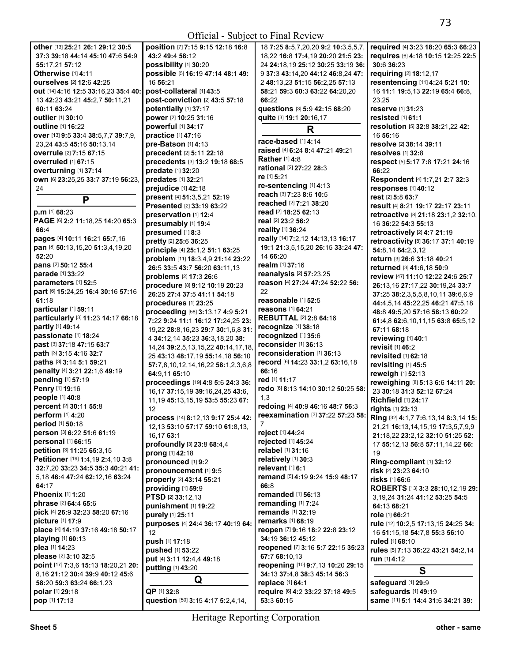| other [13] 25:21 26:1 29:12 30:5     | position [7] 7:15 9:15 12:18 16:8       | 18 7:25 8:5,7,20,20 9:2 10:3,5,5,7, | required [4] 3:23 18:20 65:3 66:23   |
|--------------------------------------|-----------------------------------------|-------------------------------------|--------------------------------------|
| 37:3 39:18 44:14 45:10 47:6 54:9     | 43:2 49:4 58:12                         | 18,22 16:8 17:4,19 20:20 21:5 23:   | requires [6] 4:18 10:15 12:25 22:5   |
| 55:17,21 57:12                       | possibility [1] 30:20                   | 24 24:18,19 25:12 30:25 33:19 36:   | 30:6 36:23                           |
| Otherwise [1] 4:11                   | possible [5] 16:19 47:14 48:1 49:       | 9 37:3 43:14,20 44:12 46:8,24 47:   | requiring [2] 18:12,17               |
| ourselves [2] 12:6 42:25             | 16 56:21                                | 2 48:13,23 51:15 56:2,25 57:13      | resentencing [11] 4:24 5:21 10:      |
| out [14] 4:16 12:5 33:16,23 35:4 40: | post-collateral [1] 43:5                | 58:21 59:3 60:3 63:22 64:20,20      | 16 11:1 19:5,13 22:19 65:4 66:8,     |
| 13 42:23 43:21 45:2,7 50:11,21       | post-conviction [2] 43:5 57:18          | 66:22                               | 23,25                                |
| 60:11 63:24                          | potentially [1] 37:17                   | questions [3] 5:9 42:15 68:20       | reserve [1] 31:23                    |
|                                      |                                         |                                     |                                      |
| outlier [1] 30:10                    | power [2] 10:25 31:16                   | quite [3] 19:1 20:16,17             | resisted [1] 61:1                    |
| outline [1] 16:22                    | powerful [1] 34:17                      | R                                   | resolution [5] 32:8 38:21,22 42:     |
| over [13] 9:5 33:4 38:5,7,7 39:7,9,  | practice [1] 47:16                      | race-based [1] 4:14                 | 16 56:16                             |
| 23,24 43:5 45:16 50:13,14            | pre-Batson [1] 4:13                     |                                     | resolve [2] 38:14 39:11              |
| overrule [2] 7:15 67:15              | precedent [2] 5:11 22:18                | raised [4] 6:24 8:4 47:21 49:21     | resolves [1] 32:8                    |
| <b>overruled</b> [1] 67:15           | precedents [3] 13:2 19:18 68:5          | Rather [1] 4:8                      | respect [5] 5:17 7:8 17:21 24:16     |
| overturning [1] 37:14                | predate [1] 32:20                       | rational [2] 27:22 28:3             | 66:22                                |
| own [6] 23:25,25 33:7 37:19 56:23,   | predates [1] 32:21                      | re [1] 5:21                         | Respondent [4] 1:7,21 2:7 32:3       |
| 24                                   | prejudice [1] 42:18                     | re-sentencing [1] 4:13              | responses [1] 40:12                  |
|                                      | present [4] 51:3,5,21 52:19             | reach [3] 7:23 8:6 10:5             | rest [2] 5:8 63:7                    |
| P                                    | Presented [2] 33:19 63:22               | reached [2] 7:21 38:20              | result [4] 8:21 19:17 22:17 23:11    |
| p.m [1] 68:23                        |                                         | read [2] 18:25 62:13                |                                      |
| PAGE [6] 2:2 11:18,25 14:20 65:3     | preservation [1] 12:4                   | real [2] 23:2 56:2                  | retroactive [8] 21:18 23:1,2 32:10,  |
| 66:4                                 | presumably [1] 19:4                     | reality [1] 36:24                   | 16 36:22 54:3 55:13                  |
| pages [4] 10:11 16:21 65:7,16        | presumed [1] 8:3                        | really [14] 7:2,12 14:13,13 16:17   | retroactively [2] 4:7 21:19          |
|                                      | pretty [2] 25:6 36:25                   |                                     | retroactivity [8] 36:17 37:1 40:19   |
| pan [8] 50:13,15,20 51:3,4,19,20     | principle [4] 25:1,2 51:1 63:25         | 19:1 21:3,5,15,20 26:15 33:24 47:   | 54:8,14 64:2,3,12                    |
| 52:20                                | problem [11] 18:3,4,9 21:14 23:22       | 14 66:20                            | return [3] 26:6 31:18 40:21          |
| pans [2] 50:12 55:4                  | 26:5 33:5 43:7 56:20 63:11,13           | realm [1] 37:16                     | returned [3] 41:6,18 50:9            |
| parade [1] 33:22                     | problems [2] 17:3 26:6                  | reanalysis [2] 57:23,25             | review [47] 11:10 12:22 24:6 25:7    |
| parameters [1] 52:5                  | procedure [8] 9:12 10:19 20:23          | reason [4] 27:24 47:24 52:22 56:    | 26:13,16 27:17,22 30:19,24 33:7      |
| part [6] 15:24,25 16:4 30:16 57:16   | 26:25 27:4 37:5 41:11 54:18             | 22                                  | 37:25 38:2,3,5,5,8,10,11 39:6,6,9    |
| 61:18                                | procedures [1] 23:25                    | reasonable [1] 52:5                 | 44:4,5,14 45:22,25 46:21 47:5,18     |
| particular [1] 59:11                 |                                         | reasons [1] 64:21                   |                                      |
| particularly [3] 11:23 14:17 66:18   | proceeding [58] 3:13,17 4:9 5:21        | <b>REBUTTAL [2] 2:8 64:16</b>       | 48:8 49:5,20 57:16 58:13 60:22       |
| partly [1] 49:14                     | 7:22 9:24 11:1 16:12 17:24,25 23:       | recognize [1] 38:18                 | 61:4,8 62:6,10,11,15 63:8 65:5,12    |
| passionate [1] 18:24                 | 19,22 28:8,16,23 29:7 30:1,6,8 31:      | recognized [1] 35:6                 | 67:11 68:18                          |
|                                      | 4 34:12,14 35:23 36:3,18,20 38:         | reconsider [1] 36:13                | reviewing [1] 40:1                   |
| past [3] 37:18 47:15 63:7            | 14,24 39:2,5,13,15,22 40:14,17,18       |                                     | revisit [1] 46:2                     |
| path [3] 3:15 4:16 32:7              | 25 43:13 48:17,19 55:14,18 56:10        | reconsideration [1] 36:13           | revisited [1] 62:18                  |
| paths [3] 3:14 5:1 59:21             | 57:7,8,10,12,14,16,22 58:1,2,3,6,8      | record [6] 14:23 33:1,2 63:16,18    | revisiting [1] 45:5                  |
| penalty [4] 3:21 22:1,6 49:19        | 64:9,11 65:10                           | 66:16                               | reweigh [1] 52:13                    |
| pending [1] 57:19                    | proceedings [19] 4:8 5:6 24:3 36:       | red [1] 11:17                       | reweighing [8] 5:13 6:6 14:11 20:    |
| Penry [1] 19:16                      | 16, 17 37: 15, 19 39: 16, 24, 25 43: 6, | redo [6] 8:13 14:10 30:12 50:25 58: | 23 30:18 31:3 52:12 67:24            |
| people [1] 40:8                      | 11, 19 45: 13, 15, 19 53: 5 55: 23 67:  | 1,3                                 | <b>Richfield [1] 24:17</b>           |
| percent [2] 30:11 55:8               | 12                                      | redoing [4] 40:9 46:16 48:7 56:3    | rights [1] 23:13                     |
| perform [1] 4:20                     |                                         | reexamination [3] 37:22 57:23 58:   |                                      |
| period [1] 50:18                     | process [14] 8:12,13 9:17 25:4 42:      | 7                                   | Ring [32] 4:1,7 7:6,13,14 8:3,14 15: |
| person [3] 6:22 51:6 61:19           | 12, 13 53: 10 57: 17 59: 10 61: 8, 13,  | reject [1] 44:24                    | 21,21 16:13,14,15,19 17:3,5,7,9,9    |
| personal [1] 66:15                   | 16,17 63:1                              | rejected [1] 45:24                  | 21:18,22 23:2,12 32:10 51:25 52:     |
| petition [3] 11:25 65:3,15           | profoundly [3] 23:8 68:4,4              | relabel [1] 31:16                   | 17 55:12,13 56:8 57:11,14,22 66:     |
|                                      | prong [1] 42:18                         |                                     | 19                                   |
| Petitioner [19] 1:4,19 2:4,10 3:8    | pronounced [1] 9:2                      | relatively [1] 30:3                 | Ring-compliant [1] 32:12             |
| 32:7,20 33:23 34:5 35:3 40:21 41:    | pronouncement [1] 9:5                   | relevant [1] 6:1                    | risk [2] 23:23 64:10                 |
| 5.18 46:4 47:24 62:12.16 63:24       | properly [2] 43:14 55:21                | remand [5] 4:19 9:24 15:9 48:17     | <b>risks</b> [1] 66:6                |
| 64:17                                | providing [1] 59:9                      | 66:8                                | ROBERTS [13] 3:3 28:10,12,19 29:     |
| <b>Phoenix [1] 1:20</b>              | PTSD [2] 33:12.13                       | remanded [1] 56:13                  | 3, 19, 24 31: 24 41: 12 53: 25 54: 5 |
| phrase [2] 64:4 65:6                 | punishment [1] 19:22                    | remanding [1] 7:24                  | 64:13 68:21                          |
| pick [4] 26:9 32:23 58:20 67:16      | purely [1] 25:11                        | remands [1] 32:19                   | role [1] 66:21                       |
| picture [1] 17:9                     |                                         | remarks [1] 68:19                   |                                      |
| place [4] 14:19 37:16 49:18 50:17    | purposes [4] 24:4 36:17 40:19 64:       | reopen [7] 9:16 18:2 22:8 23:12     | rule [12] 10:2,5 17:13,15 24:25 34:  |
| playing [1] 60:13                    | 12                                      | 34:19 36:12 45:12                   | 16 51:15,18 54:7,8 55:3 56:10        |
| plea [1] 14:23                       | push [1] 17:18                          | reopened [7] 3:16 5:7 22:15 35:23   | ruled [1] 68:10                      |
|                                      | pushed [1] 53:22                        | 67:7 68:10,13                       | rules [5] 7:13 36:22 43:21 54:2,14   |
| please [2] 3:10 32:5                 | put [4] 3:11 12:4,4 49:18               |                                     | run [1] 4:12                         |
| point [17] 7:3,6 15:13 18:20,21 20:  | putting [1] 43:20                       | reopening [10] 9:7,13 10:20 29:15   | S                                    |
| 8,16 21:12 30:4 39:9 40:12 45:6      | Q                                       | 34:13 37:4,8 38:3 45:14 56:3        |                                      |
| 58:20 59:3 63:24 66:1,23             |                                         | replace [1] 64:1                    | safeguard [1] 29:9                   |
| polar [1] 29:18                      | QP [1] 32:8                             | require [6] 4:2 33:22 37:18 49:5    | safeguards [1] 49:19                 |
| pop [1] 17:13                        | question [50] 3:15 4:17 5:2,4,14,       | 53:3 60:15                          | same [11] 5:1 14:4 31:6 34:21 39:    |
|                                      |                                         |                                     |                                      |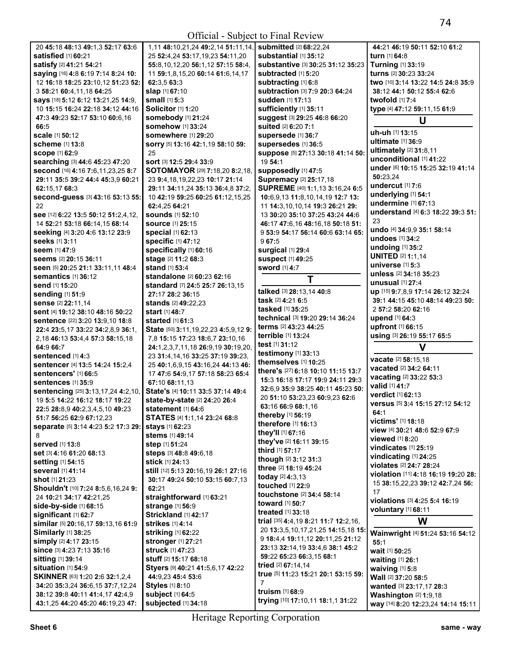| 20 45:18 48:13 49:1.3 52:17 63:6                  | 1,11 48:10,21,24 49:2,14 51:11,14,           | <b>submitted</b> [2] 68:22,24                | 44:21 46:19 50:11 52:10 61:2          |
|---------------------------------------------------|----------------------------------------------|----------------------------------------------|---------------------------------------|
| satisfied [1] 60:21                               | 25 52:4.24 53:17.19.23 54:11.20              | substantial [1] 35:12                        | turn [1] 64:8                         |
| satisfy [2] 41:21 54:21                           | 55:8,10,12,20 56:1,12 57:15 58:4,            | substantive [3] 30:25 31:12 35:23            | <b>Turning [1] 33:19</b>              |
| saying [16] 4:8 6:19 7:14 8:24 10:                | 11 59:1,8,15,20 60:14 61:6,14,17             | subtracted [1] 5:20                          | turns [2] 30:23 33:24                 |
| 12 16:18 18:25 23:10,12 51:23 52:                 | 62:3,5 63:3                                  | subtracting [1] 6:8                          | two [10] 3:14 13:22 14:5 24:8 35:9    |
| 3 58:21 60:4,11,18 64:25                          | slap [1] 67:10                               | subtraction [3] 7:9 20:3 64:24               | 38:12 44:1 50:12 55:4 62:6            |
| <b>says</b> [18] <b>5:12 6:12 13:21,25 14:</b> 9, | small [1] 5:3                                | sudden [1] 17:13                             | twofold $117:4$                       |
| 10 15:15 16:24 22:18 34:12 44:16                  | Solicitor <sup>[1]</sup> 1:20                | sufficiently [1] 35:11                       | type [4] 47:12 59:11,15 61:9          |
| 47:3 49:23 52:17 53:10 60:6,16                    | somebody [1] 21:24                           | suggest [3] 29:25 46:8 66:20                 |                                       |
| 66:5                                              | somehow [1] 33:24                            | suited [2] 6:20 7:1                          | U                                     |
| scale [1] 50:12                                   | somewhere [1] 29:20                          | supersede [1] 36:7                           | uh-uh [1] 13:15                       |
| <b>scheme</b> [1] 13:8                            | SOrry [5] 13:16 42:1,19 58:10 59:            | supersedes [1] 36:5                          | ultimate [1] 36:9                     |
|                                                   | 25                                           |                                              | ultimately [2] 31:8,11                |
| <b>scope [1] 62:9</b>                             |                                              | suppose [5] 27:13 30:18 41:14 50:<br>19 54:1 | unconditional [1] 41:22               |
| searching [3] 44:6 45:23 47:20                    | SOrt [3] 12:5 29:4 33:9                      |                                              | under [6] 10:15 15:25 32:19 41:14     |
| Second [16] 4:16 7:6,11,23,25 8:7                 | <b>SOTOMAYOR</b> [29] <b>7:18,20 8:2,18,</b> | supposedly [1] 47:5                          | 50:23,24                              |
| 29:11 35:5 39:2 44:4 45:3,9 60:21                 | 23 9:4, 18, 19, 22, 23 10: 17 21: 14         | Supremacy [2] 25:17,18                       | undercut [1] 7:6                      |
| 62:15,17 68:3                                     | 29:11 34:11,24 35:13 36:4,8 37:2,            | SUPREME [40] 1:1,13 3:16,24 6:5              | underlying [1] 54:1                   |
| Second-guess [3] 43:16 53:13 55:                  | 10 42:19 59:25 60:25 61:12,15,25             | 10:6,9,13 11:8,10,14,19 12:7 13:             | undermine [1] 67:13                   |
| 22                                                | 62:4,25 64:21                                | 11 14:3,10,10,14 19:3 26:21 29:              | understand [4] 6:3 18:22 39:3 51:     |
| see [12] 6:22 13:5 50:12 51:2,4,12,               | <b>sounds</b> [1] 52:10                      | 13 30:20 35:10 37:25 43:24 44:6              |                                       |
| 14 52:21 53:18 66:14,15 68:14                     | <b>source</b> [1] 25:15                      | 46:17 47:6,16 48:16,18 50:18 51:             | 23                                    |
| seeking [4] 3:20 4:6 13:12 23:9                   | special [1] 62:13                            | 9 53:9 54:17 56:14 60:6 63:14 65:            | undo [4] 34:9,9 35:1 58:14            |
| <b>seeks</b> [1] 3:11                             | <b>specific [1] 47:12</b>                    | 967:5                                        | undoes [1] 34:2                       |
| <b>seem</b> [1] <b>47:</b> 9                      | specifically [1] 60:16                       | surgical [1] 29:4                            | undoing $[1]$ 35:2                    |
| Seems [2] 20:15 36:11                             | stage [2] 11:2 68:3                          | <b>suspect [1] 49:25</b>                     | <b>UNITED [2] 1:1,14</b>              |
| Seen [5] 20:25 21:1 33:11,11 48:4                 | <b>stand</b> [1] 53:4                        | <b>sword</b> [1] 4:7                         | universe [1] 5:3                      |
| semantics [1] 36:12                               | standalone [2] 60:23 62:16                   | T                                            | unless [2] 34:18 35:23                |
| send [1] 15:20                                    | standard [7] 24:5 25:7 26:13,15              |                                              | <b>unusual</b> [1] 27:4               |
| <b>sending [1] 51:9</b>                           | 27:17 28:2 36:15                             | talked [3] 28:13,14 40:8                     | up [15] 9:7,8,9 17:14 26:12 32:24     |
| <b>sense</b> [2] 22:11,14                         | <b>stands</b> [2] <b>49:</b> 22,23           | task [2] 4:21 6:5                            | 39:1 44:15 45:10 48:14 49:23 50:      |
| sent [4] 19:12 38:10 48:16 50:22                  | <b>start</b> [1] 48:7                        | tasked [1] 35:25                             | 2 57:2 58:20 62:16                    |
| sentence [22] 3:20 13:9,10 18:8                   | started $[1]$ 61:3                           | technical [3] 19:20 29:14 36:24              | upend [1] 64:3                        |
| 22:4 23:5,17 33:22 34:2,8,9 36:1,                 | State [50] 3:11, 19, 22, 23 4: 5, 9, 12 9:   | terms [2] 43:23 44:25                        | upfront [1] 66:15                     |
| 2,18 46:13 53:4,4 57:3 58:15,18                   | 7,8 15:15 17:23 18:6,7 23:10,16              | terrible [1] 13:24                           | using [3] 26:19 55:17 65:5            |
| 64:9 66:7                                         | 24:1,2,3,7,11,18 26:9,19 30:19,20,           | test [1] 31:12                               | V                                     |
| <b>sentenced</b> [1] 4:3                          | 23 31:4,14,16 33:25 37:19 39:23,             | testimony [1] 33:13                          |                                       |
| sentencer [4] 13:5 14:24 15:2,4                   |                                              | themselves [1] 10:25                         | vacate [2] 58:15,18                   |
| <b>sentencers'</b> [1] <b>66:</b> 5               | 25 40:1,6,9,15 43:16,24 44:13 46:            | there's [27] 6:18 10:10 11:15 13:7           | vacated [2] 34:2 64:11                |
|                                                   | 17 47:6 54:9,17 57:18 58:23 65:4             | 15:3 16:18 17:17 19:9 24:11 29:3             | vacating [2] 33:22 53:3               |
| sentences [1] 35:9                                | 67:10 68:11.13                               | 32:6,9 35:9 38:25 40:11 45:23 50:            | valid [1] 41:7                        |
| sentencing [25] 3:13,17,24 4:2,10,                | State's [4] 10:11 33:5 37:14 49:4            | 20 51:10 53:23,23 60:9,23 62:6               | verdict [1] 62:13                     |
| 19 5:5 14:22 16:12 18:17 19:22                    | state-by-state [2] 24:20 26:4                | 63:16 66:9 68:1,16                           | versus [5] 3:4 15:15 27:12 54:12      |
| 22:5 28:8,9 40:2,3,4,5,10 49:23                   | statement [1] 64:6                           | thereby [1] 56:19                            | 64:1                                  |
| 51:7 56:25 62:9 67:12,23                          | STATES [4] 1:1,14 23:24 68:8                 | therefore [1] 16:13                          | victims' [1] 18:18                    |
| separate [5] 3:14 4:23 5:2 17:3 29:               | stays [1] 62:23                              | they'll [1] 67:16                            | view [4] 30:21 48:6 52:9 67:9         |
| 8                                                 | stems [1] 49:14                              | they've [2] 16:11 39:15                      | <b>viewed</b> [1] 8:20                |
| <b>served</b> [1] 13:8                            | step [1] 51:24                               |                                              | vindicates $[1]$ 25:19                |
| Set [3] 4:16 61:20 68:13                          | steps [3] 48:8 49:6,18                       | third [1] 57:17                              | vindicating [1] 24:25                 |
| <b>setting</b> [1] 54:15                          | <b>stick</b> [1] <b>24:</b> 13               | though [2] 3:12 31:3                         | violates [2] 24:7 28:24               |
| <b>several</b> [1] 41:14                          | still [12] 5:13 20:16,19 26:1 27:16          | three [2] 18:19 45:24                        | violation [11] 4:18 16:19 19:20 28:   |
| <b>shot</b> [1] <b>21:</b> 23                     | 30:17 49:24 50:10 53:15 60:7,13              | today [2] 4:3.13                             | 15 38:15,22,23 39:12 42:7,24 56:      |
| Shouldn't [10] 7:24 8:5,6,16,24 9:                | 62:21                                        | touched [1] 22:9                             | 17                                    |
| 24 10:21 34:17 42:21,25                           | straightforward [1] 63:21                    | touchstone [2] 34:4 58:14                    | violations [3] 4:25 5:4 16:19         |
| <b>side-by-side</b> [1] <b>68:15</b>              | strange [1] 56:9                             | <b>toward</b> [1] <b>50:7</b>                |                                       |
| <b>significant</b> [1] 62:7                       | Strickland [1] 42:17                         | treated [1] 33:18                            | voluntary [1] 68:11                   |
| similar [5] 20:16,17 59:13,16 61:9                | <b>strikes</b> [1] 4:14                      | trial [35] 4:4, 19 8:21 11:7 12:2, 16,       | W                                     |
| Similarly [1] 38:25                               | <b>striking</b> [1] 62:22                    | 20 13:3,5,10,17,21,25 14:15,18 15:           | Wainwright [4] 51:24 53:16 54:12      |
| <b>simply</b> [2] <b>4:</b> 17 <b>23:</b> 15      | stronger [1] 27:21                           | 9 18:4,4 19:11,12 20:11,25 21:12             | 55:1                                  |
| since [3] 4:23 7:13 35:16                         | struck [1] 47:23                             | 23:13 32:14,19 33:4,6 38:1 45:2              | wait [1] 50:25                        |
| sitting [1] 39:14                                 | <b>stuff</b> [2] <b>15:17 68:1</b> 8         | 59:22 65:23 66:3,15 68:1                     |                                       |
| situation [1] 54:9                                | Styers [9] 40:21 41:5,6,17 42:22             | tried [2] 67:14,14                           | waiting [1] 26:1<br>waiving $[1]$ 5:8 |
| SKINNER [63] 1:20 2:6 32:1,2,4                    | 44:9,23 45:4 53:6                            | true [5] 11:23 15:21 20:1 53:15 59:          |                                       |
|                                                   | Styles [1] 8:10                              | 7                                            | Wall [2] 37:20 58:5                   |
| 34:20 35:3,24 36:6,15 37:7,12,24                  |                                              | truism [1] 68:9                              | wanted [3] 23:17,17 28:3              |
| 38:12 39:8 40:11 41:4,17 42:4,9                   | subject [1] 64:5                             | trying [10] 17:10,11 18:1,1 31:22            | <b>Washington</b> $[2]$ 1:9,18        |
| 43:1,25 44:20 45:20 46:19,23 47:                  | subjected [1] 34:18                          |                                              | way [14] 8:20 12:23,24 14:14 15:11    |